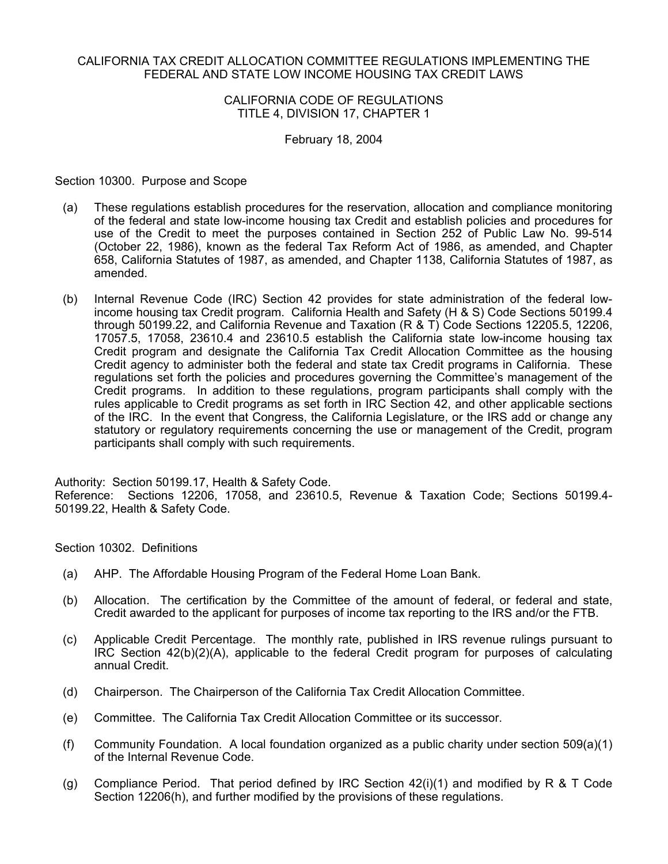#### CALIFORNIA TAX CREDIT ALLOCATION COMMITTEE REGULATIONS IMPLEMENTING THE FEDERAL AND STATE LOW INCOME HOUSING TAX CREDIT LAWS

### CALIFORNIA CODE OF REGULATIONS TITLE 4, DIVISION 17, CHAPTER 1

#### February 18, 2004

Section 10300. Purpose and Scope

- (a) These regulations establish procedures for the reservation, allocation and compliance monitoring of the federal and state low-income housing tax Credit and establish policies and procedures for use of the Credit to meet the purposes contained in Section 252 of Public Law No. 99-514 (October 22, 1986), known as the federal Tax Reform Act of 1986, as amended, and Chapter 658, California Statutes of 1987, as amended, and Chapter 1138, California Statutes of 1987, as amended.
- (b) Internal Revenue Code (IRC) Section 42 provides for state administration of the federal lowincome housing tax Credit program. California Health and Safety (H & S) Code Sections 50199.4 through 50199.22, and California Revenue and Taxation (R & T) Code Sections 12205.5, 12206, 17057.5, 17058, 23610.4 and 23610.5 establish the California state low-income housing tax Credit program and designate the California Tax Credit Allocation Committee as the housing Credit agency to administer both the federal and state tax Credit programs in California. These regulations set forth the policies and procedures governing the Committee's management of the Credit programs. In addition to these regulations, program participants shall comply with the rules applicable to Credit programs as set forth in IRC Section 42, and other applicable sections of the IRC. In the event that Congress, the California Legislature, or the IRS add or change any statutory or regulatory requirements concerning the use or management of the Credit, program participants shall comply with such requirements.

Authority: Section 50199.17, Health & Safety Code. Reference: Sections 12206, 17058, and 23610.5, Revenue & Taxation Code; Sections 50199.4- 50199.22, Health & Safety Code.

Section 10302. Definitions

- (a) AHP. The Affordable Housing Program of the Federal Home Loan Bank.
- (b) Allocation. The certification by the Committee of the amount of federal, or federal and state, Credit awarded to the applicant for purposes of income tax reporting to the IRS and/or the FTB.
- (c) Applicable Credit Percentage. The monthly rate, published in IRS revenue rulings pursuant to IRC Section 42(b)(2)(A), applicable to the federal Credit program for purposes of calculating annual Credit.
- (d) Chairperson. The Chairperson of the California Tax Credit Allocation Committee.
- (e) Committee. The California Tax Credit Allocation Committee or its successor.
- (f) Community Foundation. A local foundation organized as a public charity under section 509(a)(1) of the Internal Revenue Code.
- (g) Compliance Period. That period defined by IRC Section  $42(i)(1)$  and modified by R & T Code Section 12206(h), and further modified by the provisions of these regulations.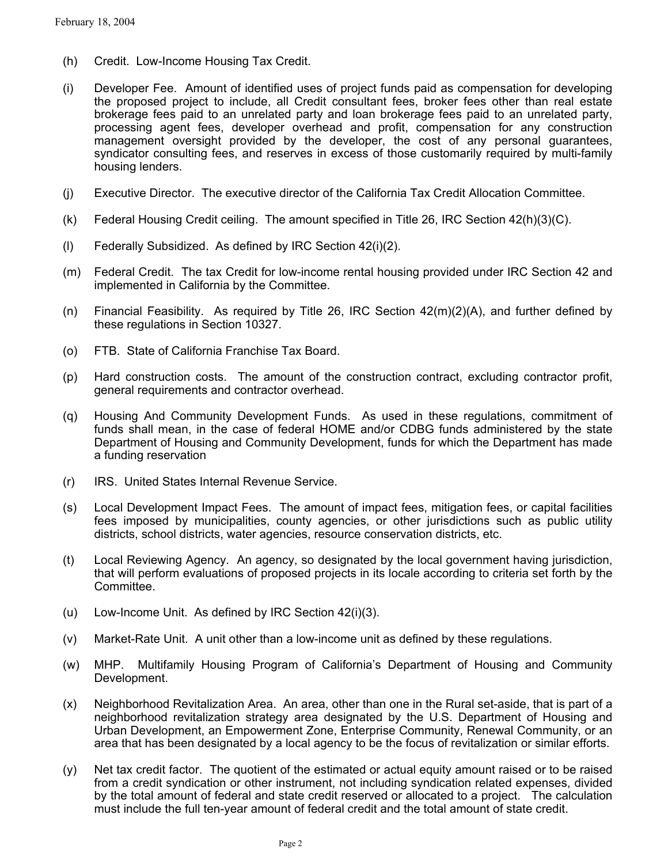- (h) Credit. Low-Income Housing Tax Credit.
- (i) Developer Fee. Amount of identified uses of project funds paid as compensation for developing the proposed project to include, all Credit consultant fees, broker fees other than real estate brokerage fees paid to an unrelated party and loan brokerage fees paid to an unrelated party, processing agent fees, developer overhead and profit, compensation for any construction management oversight provided by the developer, the cost of any personal guarantees, syndicator consulting fees, and reserves in excess of those customarily required by multi-family housing lenders.
- (j) Executive Director. The executive director of the California Tax Credit Allocation Committee.
- (k) Federal Housing Credit ceiling. The amount specified in Title 26, IRC Section 42(h)(3)(C).
- (l) Federally Subsidized. As defined by IRC Section 42(i)(2).
- (m) Federal Credit. The tax Credit for low-income rental housing provided under IRC Section 42 and implemented in California by the Committee.
- (n) Financial Feasibility. As required by Title 26, IRC Section 42(m)(2)(A), and further defined by these regulations in Section 10327.
- (o) FTB. State of California Franchise Tax Board.
- (p) Hard construction costs. The amount of the construction contract, excluding contractor profit, general requirements and contractor overhead.
- (q) Housing And Community Development Funds. As used in these regulations, commitment of funds shall mean, in the case of federal HOME and/or CDBG funds administered by the state Department of Housing and Community Development, funds for which the Department has made a funding reservation
- (r) IRS. United States Internal Revenue Service.
- (s) Local Development Impact Fees. The amount of impact fees, mitigation fees, or capital facilities fees imposed by municipalities, county agencies, or other jurisdictions such as public utility districts, school districts, water agencies, resource conservation districts, etc.
- (t) Local Reviewing Agency. An agency, so designated by the local government having jurisdiction, that will perform evaluations of proposed projects in its locale according to criteria set forth by the Committee.
- (u) Low-Income Unit. As defined by IRC Section 42(i)(3).
- (v) Market-Rate Unit. A unit other than a low-income unit as defined by these regulations.
- (w) MHP. Multifamily Housing Program of California's Department of Housing and Community Development.
- (x) Neighborhood Revitalization Area. An area, other than one in the Rural set-aside, that is part of a neighborhood revitalization strategy area designated by the U.S. Department of Housing and Urban Development, an Empowerment Zone, Enterprise Community, Renewal Community, or an area that has been designated by a local agency to be the focus of revitalization or similar efforts.
- (y) Net tax credit factor. The quotient of the estimated or actual equity amount raised or to be raised from a credit syndication or other instrument, not including syndication related expenses, divided by the total amount of federal and state credit reserved or allocated to a project. The calculation must include the full ten-year amount of federal credit and the total amount of state credit.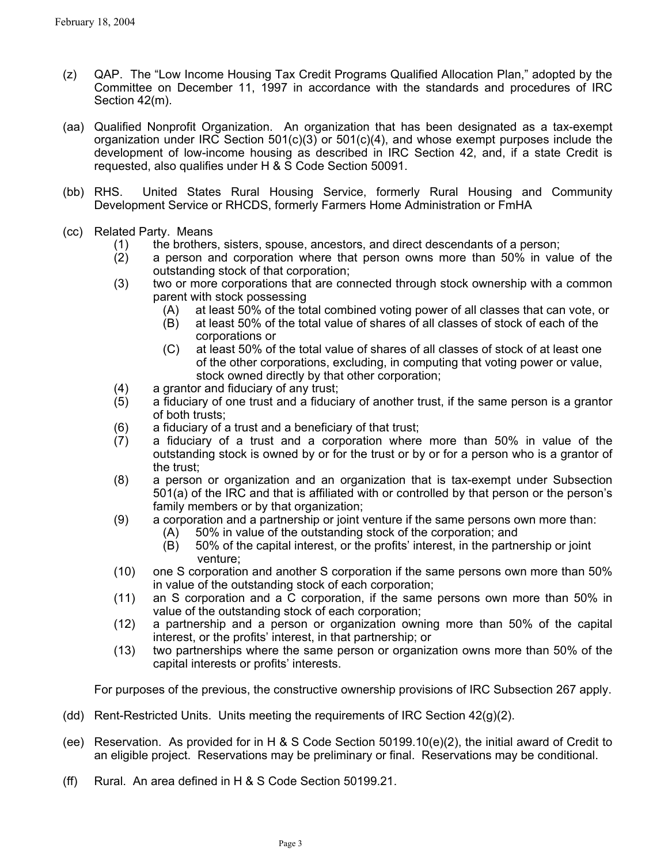- (z) QAP. The "Low Income Housing Tax Credit Programs Qualified Allocation Plan," adopted by the Committee on December 11, 1997 in accordance with the standards and procedures of IRC Section 42(m).
- (aa) Qualified Nonprofit Organization. An organization that has been designated as a tax-exempt organization under IRC Section  $501(c)(3)$  or  $501(c)(4)$ , and whose exempt purposes include the development of low-income housing as described in IRC Section 42, and, if a state Credit is requested, also qualifies under H & S Code Section 50091.
- (bb) RHS. United States Rural Housing Service, formerly Rural Housing and Community Development Service or RHCDS, formerly Farmers Home Administration or FmHA
- (cc) Related Party. Means
	- (1) the brothers, sisters, spouse, ancestors, and direct descendants of a person;
	- (2) a person and corporation where that person owns more than 50% in value of the outstanding stock of that corporation;
	- (3) two or more corporations that are connected through stock ownership with a common parent with stock possessing
		- (A) at least 50% of the total combined voting power of all classes that can vote, or
		- (B) at least 50% of the total value of shares of all classes of stock of each of the corporations or
		- (C) at least 50% of the total value of shares of all classes of stock of at least one of the other corporations, excluding, in computing that voting power or value, stock owned directly by that other corporation;
	- (4) a grantor and fiduciary of any trust;
	- (5) a fiduciary of one trust and a fiduciary of another trust, if the same person is a grantor of both trusts;
	- (6) a fiduciary of a trust and a beneficiary of that trust;
	- (7) a fiduciary of a trust and a corporation where more than 50% in value of the outstanding stock is owned by or for the trust or by or for a person who is a grantor of the trust;
	- (8) a person or organization and an organization that is tax-exempt under Subsection 501(a) of the IRC and that is affiliated with or controlled by that person or the person's family members or by that organization;
	- (9) a corporation and a partnership or joint venture if the same persons own more than:
		- (A) 50% in value of the outstanding stock of the corporation; and
		- (B) 50% of the capital interest, or the profits' interest, in the partnership or joint venture;
	- (10) one S corporation and another S corporation if the same persons own more than 50% in value of the outstanding stock of each corporation;
	- (11) an S corporation and a C corporation, if the same persons own more than 50% in value of the outstanding stock of each corporation;
	- (12) a partnership and a person or organization owning more than 50% of the capital interest, or the profits' interest, in that partnership; or
	- (13) two partnerships where the same person or organization owns more than 50% of the capital interests or profits' interests.

For purposes of the previous, the constructive ownership provisions of IRC Subsection 267 apply.

- (dd) Rent-Restricted Units. Units meeting the requirements of IRC Section 42(g)(2).
- (ee) Reservation. As provided for in H & S Code Section 50199.10(e)(2), the initial award of Credit to an eligible project. Reservations may be preliminary or final. Reservations may be conditional.
- (ff) Rural. An area defined in H & S Code Section 50199.21.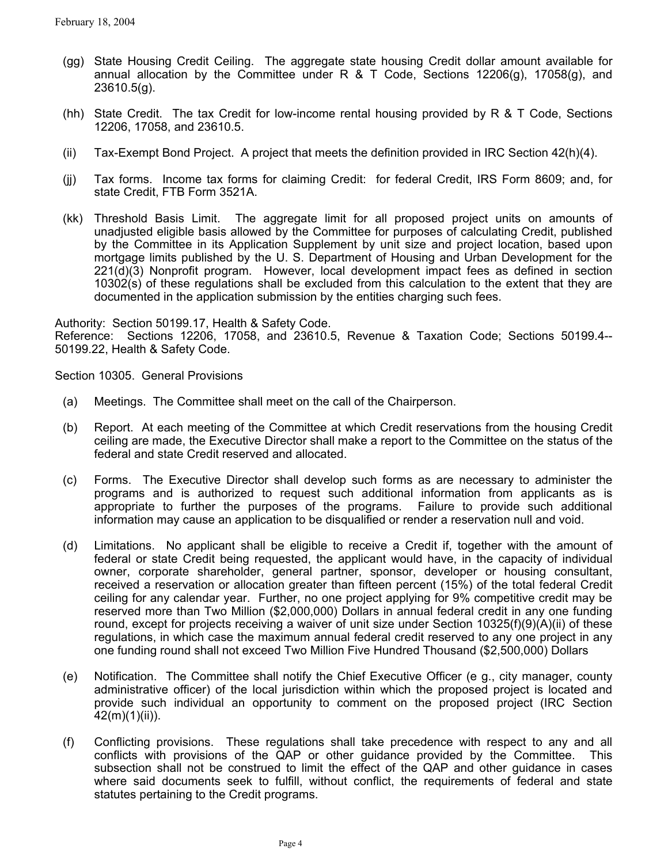- (gg) State Housing Credit Ceiling. The aggregate state housing Credit dollar amount available for annual allocation by the Committee under R & T Code, Sections 12206(g), 17058(g), and 23610.5(g).
- (hh) State Credit. The tax Credit for low-income rental housing provided by R & T Code, Sections 12206, 17058, and 23610.5.
- (ii) Tax-Exempt Bond Project. A project that meets the definition provided in IRC Section 42(h)(4).
- $(ii)$ Tax forms. Income tax forms for claiming Credit: for federal Credit, IRS Form 8609; and, for state Credit, FTB Form 3521A.
- (kk) Threshold Basis Limit. The aggregate limit for all proposed project units on amounts of unadjusted eligible basis allowed by the Committee for purposes of calculating Credit, published by the Committee in its Application Supplement by unit size and project location, based upon mortgage limits published by the U. S. Department of Housing and Urban Development for the 221(d)(3) Nonprofit program. However, local development impact fees as defined in section 10302(s) of these regulations shall be excluded from this calculation to the extent that they are documented in the application submission by the entities charging such fees.

Authority: Section 50199.17, Health & Safety Code.

Reference: Sections 12206, 17058, and 23610.5, Revenue & Taxation Code; Sections 50199.4-- 50199.22, Health & Safety Code.

Section 10305. General Provisions

- (a) Meetings. The Committee shall meet on the call of the Chairperson.
- (b) Report. At each meeting of the Committee at which Credit reservations from the housing Credit ceiling are made, the Executive Director shall make a report to the Committee on the status of the federal and state Credit reserved and allocated.
- (c) Forms. The Executive Director shall develop such forms as are necessary to administer the programs and is authorized to request such additional information from applicants as is appropriate to further the purposes of the programs. Failure to provide such additional information may cause an application to be disqualified or render a reservation null and void.
- (d) Limitations. No applicant shall be eligible to receive a Credit if, together with the amount of federal or state Credit being requested, the applicant would have, in the capacity of individual owner, corporate shareholder, general partner, sponsor, developer or housing consultant, received a reservation or allocation greater than fifteen percent (15%) of the total federal Credit ceiling for any calendar year. Further, no one project applying for 9% competitive credit may be reserved more than Two Million (\$2,000,000) Dollars in annual federal credit in any one funding round, except for projects receiving a waiver of unit size under Section 10325(f)(9)(A)(ii) of these regulations, in which case the maximum annual federal credit reserved to any one project in any one funding round shall not exceed Two Million Five Hundred Thousand (\$2,500,000) Dollars
- (e) Notification. The Committee shall notify the Chief Executive Officer (e g., city manager, county administrative officer) of the local jurisdiction within which the proposed project is located and provide such individual an opportunity to comment on the proposed project (IRC Section 42(m)(1)(ii)).
- (f) Conflicting provisions. These regulations shall take precedence with respect to any and all conflicts with provisions of the QAP or other guidance provided by the Committee. This subsection shall not be construed to limit the effect of the QAP and other guidance in cases where said documents seek to fulfill, without conflict, the requirements of federal and state statutes pertaining to the Credit programs.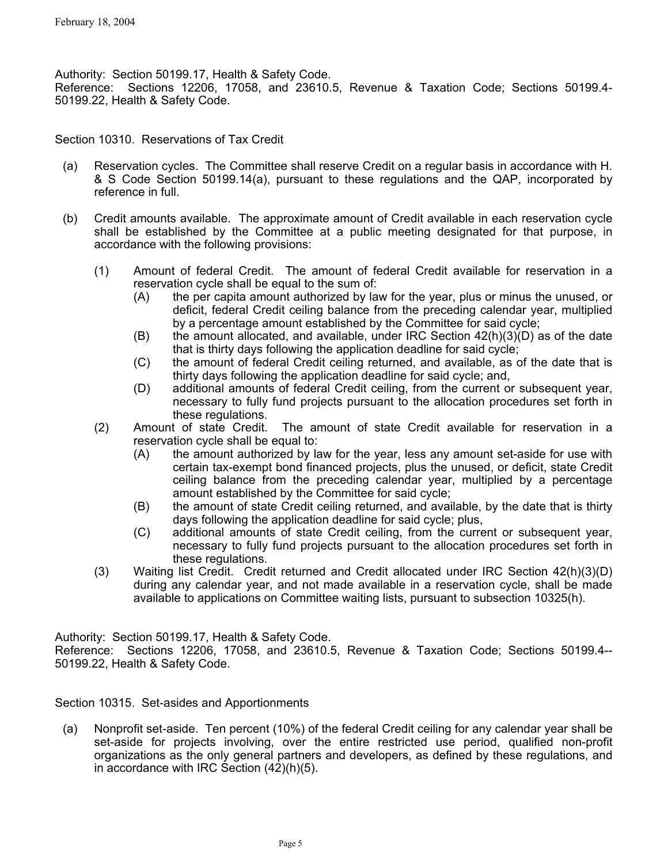Authority: Section 50199.17, Health & Safety Code.

Reference: Sections 12206, 17058, and 23610.5, Revenue & Taxation Code; Sections 50199.4- 50199.22, Health & Safety Code.

Section 10310. Reservations of Tax Credit

- (a) Reservation cycles. The Committee shall reserve Credit on a regular basis in accordance with H. & S Code Section 50199.14(a), pursuant to these regulations and the QAP, incorporated by reference in full.
- (b) Credit amounts available. The approximate amount of Credit available in each reservation cycle shall be established by the Committee at a public meeting designated for that purpose, in accordance with the following provisions:
	- (1) Amount of federal Credit. The amount of federal Credit available for reservation in a reservation cycle shall be equal to the sum of:
		- the per capita amount authorized by law for the year, plus or minus the unused, or deficit, federal Credit ceiling balance from the preceding calendar year, multiplied by a percentage amount established by the Committee for said cycle; (A)
		- (B) the amount allocated, and available, under IRC Section 42(h)(3)(D) as of the date that is thirty days following the application deadline for said cycle;
		- (C) the amount of federal Credit ceiling returned, and available, as of the date that is thirty days following the application deadline for said cycle; and,
		- (D) additional amounts of federal Credit ceiling, from the current or subsequent year, necessary to fully fund projects pursuant to the allocation procedures set forth in these regulations.
	- (2) Amount of state Credit. The amount of state Credit available for reservation in a reservation cycle shall be equal to:
		- (A) the amount authorized by law for the year, less any amount set-aside for use with certain tax-exempt bond financed projects, plus the unused, or deficit, state Credit ceiling balance from the preceding calendar year, multiplied by a percentage amount established by the Committee for said cycle;
		- (B) the amount of state Credit ceiling returned, and available, by the date that is thirty days following the application deadline for said cycle; plus,
		- (C) additional amounts of state Credit ceiling, from the current or subsequent year, necessary to fully fund projects pursuant to the allocation procedures set forth in these regulations.
	- (3) Waiting list Credit. Credit returned and Credit allocated under IRC Section 42(h)(3)(D) during any calendar year, and not made available in a reservation cycle, shall be made available to applications on Committee waiting lists, pursuant to subsection 10325(h).

Authority: Section 50199.17, Health & Safety Code.

Reference: Sections 12206, 17058, and 23610.5, Revenue & Taxation Code; Sections 50199.4-- 50199.22, Health & Safety Code.

Section 10315. Set-asides and Apportionments

(a) Nonprofit set-aside. Ten percent (10%) of the federal Credit ceiling for any calendar year shall be set-aside for projects involving, over the entire restricted use period, qualified non-profit organizations as the only general partners and developers, as defined by these regulations, and in accordance with IRC Section (42)(h)(5).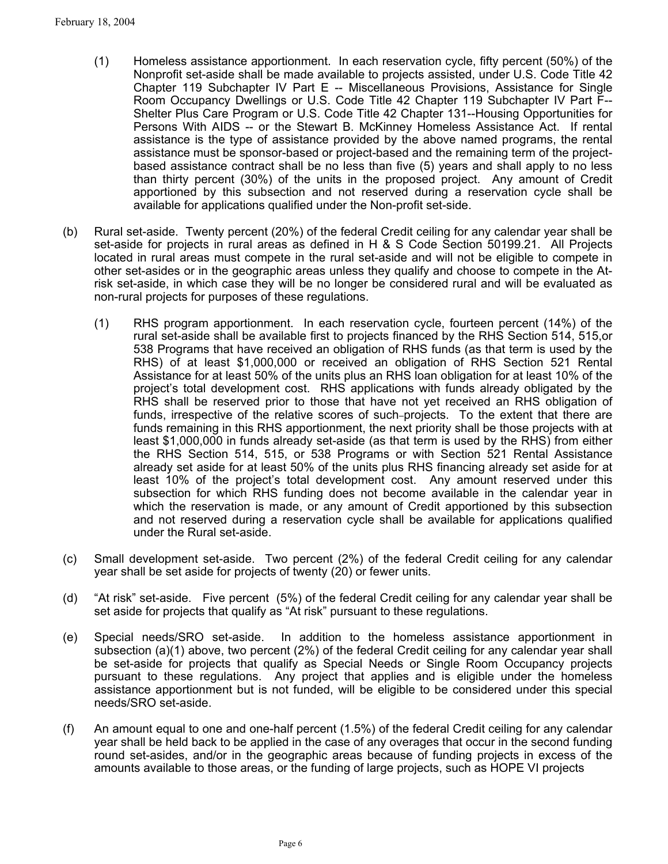- (1) Homeless assistance apportionment. In each reservation cycle, fifty percent (50%) of the Nonprofit set-aside shall be made available to projects assisted, under U.S. Code Title 42 Chapter 119 Subchapter IV Part E -- Miscellaneous Provisions, Assistance for Single Room Occupancy Dwellings or U.S. Code Title 42 Chapter 119 Subchapter IV Part F-- Shelter Plus Care Program or U.S. Code Title 42 Chapter 131--Housing Opportunities for Persons With AIDS -- or the Stewart B. McKinney Homeless Assistance Act. If rental assistance is the type of assistance provided by the above named programs, the rental assistance must be sponsor-based or project-based and the remaining term of the projectbased assistance contract shall be no less than five (5) years and shall apply to no less than thirty percent (30%) of the units in the proposed project. Any amount of Credit apportioned by this subsection and not reserved during a reservation cycle shall be available for applications qualified under the Non-profit set-side.
- (b) Rural set-aside. Twenty percent (20%) of the federal Credit ceiling for any calendar year shall be set-aside for projects in rural areas as defined in H & S Code Section 50199.21. All Projects located in rural areas must compete in the rural set-aside and will not be eligible to compete in other set-asides or in the geographic areas unless they qualify and choose to compete in the Atrisk set-aside, in which case they will be no longer be considered rural and will be evaluated as non-rural projects for purposes of these regulations.
	- (1) RHS program apportionment. In each reservation cycle, fourteen percent (14%) of the rural set-aside shall be available first to projects financed by the RHS Section 514, 515,or 538 Programs that have received an obligation of RHS funds (as that term is used by the RHS) of at least \$1,000,000 or received an obligation of RHS Section 521 Rental Assistance for at least 50% of the units plus an RHS loan obligation for at least 10% of the project's total development cost. RHS applications with funds already obligated by the RHS shall be reserved prior to those that have not yet received an RHS obligation of funds, irrespective of the relative scores of such projects. To the extent that there are funds remaining in this RHS apportionment, the next priority shall be those projects with at least \$1,000,000 in funds already set-aside (as that term is used by the RHS) from either the RHS Section 514, 515, or 538 Programs or with Section 521 Rental Assistance already set aside for at least 50% of the units plus RHS financing already set aside for at least 10% of the project's total development cost. Any amount reserved under this subsection for which RHS funding does not become available in the calendar year in which the reservation is made, or any amount of Credit apportioned by this subsection and not reserved during a reservation cycle shall be available for applications qualified under the Rural set-aside.
- (c) Small development set-aside. Two percent (2%) of the federal Credit ceiling for any calendar year shall be set aside for projects of twenty (20) or fewer units.
- (d) "At risk" set-aside. Five percent (5%) of the federal Credit ceiling for any calendar year shall be set aside for projects that qualify as "At risk" pursuant to these regulations.
- (e) Special needs/SRO set-aside. In addition to the homeless assistance apportionment in subsection (a)(1) above, two percent (2%) of the federal Credit ceiling for any calendar year shall be set-aside for projects that qualify as Special Needs or Single Room Occupancy projects pursuant to these regulations. Any project that applies and is eligible under the homeless assistance apportionment but is not funded, will be eligible to be considered under this special needs/SRO set-aside.
- (f) An amount equal to one and one-half percent (1.5%) of the federal Credit ceiling for any calendar year shall be held back to be applied in the case of any overages that occur in the second funding round set-asides, and/or in the geographic areas because of funding projects in excess of the amounts available to those areas, or the funding of large projects, such as HOPE VI projects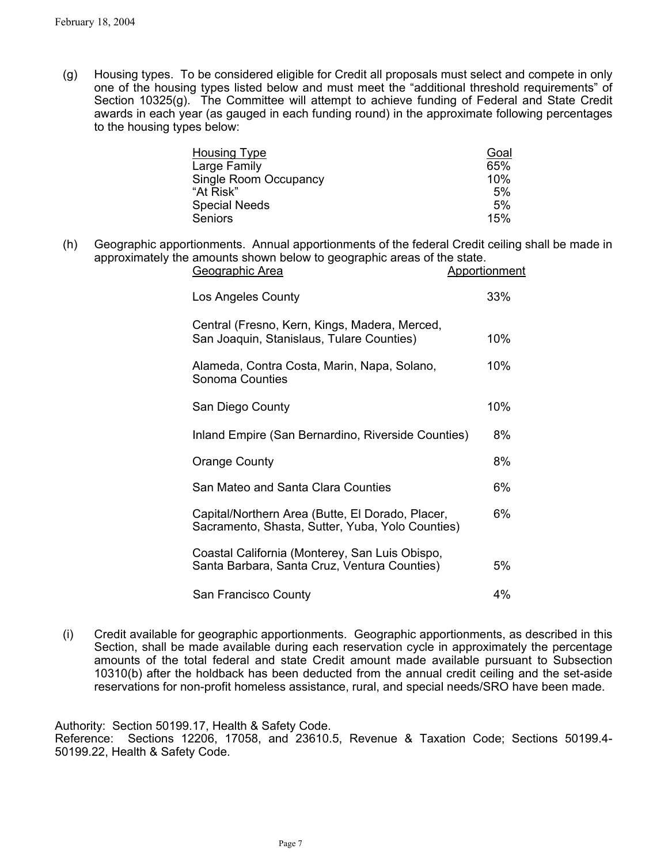(g) Housing types. To be considered eligible for Credit all proposals must select and compete in only one of the housing types listed below and must meet the "additional threshold requirements" of Section 10325(g). The Committee will attempt to achieve funding of Federal and State Credit awards in each year (as gauged in each funding round) in the approximate following percentages to the housing types below:

| <b>Housing Type</b>   | Goal |
|-----------------------|------|
| Large Family          | 65%  |
| Single Room Occupancy | 10%  |
| "At Risk"             | 5%   |
| <b>Special Needs</b>  | 5%   |
| <b>Seniors</b>        | 15%  |

(h) Geographic apportionments. Annual apportionments of the federal Credit ceiling shall be made in approximately the amounts shown below to geographic areas of the state.

| Geographic Area                                                                                      | Apportionment |
|------------------------------------------------------------------------------------------------------|---------------|
| Los Angeles County                                                                                   | 33%           |
| Central (Fresno, Kern, Kings, Madera, Merced,<br>San Joaquin, Stanislaus, Tulare Counties)           | 10%           |
| Alameda, Contra Costa, Marin, Napa, Solano,<br>Sonoma Counties                                       | 10%           |
| San Diego County                                                                                     | 10%           |
| Inland Empire (San Bernardino, Riverside Counties)                                                   | 8%            |
| <b>Orange County</b>                                                                                 | 8%            |
| San Mateo and Santa Clara Counties                                                                   | 6%            |
| Capital/Northern Area (Butte, El Dorado, Placer,<br>Sacramento, Shasta, Sutter, Yuba, Yolo Counties) | 6%            |
| Coastal California (Monterey, San Luis Obispo,<br>Santa Barbara, Santa Cruz, Ventura Counties)       | 5%            |
| San Francisco County                                                                                 | 4%            |

(i) Credit available for geographic apportionments. Geographic apportionments, as described in this Section, shall be made available during each reservation cycle in approximately the percentage amounts of the total federal and state Credit amount made available pursuant to Subsection 10310(b) after the holdback has been deducted from the annual credit ceiling and the set-aside reservations for non-profit homeless assistance, rural, and special needs/SRO have been made.

Authority: Section 50199.17, Health & Safety Code.

Reference: Sections 12206, 17058, and 23610.5, Revenue & Taxation Code; Sections 50199.4- 50199.22, Health & Safety Code.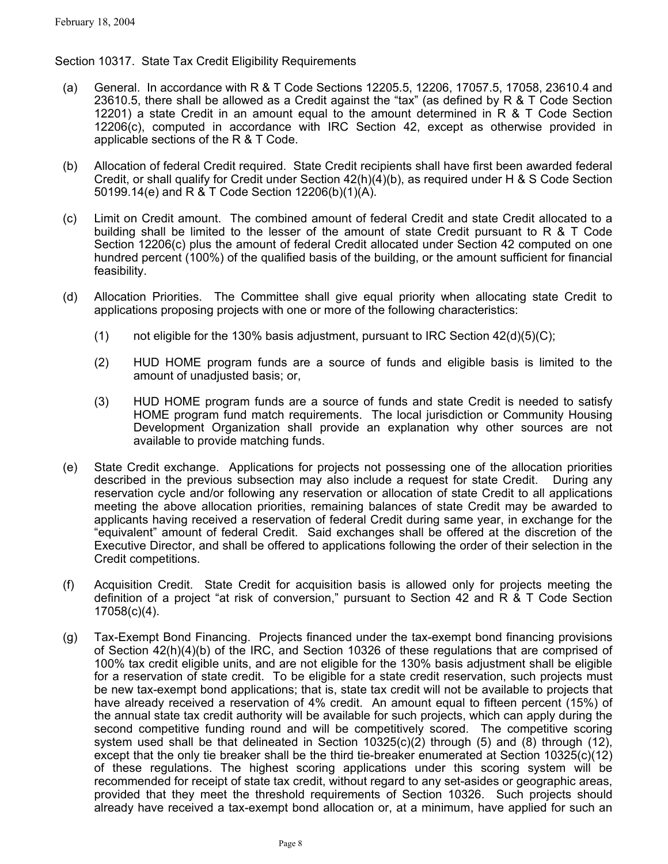# Section 10317. State Tax Credit Eligibility Requirements

- (a) General. In accordance with R & T Code Sections 12205.5, 12206, 17057.5, 17058, 23610.4 and 23610.5, there shall be allowed as a Credit against the "tax" (as defined by R & T Code Section 12201) a state Credit in an amount equal to the amount determined in R & T Code Section 12206(c), computed in accordance with IRC Section 42, except as otherwise provided in applicable sections of the R & T Code.
- (b) Allocation of federal Credit required. State Credit recipients shall have first been awarded federal Credit, or shall qualify for Credit under Section 42(h)(4)(b), as required under H & S Code Section 50199.14(e) and R & T Code Section 12206(b)(1)(A).
- (c) Limit on Credit amount. The combined amount of federal Credit and state Credit allocated to a building shall be limited to the lesser of the amount of state Credit pursuant to R & T Code Section 12206(c) plus the amount of federal Credit allocated under Section 42 computed on one hundred percent (100%) of the qualified basis of the building, or the amount sufficient for financial feasibility.
- (d) Allocation Priorities. The Committee shall give equal priority when allocating state Credit to applications proposing projects with one or more of the following characteristics:
	- (1) not eligible for the 130% basis adjustment, pursuant to IRC Section  $42(d)(5)(C)$ ;
	- (2) HUD HOME program funds are a source of funds and eligible basis is limited to the amount of unadjusted basis; or,
	- (3) HUD HOME program funds are a source of funds and state Credit is needed to satisfy HOME program fund match requirements. The local jurisdiction or Community Housing Development Organization shall provide an explanation why other sources are not available to provide matching funds.
- (e) State Credit exchange. Applications for projects not possessing one of the allocation priorities described in the previous subsection may also include a request for state Credit. During any reservation cycle and/or following any reservation or allocation of state Credit to all applications meeting the above allocation priorities, remaining balances of state Credit may be awarded to applicants having received a reservation of federal Credit during same year, in exchange for the "equivalent" amount of federal Credit. Said exchanges shall be offered at the discretion of the Executive Director, and shall be offered to applications following the order of their selection in the Credit competitions.
- (f) Acquisition Credit. State Credit for acquisition basis is allowed only for projects meeting the definition of a project "at risk of conversion," pursuant to Section 42 and R & T Code Section 17058(c)(4).
- (g) Tax-Exempt Bond Financing. Projects financed under the tax-exempt bond financing provisions of Section 42(h)(4)(b) of the IRC, and Section 10326 of these regulations that are comprised of 100% tax credit eligible units, and are not eligible for the 130% basis adjustment shall be eligible for a reservation of state credit. To be eligible for a state credit reservation, such projects must be new tax-exempt bond applications; that is, state tax credit will not be available to projects that have already received a reservation of 4% credit. An amount equal to fifteen percent (15%) of the annual state tax credit authority will be available for such projects, which can apply during the second competitive funding round and will be competitively scored. The competitive scoring system used shall be that delineated in Section  $10325(c)(2)$  through (5) and (8) through (12), except that the only tie breaker shall be the third tie-breaker enumerated at Section 10325(c)(12) of these regulations. The highest scoring applications under this scoring system will be recommended for receipt of state tax credit, without regard to any set-asides or geographic areas, provided that they meet the threshold requirements of Section 10326. Such projects should already have received a tax-exempt bond allocation or, at a minimum, have applied for such an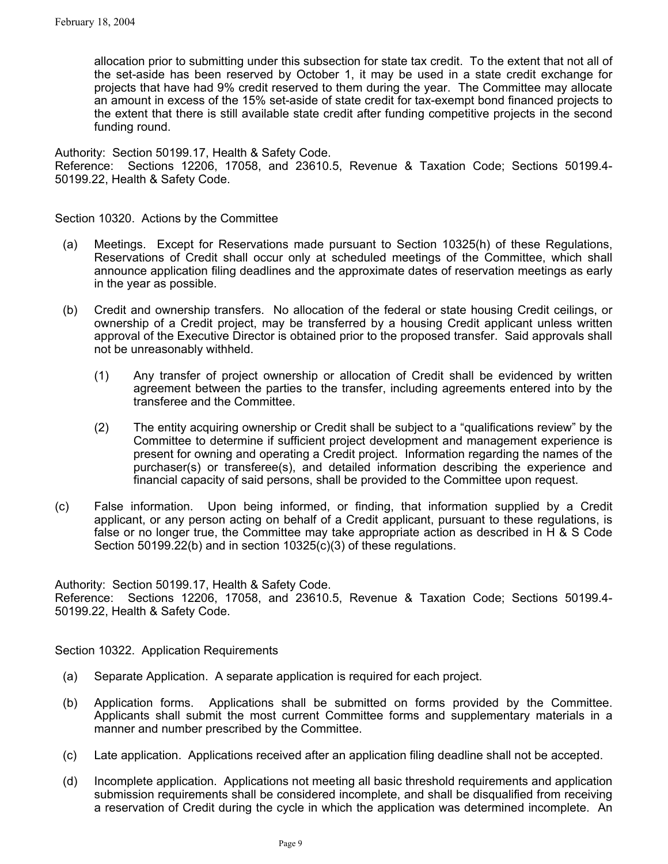allocation prior to submitting under this subsection for state tax credit. To the extent that not all of the set-aside has been reserved by October 1, it may be used in a state credit exchange for projects that have had 9% credit reserved to them during the year. The Committee may allocate an amount in excess of the 15% set-aside of state credit for tax-exempt bond financed projects to the extent that there is still available state credit after funding competitive projects in the second funding round.

Authority: Section 50199.17, Health & Safety Code. Reference: Sections 12206, 17058, and 23610.5, Revenue & Taxation Code; Sections 50199.4- 50199.22, Health & Safety Code.

Section 10320. Actions by the Committee

- (a) Meetings. Except for Reservations made pursuant to Section 10325(h) of these Regulations, Reservations of Credit shall occur only at scheduled meetings of the Committee, which shall announce application filing deadlines and the approximate dates of reservation meetings as early in the year as possible.
- (b) Credit and ownership transfers. No allocation of the federal or state housing Credit ceilings, or ownership of a Credit project, may be transferred by a housing Credit applicant unless written approval of the Executive Director is obtained prior to the proposed transfer. Said approvals shall not be unreasonably withheld.
	- (1) Any transfer of project ownership or allocation of Credit shall be evidenced by written agreement between the parties to the transfer, including agreements entered into by the transferee and the Committee.
	- (2) The entity acquiring ownership or Credit shall be subject to a "qualifications review" by the Committee to determine if sufficient project development and management experience is present for owning and operating a Credit project. Information regarding the names of the purchaser(s) or transferee(s), and detailed information describing the experience and financial capacity of said persons, shall be provided to the Committee upon request.
- (c) False information. Upon being informed, or finding, that information supplied by a Credit applicant, or any person acting on behalf of a Credit applicant, pursuant to these regulations, is false or no longer true, the Committee may take appropriate action as described in H & S Code Section 50199.22(b) and in section 10325(c)(3) of these regulations.

Authority: Section 50199.17, Health & Safety Code.

Reference: Sections 12206, 17058, and 23610.5, Revenue & Taxation Code; Sections 50199.4- 50199.22, Health & Safety Code.

Section 10322. Application Requirements

- (a) Separate Application. A separate application is required for each project.
- (b) Application forms. Applications shall be submitted on forms provided by the Committee. Applicants shall submit the most current Committee forms and supplementary materials in a manner and number prescribed by the Committee.
- (c) Late application. Applications received after an application filing deadline shall not be accepted.
- (d) Incomplete application. Applications not meeting all basic threshold requirements and application submission requirements shall be considered incomplete, and shall be disqualified from receiving a reservation of Credit during the cycle in which the application was determined incomplete. An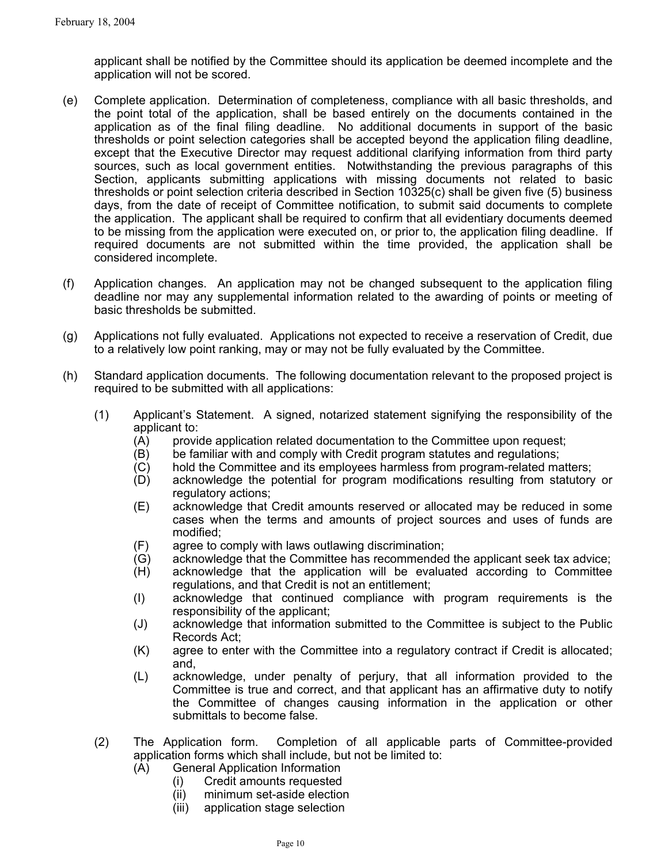applicant shall be notified by the Committee should its application be deemed incomplete and the application will not be scored.

- (e) Complete application. Determination of completeness, compliance with all basic thresholds, and the point total of the application, shall be based entirely on the documents contained in the application as of the final filing deadline. No additional documents in support of the basic thresholds or point selection categories shall be accepted beyond the application filing deadline, except that the Executive Director may request additional clarifying information from third party sources, such as local government entities. Notwithstanding the previous paragraphs of this Section, applicants submitting applications with missing documents not related to basic thresholds or point selection criteria described in Section 10325(c) shall be given five (5) business days, from the date of receipt of Committee notification, to submit said documents to complete the application. The applicant shall be required to confirm that all evidentiary documents deemed to be missing from the application were executed on, or prior to, the application filing deadline. If required documents are not submitted within the time provided, the application shall be considered incomplete.
- (f) Application changes. An application may not be changed subsequent to the application filing deadline nor may any supplemental information related to the awarding of points or meeting of basic thresholds be submitted.
- (g) Applications not fully evaluated. Applications not expected to receive a reservation of Credit, due to a relatively low point ranking, may or may not be fully evaluated by the Committee.
- (h) Standard application documents. The following documentation relevant to the proposed project is required to be submitted with all applications:
	- (1) Applicant's Statement. A signed, notarized statement signifying the responsibility of the applicant to:
		- (A) provide application related documentation to the Committee upon request;
		- (B) be familiar with and comply with Credit program statutes and regulations;
		- (C) hold the Committee and its employees harmless from program-related matters;
		- (D) acknowledge the potential for program modifications resulting from statutory or regulatory actions;
		- (E) acknowledge that Credit amounts reserved or allocated may be reduced in some cases when the terms and amounts of project sources and uses of funds are modified;
		- (F) agree to comply with laws outlawing discrimination;
		- (G) acknowledge that the Committee has recommended the applicant seek tax advice;
		- (H) acknowledge that the application will be evaluated according to Committee regulations, and that Credit is not an entitlement;
		- (I) acknowledge that continued compliance with program requirements is the responsibility of the applicant;
		- (J) acknowledge that information submitted to the Committee is subject to the Public Records Act;
		- (K) agree to enter with the Committee into a regulatory contract if Credit is allocated; and,
		- (L) acknowledge, under penalty of perjury, that all information provided to the Committee is true and correct, and that applicant has an affirmative duty to notify the Committee of changes causing information in the application or other submittals to become false.
	- (2) The Application form. Completion of all applicable parts of Committee-provided application forms which shall include, but not be limited to:
		- (A) General Application Information
			- (i) Credit amounts requested
			- (ii) minimum set-aside election
			- (iii) application stage selection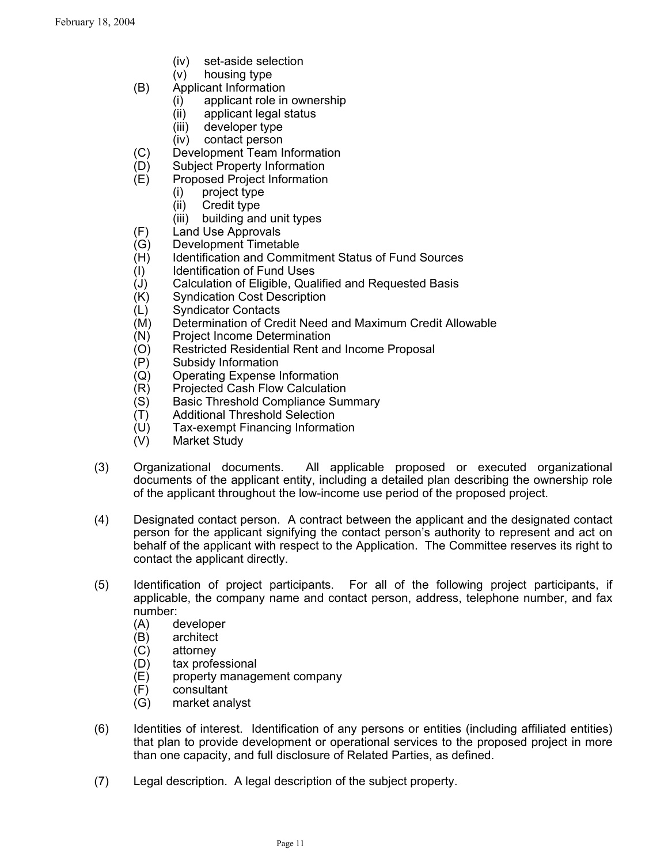- (iv) set-aside selection
- (v) housing type
- (B) Applicant Information
	- (i) applicant role in ownership
	- (ii) applicant legal status
	- (iii) developer type
	- (iv) contact person
- (C) Development Team Information
- (D) Subject Property Information
- (E) Proposed Project Information
	- (i) project type
	- (ii) Credit type
	- (iii) building and unit types
- (F) Land Use Approvals
- (G) Development Timetable
- (H) Identification and Commitment Status of Fund Sources
- (I) Identification of Fund Uses
- (J) Calculation of Eligible, Qualified and Requested Basis
- (K) Syndication Cost Description
- (L) Syndicator Contacts
- (M) Determination of Credit Need and Maximum Credit Allowable
- (N) Project Income Determination
- (O) Restricted Residential Rent and Income Proposal<br>(P) Subsidy Information
- 
- (P) Subsidy Information<br>(Q) Operating Expense I **Operating Expense Information**
- (R) Projected Cash Flow Calculation
- (S) Basic Threshold Compliance Summary
- (T) Additional Threshold Selection
- (U) Tax-exempt Financing Information
- (V) Market Study
- (3) Organizational documents. All applicable proposed or executed organizational documents of the applicant entity, including a detailed plan describing the ownership role of the applicant throughout the low-income use period of the proposed project.
- (4) Designated contact person. A contract between the applicant and the designated contact person for the applicant signifying the contact person's authority to represent and act on behalf of the applicant with respect to the Application. The Committee reserves its right to contact the applicant directly.
- (5) Identification of project participants. For all of the following project participants, if applicable, the company name and contact person, address, telephone number, and fax number:
	- (A) developer
	- (B) architect
	- (C) attorney
	- (D) tax professional
	- (E) property management company
	- (F) consultant
	- (G) market analyst
- (6) Identities of interest. Identification of any persons or entities (including affiliated entities) that plan to provide development or operational services to the proposed project in more than one capacity, and full disclosure of Related Parties, as defined.
- (7) Legal description. A legal description of the subject property.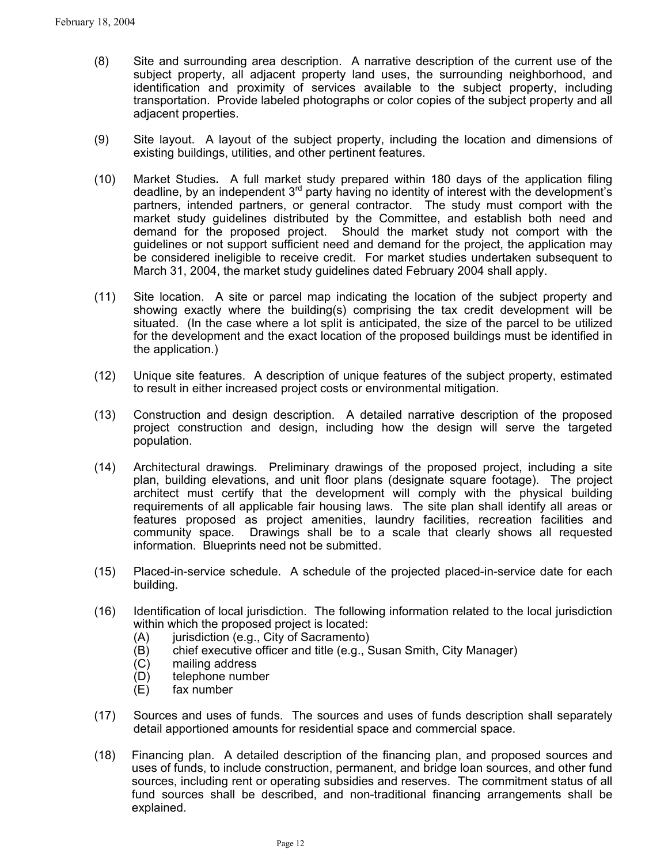- (8) Site and surrounding area description. A narrative description of the current use of the subject property, all adjacent property land uses, the surrounding neighborhood, and identification and proximity of services available to the subject property, including transportation. Provide labeled photographs or color copies of the subject property and all adjacent properties.
- (9) Site layout. A layout of the subject property, including the location and dimensions of existing buildings, utilities, and other pertinent features.
- (10) Market Studies**.** A full market study prepared within 180 days of the application filing deadline, by an independent  $3<sup>rd</sup>$  party having no identity of interest with the development's partners, intended partners, or general contractor. The study must comport with the market study guidelines distributed by the Committee, and establish both need and demand for the proposed project. Should the market study not comport with the guidelines or not support sufficient need and demand for the project, the application may be considered ineligible to receive credit. For market studies undertaken subsequent to March 31, 2004, the market study guidelines dated February 2004 shall apply.
- (11) Site location. A site or parcel map indicating the location of the subject property and showing exactly where the building(s) comprising the tax credit development will be situated. (In the case where a lot split is anticipated, the size of the parcel to be utilized for the development and the exact location of the proposed buildings must be identified in the application.)
- (12) Unique site features. A description of unique features of the subject property, estimated to result in either increased project costs or environmental mitigation.
- (13) Construction and design description. A detailed narrative description of the proposed project construction and design, including how the design will serve the targeted population.
- (14) Architectural drawings. Preliminary drawings of the proposed project, including a site plan, building elevations, and unit floor plans (designate square footage). The project architect must certify that the development will comply with the physical building requirements of all applicable fair housing laws. The site plan shall identify all areas or features proposed as project amenities, laundry facilities, recreation facilities and community space. Drawings shall be to a scale that clearly shows all requested information. Blueprints need not be submitted.
- (15) Placed-in-service schedule. A schedule of the projected placed-in-service date for each building.
- (16) Identification of local jurisdiction. The following information related to the local jurisdiction within which the proposed project is located:
	- (A) jurisdiction (e.g., City of Sacramento)
	- (B) chief executive officer and title (e.g., Susan Smith, City Manager)
	- (C) mailing address
	- (D) telephone number
	- (E) fax number
- (17) Sources and uses of funds. The sources and uses of funds description shall separately detail apportioned amounts for residential space and commercial space.
- (18) Financing plan. A detailed description of the financing plan, and proposed sources and uses of funds, to include construction, permanent, and bridge loan sources, and other fund sources, including rent or operating subsidies and reserves. The commitment status of all fund sources shall be described, and non-traditional financing arrangements shall be explained.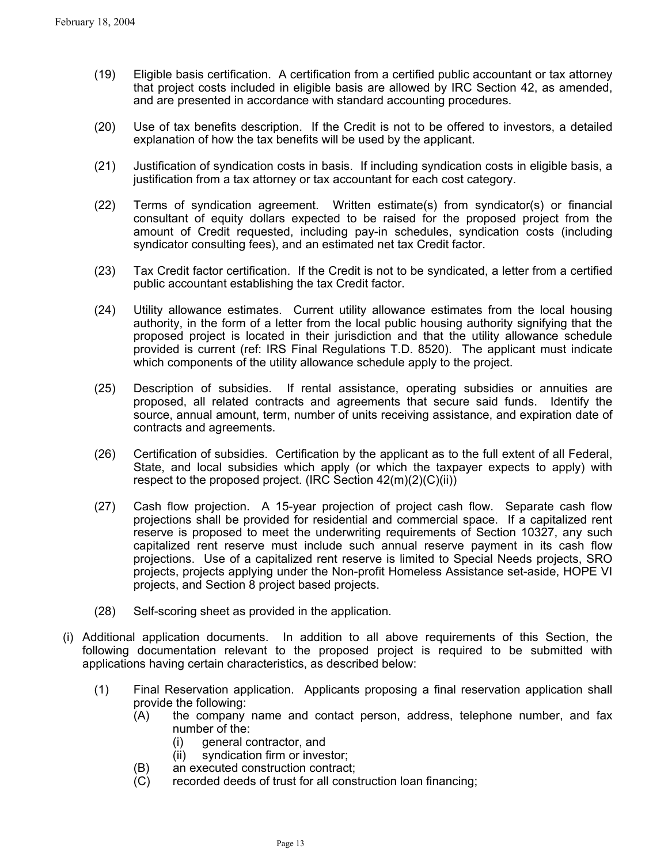- $(19)$ Eligible basis certification. A certification from a certified public accountant or tax attorney that project costs included in eligible basis are allowed by IRC Section 42, as amended, and are presented in accordance with standard accounting procedures.
- (20) Use of tax benefits description. If the Credit is not to be offered to investors, a detailed explanation of how the tax benefits will be used by the applicant.
- (21) Justification of syndication costs in basis. If including syndication costs in eligible basis, a justification from a tax attorney or tax accountant for each cost category.
- (22) Terms of syndication agreement. Written estimate(s) from syndicator(s) or financial consultant of equity dollars expected to be raised for the proposed project from the amount of Credit requested, including pay-in schedules, syndication costs (including syndicator consulting fees), and an estimated net tax Credit factor.
- (23) Tax Credit factor certification. If the Credit is not to be syndicated, a letter from a certified public accountant establishing the tax Credit factor.
- (24) Utility allowance estimates. Current utility allowance estimates from the local housing authority, in the form of a letter from the local public housing authority signifying that the proposed project is located in their jurisdiction and that the utility allowance schedule provided is current (ref: IRS Final Regulations T.D. 8520). The applicant must indicate which components of the utility allowance schedule apply to the project.
- (25) Description of subsidies. If rental assistance, operating subsidies or annuities are proposed, all related contracts and agreements that secure said funds. Identify the source, annual amount, term, number of units receiving assistance, and expiration date of contracts and agreements.
- (26) Certification of subsidies. Certification by the applicant as to the full extent of all Federal, State, and local subsidies which apply (or which the taxpayer expects to apply) with respect to the proposed project. (IRC Section 42(m)(2)(C)(ii))
- (27) Cash flow projection. A 15-year projection of project cash flow. Separate cash flow projections shall be provided for residential and commercial space. If a capitalized rent reserve is proposed to meet the underwriting requirements of Section 10327, any such capitalized rent reserve must include such annual reserve payment in its cash flow projections. Use of a capitalized rent reserve is limited to Special Needs projects, SRO projects, projects applying under the Non-profit Homeless Assistance set-aside, HOPE VI projects, and Section 8 project based projects.
- (28) Self-scoring sheet as provided in the application.
- (i) Additional application documents. In addition to all above requirements of this Section, the following documentation relevant to the proposed project is required to be submitted with applications having certain characteristics, as described below:
	- (1) Final Reservation application. Applicants proposing a final reservation application shall provide the following:
		- (A) the company name and contact person, address, telephone number, and fax number of the:
			- (i) general contractor, and
			- (ii) syndication firm or investor;
		- (B) an executed construction contract;
		- (C) recorded deeds of trust for all construction loan financing;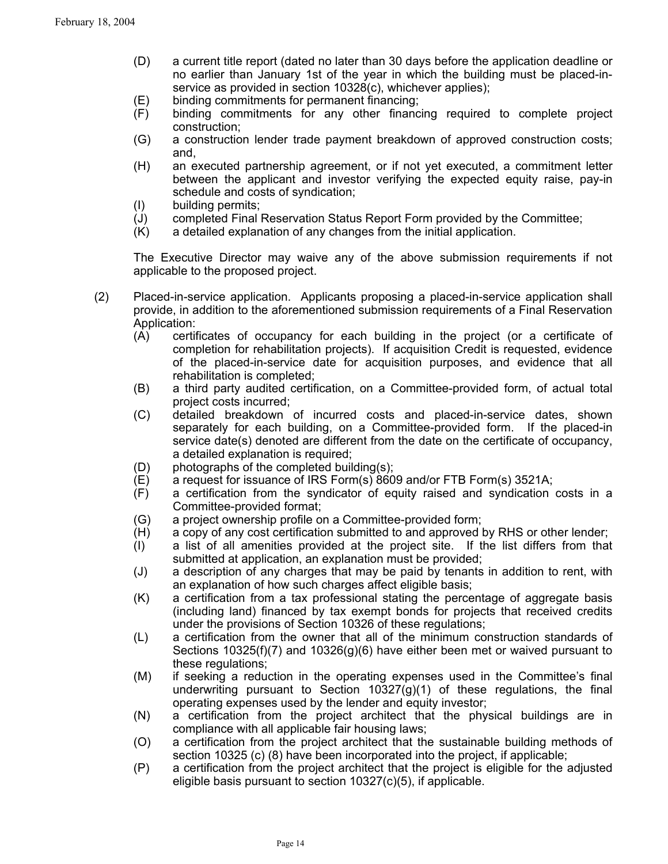- (D) a current title report (dated no later than 30 days before the application deadline or no earlier than January 1st of the year in which the building must be placed-inservice as provided in section 10328(c), whichever applies);
- (E) binding commitments for permanent financing;
- (F) binding commitments for any other financing required to complete project construction;
- (G) a construction lender trade payment breakdown of approved construction costs; and,
- (H) an executed partnership agreement, or if not yet executed, a commitment letter between the applicant and investor verifying the expected equity raise, pay-in schedule and costs of syndication;
- (I) building permits;
- (J) completed Final Reservation Status Report Form provided by the Committee;
- (K) a detailed explanation of any changes from the initial application.

The Executive Director may waive any of the above submission requirements if not applicable to the proposed project.

- (2) Placed-in-service application. Applicants proposing a placed-in-service application shall provide, in addition to the aforementioned submission requirements of a Final Reservation Application:
	- (A) certificates of occupancy for each building in the project (or a certificate of completion for rehabilitation projects). If acquisition Credit is requested, evidence of the placed-in-service date for acquisition purposes, and evidence that all rehabilitation is completed;
	- (B) a third party audited certification, on a Committee-provided form, of actual total project costs incurred;
	- (C) detailed breakdown of incurred costs and placed-in-service dates, shown separately for each building, on a Committee-provided form. If the placed-in service date(s) denoted are different from the date on the certificate of occupancy, a detailed explanation is required;
	- (D) photographs of the completed building(s);
	- (E) a request for issuance of IRS Form(s) 8609 and/or FTB Form(s) 3521A;
	- (F) a certification from the syndicator of equity raised and syndication costs in a Committee-provided format;
	- (G) a project ownership profile on a Committee-provided form;
	- (H) a copy of any cost certification submitted to and approved by RHS or other lender;
	- (I) a list of all amenities provided at the project site. If the list differs from that submitted at application, an explanation must be provided;
	- (J) a description of any charges that may be paid by tenants in addition to rent, with an explanation of how such charges affect eligible basis;
	- (K) a certification from a tax professional stating the percentage of aggregate basis (including land) financed by tax exempt bonds for projects that received credits under the provisions of Section 10326 of these regulations;
	- (L) a certification from the owner that all of the minimum construction standards of Sections 10325(f)(7) and 10326(g)(6) have either been met or waived pursuant to these regulations;
	- (M) if seeking a reduction in the operating expenses used in the Committee's final underwriting pursuant to Section 10327(g)(1) of these regulations, the final operating expenses used by the lender and equity investor;
	- (N) a certification from the project architect that the physical buildings are in compliance with all applicable fair housing laws;
	- (O) a certification from the project architect that the sustainable building methods of section 10325 (c) (8) have been incorporated into the project, if applicable;
	- (P) a certification from the project architect that the project is eligible for the adjusted eligible basis pursuant to section 10327(c)(5), if applicable.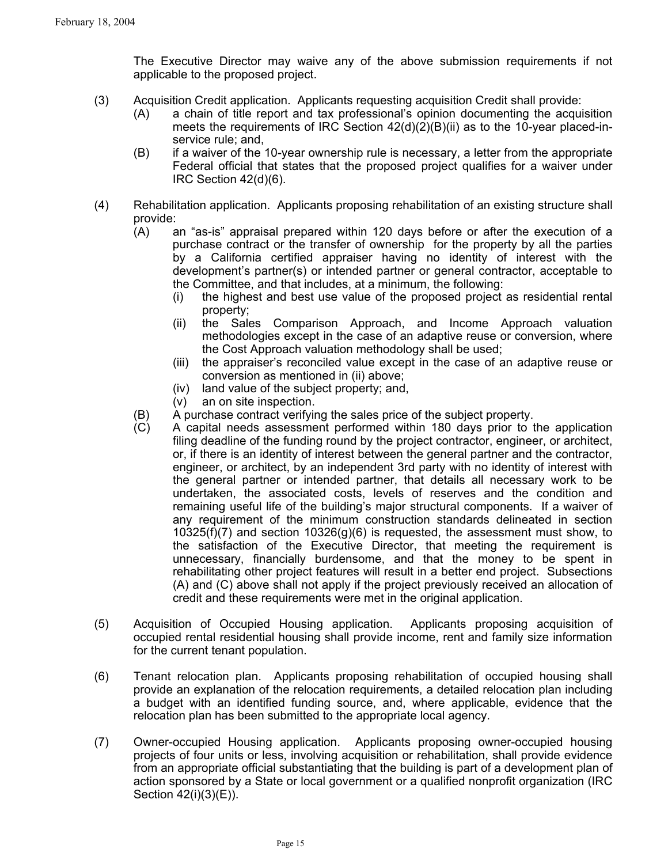The Executive Director may waive any of the above submission requirements if not applicable to the proposed project.

- (3) Acquisition Credit application. Applicants requesting acquisition Credit shall provide:
	- (A) a chain of title report and tax professional's opinion documenting the acquisition meets the requirements of IRC Section  $42(d)(2)(B)(ii)$  as to the 10-year placed-inservice rule; and,
	- (B) if a waiver of the 10-year ownership rule is necessary, a letter from the appropriate Federal official that states that the proposed project qualifies for a waiver under IRC Section 42(d)(6).
- (4) Rehabilitation application. Applicants proposing rehabilitation of an existing structure shall provide:
	- (A) an "as-is" appraisal prepared within 120 days before or after the execution of a purchase contract or the transfer of ownership for the property by all the parties by a California certified appraiser having no identity of interest with the development's partner(s) or intended partner or general contractor, acceptable to the Committee, and that includes, at a minimum, the following:
		- (i) the highest and best use value of the proposed project as residential rental property;
		- (ii) the Sales Comparison Approach, and Income Approach valuation methodologies except in the case of an adaptive reuse or conversion, where the Cost Approach valuation methodology shall be used;
		- (iii) the appraiser's reconciled value except in the case of an adaptive reuse or conversion as mentioned in (ii) above;
		- (iv) land value of the subject property; and,
		- (v) an on site inspection.
	- (B) A purchase contract verifying the sales price of the subject property.
	- (C) A capital needs assessment performed within 180 days prior to the application filing deadline of the funding round by the project contractor, engineer, or architect, or, if there is an identity of interest between the general partner and the contractor, engineer, or architect, by an independent 3rd party with no identity of interest with the general partner or intended partner, that details all necessary work to be undertaken, the associated costs, levels of reserves and the condition and remaining useful life of the building's major structural components. If a waiver of any requirement of the minimum construction standards delineated in section  $10325(f)(7)$  and section  $10326(g)(6)$  is requested, the assessment must show, to the satisfaction of the Executive Director, that meeting the requirement is unnecessary, financially burdensome, and that the money to be spent in rehabilitating other project features will result in a better end project. Subsections (A) and (C) above shall not apply if the project previously received an allocation of credit and these requirements were met in the original application.
- (5) Acquisition of Occupied Housing application. Applicants proposing acquisition of occupied rental residential housing shall provide income, rent and family size information for the current tenant population.
- (6) Tenant relocation plan. Applicants proposing rehabilitation of occupied housing shall provide an explanation of the relocation requirements, a detailed relocation plan including a budget with an identified funding source, and, where applicable, evidence that the relocation plan has been submitted to the appropriate local agency.
- (7) Owner-occupied Housing application. Applicants proposing owner-occupied housing projects of four units or less, involving acquisition or rehabilitation, shall provide evidence from an appropriate official substantiating that the building is part of a development plan of action sponsored by a State or local government or a qualified nonprofit organization (IRC Section 42(i)(3)(E)).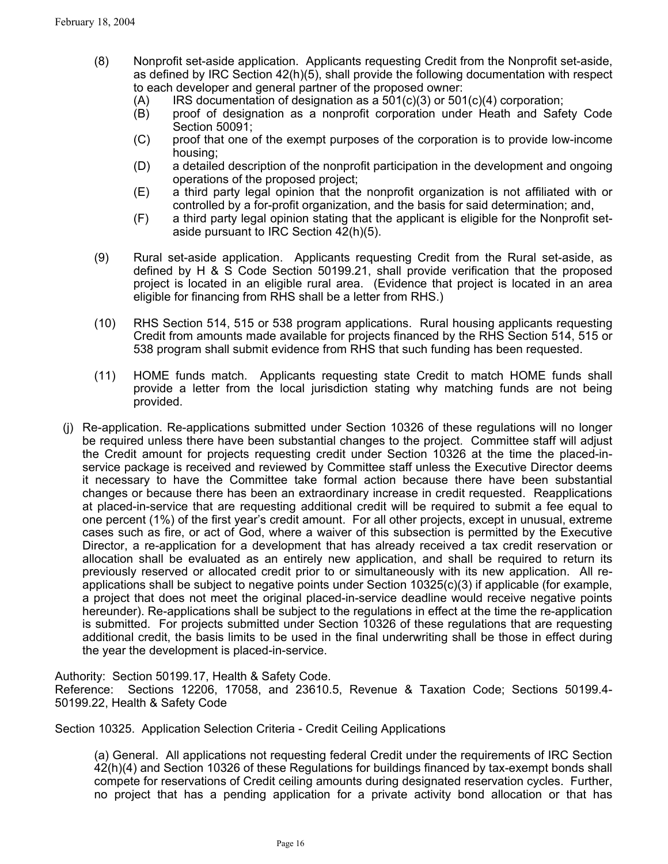- (8) Nonprofit set-aside application. Applicants requesting Credit from the Nonprofit set-aside, as defined by IRC Section 42(h)(5), shall provide the following documentation with respect to each developer and general partner of the proposed owner:
	- $(A)$  IRS documentation of designation as a 501 $(c)(3)$  or 501 $(c)(4)$  corporation;
	- (B) proof of designation as a nonprofit corporation under Heath and Safety Code Section 50091;
	- (C) proof that one of the exempt purposes of the corporation is to provide low-income housing;
	- (D) a detailed description of the nonprofit participation in the development and ongoing operations of the proposed project;
	- (E) a third party legal opinion that the nonprofit organization is not affiliated with or controlled by a for-profit organization, and the basis for said determination; and,
	- (F) a third party legal opinion stating that the applicant is eligible for the Nonprofit setaside pursuant to IRC Section 42(h)(5).
- (9) Rural set-aside application. Applicants requesting Credit from the Rural set-aside, as defined by H & S Code Section 50199.21, shall provide verification that the proposed project is located in an eligible rural area. (Evidence that project is located in an area eligible for financing from RHS shall be a letter from RHS.)
- (10) RHS Section 514, 515 or 538 program applications. Rural housing applicants requesting Credit from amounts made available for projects financed by the RHS Section 514, 515 or 538 program shall submit evidence from RHS that such funding has been requested.
- (11) HOME funds match. Applicants requesting state Credit to match HOME funds shall provide a letter from the local jurisdiction stating why matching funds are not being provided.
- (j) Re-application. Re-applications submitted under Section 10326 of these regulations will no longer be required unless there have been substantial changes to the project. Committee staff will adjust the Credit amount for projects requesting credit under Section 10326 at the time the placed-inservice package is received and reviewed by Committee staff unless the Executive Director deems it necessary to have the Committee take formal action because there have been substantial changes or because there has been an extraordinary increase in credit requested. Reapplications at placed-in-service that are requesting additional credit will be required to submit a fee equal to one percent (1%) of the first year's credit amount. For all other projects, except in unusual, extreme cases such as fire, or act of God, where a waiver of this subsection is permitted by the Executive Director, a re-application for a development that has already received a tax credit reservation or allocation shall be evaluated as an entirely new application, and shall be required to return its previously reserved or allocated credit prior to or simultaneously with its new application. All reapplications shall be subject to negative points under Section 10325(c)(3) if applicable (for example, a project that does not meet the original placed-in-service deadline would receive negative points hereunder). Re-applications shall be subject to the regulations in effect at the time the re-application is submitted. For projects submitted under Section 10326 of these regulations that are requesting additional credit, the basis limits to be used in the final underwriting shall be those in effect during the year the development is placed-in-service.

Authority: Section 50199.17, Health & Safety Code. Reference: Sections 12206, 17058, and 23610.5, Revenue & Taxation Code; Sections 50199.4- 50199.22, Health & Safety Code

Section 10325. Application Selection Criteria - Credit Ceiling Applications

(a) General. All applications not requesting federal Credit under the requirements of IRC Section 42(h)(4) and Section 10326 of these Regulations for buildings financed by tax-exempt bonds shall compete for reservations of Credit ceiling amounts during designated reservation cycles. Further, no project that has a pending application for a private activity bond allocation or that has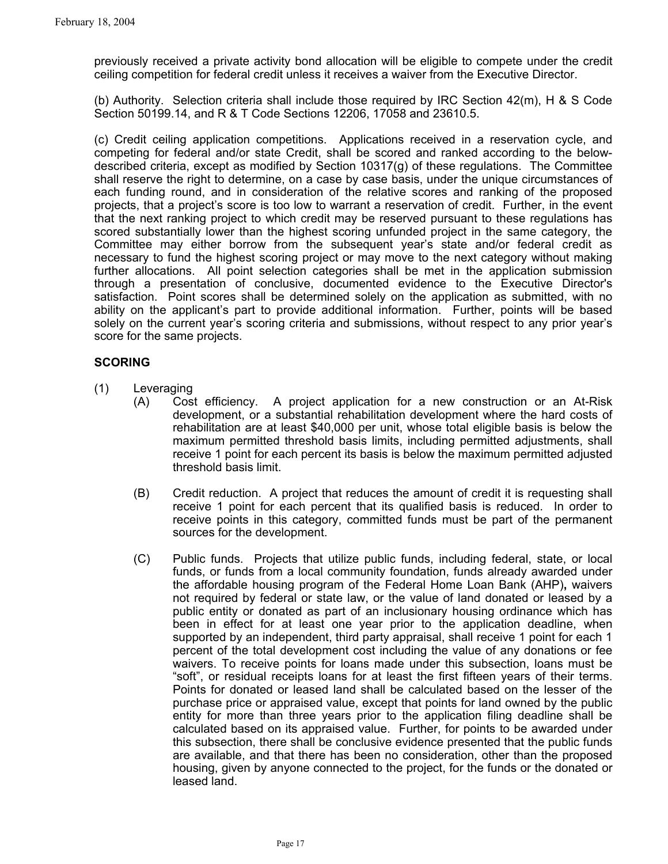previously received a private activity bond allocation will be eligible to compete under the credit ceiling competition for federal credit unless it receives a waiver from the Executive Director.

(b) Authority. Selection criteria shall include those required by IRC Section 42(m), H & S Code Section 50199.14, and R & T Code Sections 12206, 17058 and 23610.5.

(c) Credit ceiling application competitions. Applications received in a reservation cycle, and competing for federal and/or state Credit, shall be scored and ranked according to the belowdescribed criteria, except as modified by Section 10317(g) of these regulations. The Committee shall reserve the right to determine, on a case by case basis, under the unique circumstances of each funding round, and in consideration of the relative scores and ranking of the proposed projects, that a project's score is too low to warrant a reservation of credit. Further, in the event that the next ranking project to which credit may be reserved pursuant to these regulations has scored substantially lower than the highest scoring unfunded project in the same category, the Committee may either borrow from the subsequent year's state and/or federal credit as necessary to fund the highest scoring project or may move to the next category without making further allocations. All point selection categories shall be met in the application submission through a presentation of conclusive, documented evidence to the Executive Director's satisfaction. Point scores shall be determined solely on the application as submitted, with no ability on the applicant's part to provide additional information. Further, points will be based solely on the current year's scoring criteria and submissions, without respect to any prior year's score for the same projects.

## **SCORING**

- (1) Leveraging
	- (A) Cost efficiency. A project application for a new construction or an At-Risk development, or a substantial rehabilitation development where the hard costs of rehabilitation are at least \$40,000 per unit, whose total eligible basis is below the maximum permitted threshold basis limits, including permitted adjustments, shall receive 1 point for each percent its basis is below the maximum permitted adjusted threshold basis limit.
	- (B) Credit reduction. A project that reduces the amount of credit it is requesting shall receive 1 point for each percent that its qualified basis is reduced. In order to receive points in this category, committed funds must be part of the permanent sources for the development.
	- (C) Public funds. Projects that utilize public funds, including federal, state, or local funds, or funds from a local community foundation, funds already awarded under the affordable housing program of the Federal Home Loan Bank (AHP)**,** waivers not required by federal or state law, or the value of land donated or leased by a public entity or donated as part of an inclusionary housing ordinance which has been in effect for at least one year prior to the application deadline, when supported by an independent, third party appraisal, shall receive 1 point for each 1 percent of the total development cost including the value of any donations or fee waivers. To receive points for loans made under this subsection, loans must be "soft", or residual receipts loans for at least the first fifteen years of their terms. Points for donated or leased land shall be calculated based on the lesser of the purchase price or appraised value, except that points for land owned by the public entity for more than three years prior to the application filing deadline shall be calculated based on its appraised value. Further, for points to be awarded under this subsection, there shall be conclusive evidence presented that the public funds are available, and that there has been no consideration, other than the proposed housing, given by anyone connected to the project, for the funds or the donated or leased land.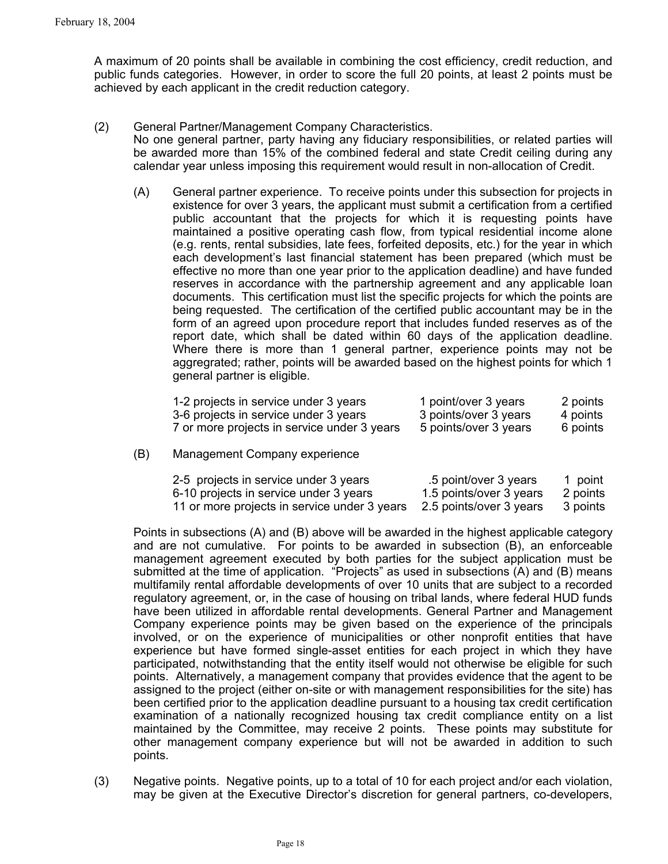A maximum of 20 points shall be available in combining the cost efficiency, credit reduction, and public funds categories. However, in order to score the full 20 points, at least 2 points must be achieved by each applicant in the credit reduction category.

- (2) General Partner/Management Company Characteristics. No one general partner, party having any fiduciary responsibilities, or related parties will be awarded more than 15% of the combined federal and state Credit ceiling during any calendar year unless imposing this requirement would result in non-allocation of Credit.
	- (A) General partner experience. To receive points under this subsection for projects in existence for over 3 years, the applicant must submit a certification from a certified public accountant that the projects for which it is requesting points have maintained a positive operating cash flow, from typical residential income alone (e.g. rents, rental subsidies, late fees, forfeited deposits, etc.) for the year in which each development's last financial statement has been prepared (which must be effective no more than one year prior to the application deadline) and have funded reserves in accordance with the partnership agreement and any applicable loan documents. This certification must list the specific projects for which the points are being requested. The certification of the certified public accountant may be in the form of an agreed upon procedure report that includes funded reserves as of the report date, which shall be dated within 60 days of the application deadline. Where there is more than 1 general partner, experience points may not be aggregrated; rather, points will be awarded based on the highest points for which 1 general partner is eligible.

| 1-2 projects in service under 3 years       | 1 point/over 3 years  | 2 points |
|---------------------------------------------|-----------------------|----------|
| 3-6 projects in service under 3 years       | 3 points/over 3 years | 4 points |
| 7 or more projects in service under 3 years | 5 points/over 3 years | 6 points |

(B) Management Company experience

| 2-5 projects in service under 3 years        | .5 point/over 3 years   | 1 point  |
|----------------------------------------------|-------------------------|----------|
| 6-10 projects in service under 3 years       | 1.5 points/over 3 years | 2 points |
| 11 or more projects in service under 3 years | 2.5 points/over 3 years | 3 points |

Points in subsections (A) and (B) above will be awarded in the highest applicable category and are not cumulative. For points to be awarded in subsection (B), an enforceable management agreement executed by both parties for the subject application must be submitted at the time of application. "Projects" as used in subsections (A) and (B) means multifamily rental affordable developments of over 10 units that are subject to a recorded regulatory agreement, or, in the case of housing on tribal lands, where federal HUD funds have been utilized in affordable rental developments. General Partner and Management Company experience points may be given based on the experience of the principals involved, or on the experience of municipalities or other nonprofit entities that have experience but have formed single-asset entities for each project in which they have participated, notwithstanding that the entity itself would not otherwise be eligible for such points. Alternatively, a management company that provides evidence that the agent to be assigned to the project (either on-site or with management responsibilities for the site) has been certified prior to the application deadline pursuant to a housing tax credit certification examination of a nationally recognized housing tax credit compliance entity on a list maintained by the Committee, may receive 2 points. These points may substitute for other management company experience but will not be awarded in addition to such points.

(3) Negative points. Negative points, up to a total of 10 for each project and/or each violation, may be given at the Executive Director's discretion for general partners, co-developers,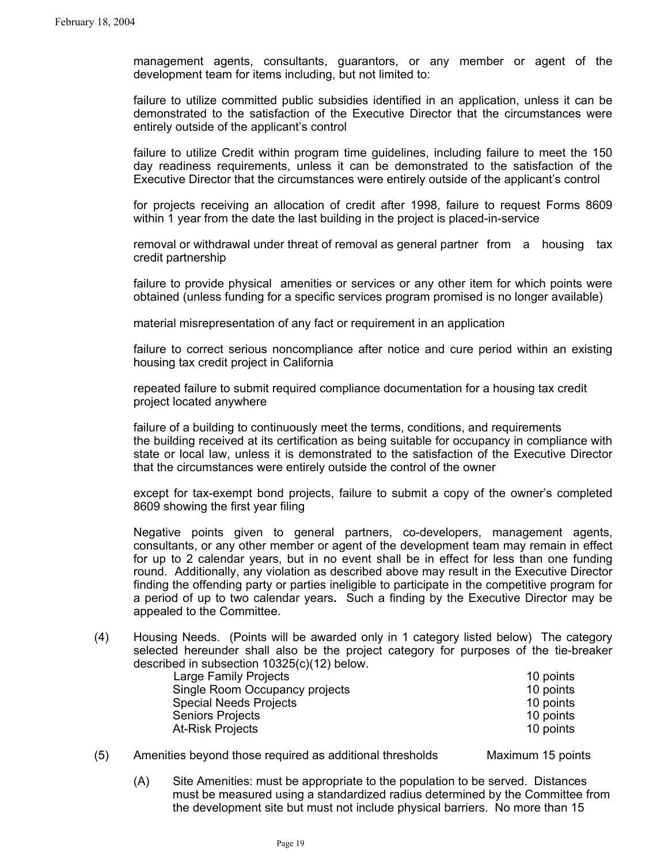management agents, consultants, guarantors, or any member or agent of the development team for items including, but not limited to:

failure to utilize committed public subsidies identified in an application, unless it can be demonstrated to the satisfaction of the Executive Director that the circumstances were entirely outside of the applicant's control

failure to utilize Credit within program time guidelines, including failure to meet the 150 day readiness requirements, unless it can be demonstrated to the satisfaction of the Executive Director that the circumstances were entirely outside of the applicant's control

for projects receiving an allocation of credit after 1998, failure to request Forms 8609 within 1 year from the date the last building in the project is placed-in-service

removal or withdrawal under threat of removal as general partner from a housing tax credit partnership

failure to provide physical amenities or services or any other item for which points were obtained (unless funding for a specific services program promised is no longer available)

material misrepresentation of any fact or requirement in an application

failure to correct serious noncompliance after notice and cure period within an existing housing tax credit project in California

repeated failure to submit required compliance documentation for a housing tax credit project located anywhere

failure of a building to continuously meet the terms, conditions, and requirements the building received at its certification as being suitable for occupancy in compliance with state or local law, unless it is demonstrated to the satisfaction of the Executive Director that the circumstances were entirely outside the control of the owner

except for tax-exempt bond projects, failure to submit a copy of the owner's completed 8609 showing the first year filing

Negative points given to general partners, co-developers, management agents, consultants, or any other member or agent of the development team may remain in effect for up to 2 calendar years, but in no event shall be in effect for less than one funding round. Additionally, any violation as described above may result in the Executive Director finding the offending party or parties ineligible to participate in the competitive program for a period of up to two calendar years*.* Such a finding by the Executive Director may be appealed to the Committee.

(4) Housing Needs. (Points will be awarded only in 1 category listed below) The category selected hereunder shall also be the project category for purposes of the tie-breaker described in subsection 10325(c)(12) below.

| Large Family Projects          | 10 points |
|--------------------------------|-----------|
| Single Room Occupancy projects | 10 points |
| <b>Special Needs Projects</b>  | 10 points |
| <b>Seniors Projects</b>        | 10 points |
| <b>At-Risk Projects</b>        | 10 points |

(5) Amenities beyond those required as additional thresholds Maximum 15 points

(A) Site Amenities: must be appropriate to the population to be served. Distances must be measured using a standardized radius determined by the Committee from the development site but must not include physical barriers. No more than 15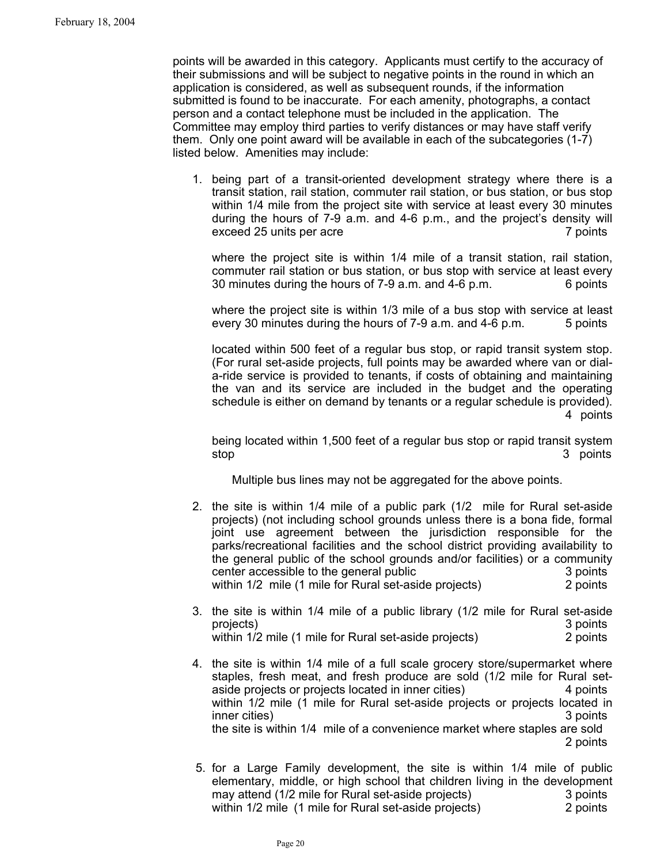points will be awarded in this category. Applicants must certify to the accuracy of their submissions and will be subject to negative points in the round in which an application is considered, as well as subsequent rounds, if the information submitted is found to be inaccurate. For each amenity, photographs, a contact person and a contact telephone must be included in the application. The Committee may employ third parties to verify distances or may have staff verify them. Only one point award will be available in each of the subcategories (1-7) listed below.Amenities may include:

1. being part of a transit-oriented development strategy where there is a transit station, rail station, commuter rail station, or bus station, or bus stop within 1/4 mile from the project site with service at least every 30 minutes during the hours of 7-9 a.m. and 4-6 p.m., and the project's density will exceed 25 units per acre 7 points

where the project site is within 1/4 mile of a transit station, rail station, commuter rail station or bus station, or bus stop with service at least every 30 minutes during the hours of 7-9 a.m. and 4-6 p.m. 6 points

where the project site is within 1/3 mile of a bus stop with service at least every 30 minutes during the hours of 7-9 a.m. and 4-6 p.m. 5 points

located within 500 feet of a regular bus stop, or rapid transit system stop. (For rural set-aside projects, full points may be awarded where van or diala-ride service is provided to tenants, if costs of obtaining and maintaining the van and its service are included in the budget and the operating schedule is either on demand by tenants or a regular schedule is provided). 4 points

being located within 1,500 feet of a regular bus stop or rapid transit system stop 3 points

Multiple bus lines may not be aggregated for the above points.

- 2. the site is within 1/4 mile of a public park (1/2 mile for Rural set-aside projects) (not including school grounds unless there is a bona fide, formal joint use agreement between the jurisdiction responsible for the parks/recreational facilities and the school district providing availability to the general public of the school grounds and/or facilities) or a community center accessible to the general public 3 points 3 points within 1/2 mile (1 mile for Rural set-aside projects) 2 points
- 3. the site is within 1/4 mile of a public library (1/2 mile for Rural set-aside projects) 3 points within 1/2 mile (1 mile for Rural set-aside projects) 2 points
- 4. the site is within 1/4 mile of a full scale grocery store/supermarket where staples, fresh meat, and fresh produce are sold (1/2 mile for Rural setaside projects or projects located in inner cities) 4 points within 1/2 mile (1 mile for Rural set-aside projects or projects located in inner cities) 3 points the site is within 1/4 mile of a convenience market where staples are sold 2 points
	- 5. for a Large Family development, the site is within 1/4 mile of public elementary, middle, or high school that children living in the development may attend (1/2 mile for Rural set-aside projects)3 points within 1/2 mile (1 mile for Rural set-aside projects) 2 points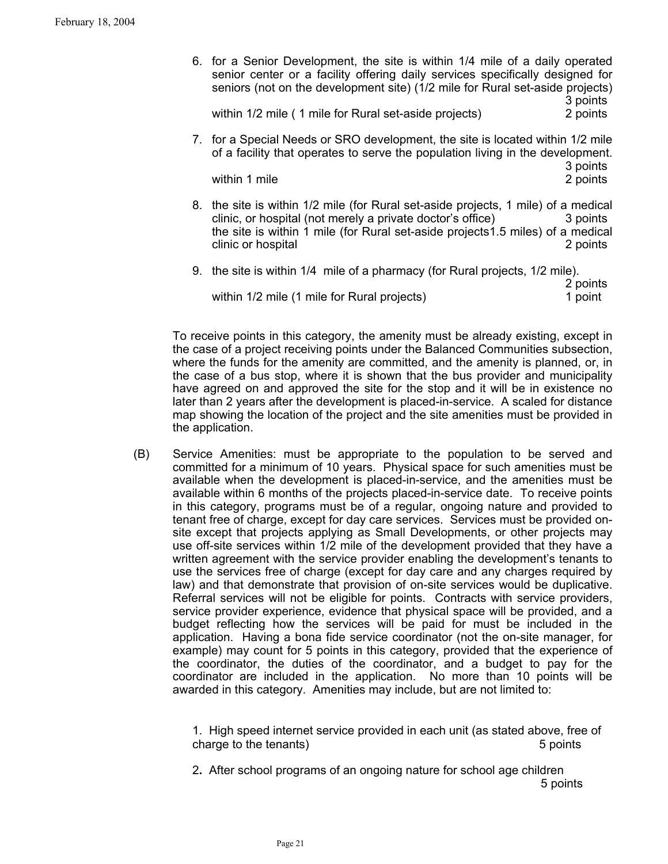6. for a Senior Development, the site is within 1/4 mile of a daily operated senior center or a facility offering daily services specifically designed for seniors (not on the development site) (1/2 mile for Rural set-aside projects) 3 points

within 1/2 mile ( 1 mile for Rural set-aside projects) 2 points

7. for a Special Needs or SRO development, the site is located within 1/2 mile of a facility that operates to serve the population living in the development. 3 points

within 1 mile 2 points

- 8. the site is within 1/2 mile (for Rural set-aside projects, 1 mile) of a medical clinic, or hospital (not merely a private doctor's office) 3 points the site is within 1 mile (for Rural set-aside projects1.5 miles) of a medical clinic or hospital 2 points
- 9. the site is within 1/4 mile of a pharmacy (for Rural projects, 1/2 mile). 2 points

within 1/2 mile (1 mile for Rural projects) 1 point

To receive points in this category, the amenity must be already existing, except in the case of a project receiving points under the Balanced Communities subsection, where the funds for the amenity are committed, and the amenity is planned, or, in the case of a bus stop, where it is shown that the bus provider and municipality have agreed on and approved the site for the stop and it will be in existence no later than 2 years after the development is placed-in-service. A scaled for distance map showing the location of the project and the site amenities must be provided in the application.

(B) Service Amenities: must be appropriate to the population to be served and committed for a minimum of 10 years. Physical space for such amenities must be available when the development is placed-in-service, and the amenities must be available within 6 months of the projects placed-in-service date. To receive points in this category, programs must be of a regular, ongoing nature and provided to tenant free of charge, except for day care services. Services must be provided onsite except that projects applying as Small Developments, or other projects may use off-site services within 1/2 mile of the development provided that they have a written agreement with the service provider enabling the development's tenants to use the services free of charge (except for day care and any charges required by law) and that demonstrate that provision of on-site services would be duplicative. Referral services will not be eligible for points. Contracts with service providers, service provider experience, evidence that physical space will be provided, and a budget reflecting how the services will be paid for must be included in the application. Having a bona fide service coordinator (not the on-site manager, for example) may count for 5 points in this category, provided that the experience of the coordinator, the duties of the coordinator, and a budget to pay for the coordinator are included in the application. No more than 10 points will be awarded in this category. Amenities may include, but are not limited to:

> 1. High speed internet service provided in each unit (as stated above, free of charge to the tenants) 5 points 5 points

2**.** After school programs of an ongoing nature for school age children 5 points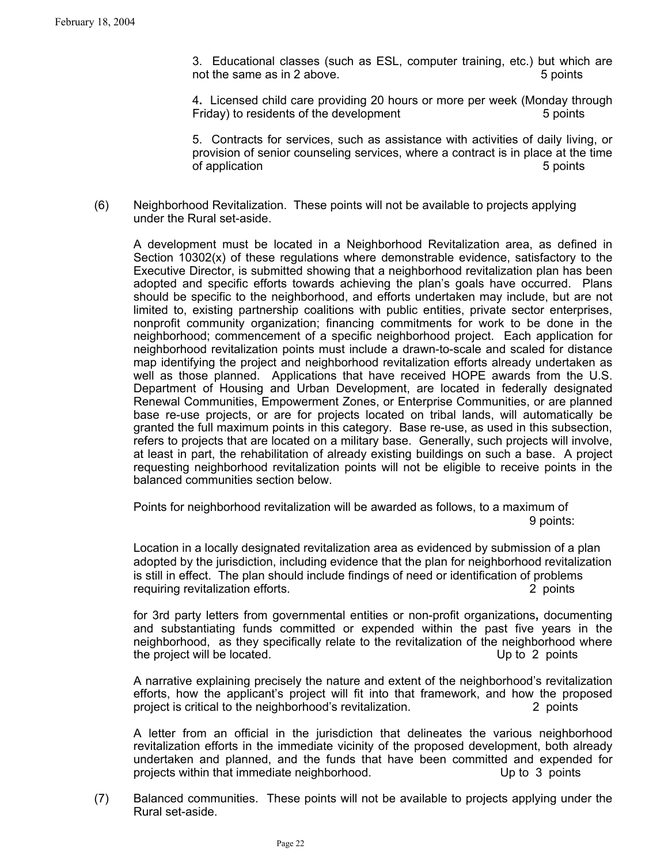3. Educational classes (such as ESL, computer training, etc.) but which are not the same as in 2 above. The same state of the same state of the same state of the same state of the same s

4**.** Licensed child care providing 20 hours or more per week (Monday through Friday) to residents of the development 5 points

5. Contracts for services, such as assistance with activities of daily living, or provision of senior counseling services, where a contract is in place at the time of application 5 points of application  $\sim$  5 points of application  $\sim$  5 points of application  $\sim$  5 points of application  $\sim$  5 points of application  $\sim$  5 points of application  $\sim$  5 points of application  $\sim$  5 po

(6) Neighborhood Revitalization. These points will not be available to projects applying under the Rural set-aside.

A development must be located in a Neighborhood Revitalization area, as defined in Section  $10302(x)$  of these regulations where demonstrable evidence, satisfactory to the Executive Director, is submitted showing that a neighborhood revitalization plan has been adopted and specific efforts towards achieving the plan's goals have occurred. Plans should be specific to the neighborhood, and efforts undertaken may include, but are not limited to, existing partnership coalitions with public entities, private sector enterprises, nonprofit community organization; financing commitments for work to be done in the neighborhood; commencement of a specific neighborhood project. Each application for neighborhood revitalization points must include a drawn-to-scale and scaled for distance map identifying the project and neighborhood revitalization efforts already undertaken as well as those planned. Applications that have received HOPE awards from the U.S. Department of Housing and Urban Development, are located in federally designated Renewal Communities, Empowerment Zones, or Enterprise Communities, or are planned base re-use projects, or are for projects located on tribal lands, will automatically be granted the full maximum points in this category. Base re-use, as used in this subsection, refers to projects that are located on a military base. Generally, such projects will involve, at least in part, the rehabilitation of already existing buildings on such a base. A project requesting neighborhood revitalization points will not be eligible to receive points in the balanced communities section below.

Points for neighborhood revitalization will be awarded as follows, to a maximum of 9 points:

Location in a locally designated revitalization area as evidenced by submission of a plan adopted by the jurisdiction, including evidence that the plan for neighborhood revitalization is still in effect. The plan should include findings of need or identification of problems requiring revitalization efforts. 2 points

for 3rd party letters from governmental entities or non-profit organizations**,** documenting and substantiating funds committed or expended within the past five years in the neighborhood, as they specifically relate to the revitalization of the neighborhood where the project will be located. Up to 2 points

A narrative explaining precisely the nature and extent of the neighborhood's revitalization efforts, how the applicant's project will fit into that framework, and how the proposed project is critical to the neighborhood's revitalization. 2 points

A letter from an official in the jurisdiction that delineates the various neighborhood revitalization efforts in the immediate vicinity of the proposed development, both already undertaken and planned, and the funds that have been committed and expended for projects within that immediate neighborhood. Up to 3 points

(7) Balanced communities. These points will not be available to projects applying under the Rural set-aside.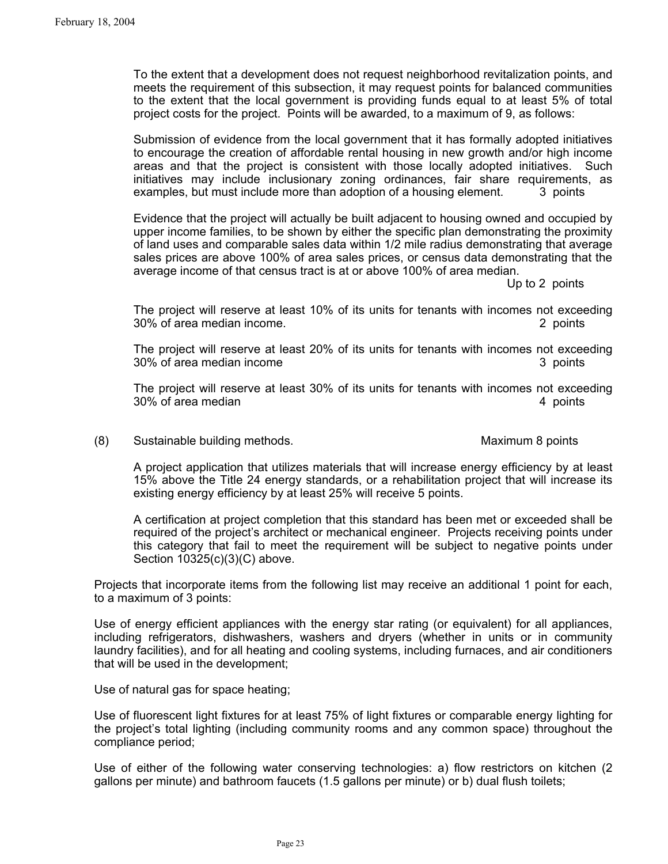To the extent that a development does not request neighborhood revitalization points, and meets the requirement of this subsection, it may request points for balanced communities to the extent that the local government is providing funds equal to at least 5% of total project costs for the project. Points will be awarded, to a maximum of 9, as follows:

Submission of evidence from the local government that it has formally adopted initiatives to encourage the creation of affordable rental housing in new growth and/or high income areas and that the project is consistent with those locally adopted initiatives. Such initiatives may include inclusionary zoning ordinances, fair share requirements, as examples, but must include more than adoption of a housing element. 3 points

Evidence that the project will actually be built adjacent to housing owned and occupied by upper income families, to be shown by either the specific plan demonstrating the proximity of land uses and comparable sales data within 1/2 mile radius demonstrating that average sales prices are above 100% of area sales prices, or census data demonstrating that the average income of that census tract is at or above 100% of area median.

Up to 2 points

The project will reserve at least 10% of its units for tenants with incomes not exceeding 30% of area median income. 2 points

The project will reserve at least 20% of its units for tenants with incomes not exceeding 30% of area median income 3 points 3 points

The project will reserve at least 30% of its units for tenants with incomes not exceeding 30% of area median 4 points and the set of a points and the set of a points and the set of a points and the set of a points and the set of a points and the set of a points and the set of a points and the set of a set of a

(8) Sustainable building methods.Maximum 8 points

A project application that utilizes materials that will increase energy efficiency by at least 15% above the Title 24 energy standards, or a rehabilitation project that will increase its existing energy efficiency by at least 25% will receive 5 points.

A certification at project completion that this standard has been met or exceeded shall be required of the project's architect or mechanical engineer. Projects receiving points under this category that fail to meet the requirement will be subject to negative points under Section 10325(c)(3)(C) above.

Projects that incorporate items from the following list may receive an additional 1 point for each, to a maximum of 3 points:

Use of energy efficient appliances with the energy star rating (or equivalent) for all appliances, including refrigerators, dishwashers, washers and dryers (whether in units or in community laundry facilities), and for all heating and cooling systems, including furnaces, and air conditioners that will be used in the development;

Use of natural gas for space heating;

Use of fluorescent light fixtures for at least 75% of light fixtures or comparable energy lighting for the project's total lighting (including community rooms and any common space) throughout the compliance period;

Use of either of the following water conserving technologies: a) flow restrictors on kitchen (2 gallons per minute) and bathroom faucets (1.5 gallons per minute) or b) dual flush toilets;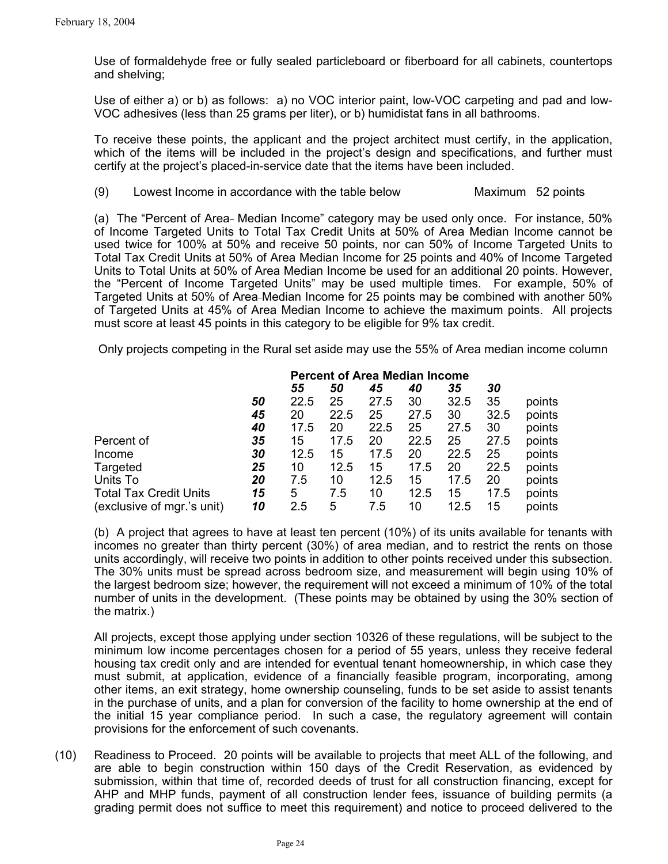Use of formaldehyde free or fully sealed particleboard or fiberboard for all cabinets, countertops and shelving;

Use of either a) or b) as follows: a) no VOC interior paint, low-VOC carpeting and pad and low-VOC adhesives (less than 25 grams per liter), or b) humidistat fans in all bathrooms.

To receive these points, the applicant and the project architect must certify, in the application, which of the items will be included in the project's design and specifications, and further must certify at the project's placed-in-service date that the items have been included.

(9) Lowest Income in accordance with the table below Maximum 52 points

(a) The "Percent of Area- Median Income" category may be used only once. For instance, 50% of Income Targeted Units to Total Tax Credit Units at 50% of Area Median Income cannot be used twice for 100% at 50% and receive 50 points, nor can 50% of Income Targeted Units to Total Tax Credit Units at 50% of Area Median Income for 25 points and 40% of Income Targeted Units to Total Units at 50% of Area Median Income be used for an additional 20 points. However, the "Percent of Income Targeted Units" may be used multiple times. For example, 50% of Targeted Units at 50% of Area Median Income for 25 points may be combined with another 50% of Targeted Units at 45% of Area Median Income to achieve the maximum points. All projects must score at least 45 points in this category to be eligible for 9% tax credit.

Only projects competing in the Rural set aside may use the 55% of Area median income column

|                               |    | <b>Percent of Area Median Income</b> |      |      |      |      |      |        |
|-------------------------------|----|--------------------------------------|------|------|------|------|------|--------|
|                               |    | 55                                   | 50   | 45   | 40   | 35   | 30   |        |
|                               | 50 | 22.5                                 | 25   | 27.5 | 30   | 32.5 | 35   | points |
|                               | 45 | 20                                   | 22.5 | 25   | 27.5 | 30   | 32.5 | points |
|                               | 40 | 17.5                                 | 20   | 22.5 | 25   | 27.5 | 30   | points |
| Percent of                    | 35 | 15                                   | 17.5 | 20   | 22.5 | 25   | 27.5 | points |
| Income                        | 30 | 12.5                                 | 15   | 17.5 | 20   | 22.5 | 25   | points |
| Targeted                      | 25 | 10                                   | 12.5 | 15   | 17.5 | 20   | 22.5 | points |
| Units To                      | 20 | 7.5                                  | 10   | 12.5 | 15   | 17.5 | 20   | points |
| <b>Total Tax Credit Units</b> | 15 | 5                                    | 7.5  | 10   | 12.5 | 15   | 17.5 | points |
| (exclusive of mgr.'s unit)    | 10 | 2.5                                  | 5    | 7.5  | 10   | 12.5 | 15   | points |

(b) A project that agrees to have at least ten percent (10%) of its units available for tenants with incomes no greater than thirty percent (30%) of area median, and to restrict the rents on those units accordingly, will receive two points in addition to other points received under this subsection. The 30% units must be spread across bedroom size, and measurement will begin using 10% of the largest bedroom size; however, the requirement will not exceed a minimum of 10% of the total number of units in the development. (These points may be obtained by using the 30% section of the matrix.)

All projects, except those applying under section 10326 of these regulations, will be subject to the minimum low income percentages chosen for a period of 55 years, unless they receive federal housing tax credit only and are intended for eventual tenant homeownership, in which case they must submit, at application, evidence of a financially feasible program, incorporating, among other items, an exit strategy, home ownership counseling, funds to be set aside to assist tenants in the purchase of units, and a plan for conversion of the facility to home ownership at the end of the initial 15 year compliance period. In such a case, the regulatory agreement will contain provisions for the enforcement of such covenants.

(10) Readiness to Proceed. 20 points will be available to projects that meet ALL of the following, and are able to begin construction within 150 days of the Credit Reservation, as evidenced by submission, within that time of, recorded deeds of trust for all construction financing, except for AHP and MHP funds, payment of all construction lender fees, issuance of building permits (a grading permit does not suffice to meet this requirement) and notice to proceed delivered to the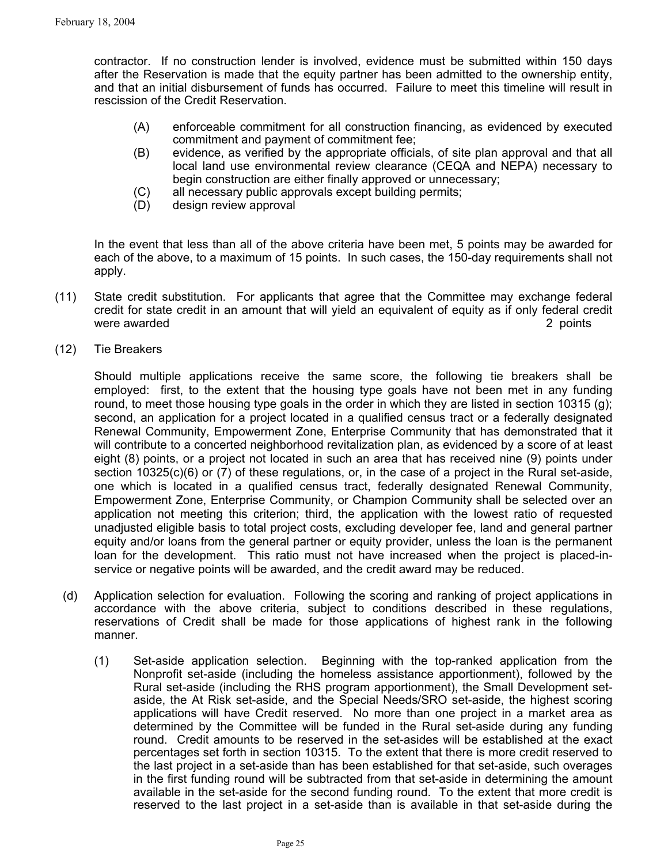contractor. If no construction lender is involved, evidence must be submitted within 150 days after the Reservation is made that the equity partner has been admitted to the ownership entity, and that an initial disbursement of funds has occurred. Failure to meet this timeline will result in rescission of the Credit Reservation.

- (A) enforceable commitment for all construction financing, as evidenced by executed commitment and payment of commitment fee;
- (B) evidence, as verified by the appropriate officials, of site plan approval and that all local land use environmental review clearance (CEQA and NEPA) necessary to begin construction are either finally approved or unnecessary;
- (C) all necessary public approvals except building permits;
- (D) design review approval

In the event that less than all of the above criteria have been met, 5 points may be awarded for each of the above, to a maximum of 15 points. In such cases, the 150-day requirements shall not apply.

- (11) State credit substitution. For applicants that agree that the Committee may exchange federal credit for state credit in an amount that will yield an equivalent of equity as if only federal credit were awarded **2** points **2** points **2** points **2** points **2** points **2** points **2** points **2** points **2** points **2** points **2** points **2** points **2** points **2** points **2** points **2** points **2** points **2** points **2** points
- (12) Tie Breakers

Should multiple applications receive the same score, the following tie breakers shall be employed: first, to the extent that the housing type goals have not been met in any funding round, to meet those housing type goals in the order in which they are listed in section 10315 (g); second, an application for a project located in a qualified census tract or a federally designated Renewal Community, Empowerment Zone, Enterprise Community that has demonstrated that it will contribute to a concerted neighborhood revitalization plan, as evidenced by a score of at least eight (8) points, or a project not located in such an area that has received nine (9) points under section 10325(c)(6) or (7) of these regulations, or, in the case of a project in the Rural set-aside, one which is located in a qualified census tract, federally designated Renewal Community, Empowerment Zone, Enterprise Community, or Champion Community shall be selected over an application not meeting this criterion; third, the application with the lowest ratio of requested unadjusted eligible basis to total project costs, excluding developer fee, land and general partner equity and/or loans from the general partner or equity provider, unless the loan is the permanent loan for the development. This ratio must not have increased when the project is placed-inservice or negative points will be awarded, and the credit award may be reduced.

- (d) Application selection for evaluation. Following the scoring and ranking of project applications in accordance with the above criteria, subject to conditions described in these regulations, reservations of Credit shall be made for those applications of highest rank in the following manner.
	- (1) Set-aside application selection. Beginning with the top-ranked application from the Nonprofit set-aside (including the homeless assistance apportionment), followed by the Rural set-aside (including the RHS program apportionment), the Small Development setaside, the At Risk set-aside, and the Special Needs/SRO set-aside, the highest scoring applications will have Credit reserved. No more than one project in a market area as determined by the Committee will be funded in the Rural set-aside during any funding round. Credit amounts to be reserved in the set-asides will be established at the exact percentages set forth in section 10315. To the extent that there is more credit reserved to the last project in a set-aside than has been established for that set-aside, such overages in the first funding round will be subtracted from that set-aside in determining the amount available in the set-aside for the second funding round. To the extent that more credit is reserved to the last project in a set-aside than is available in that set-aside during the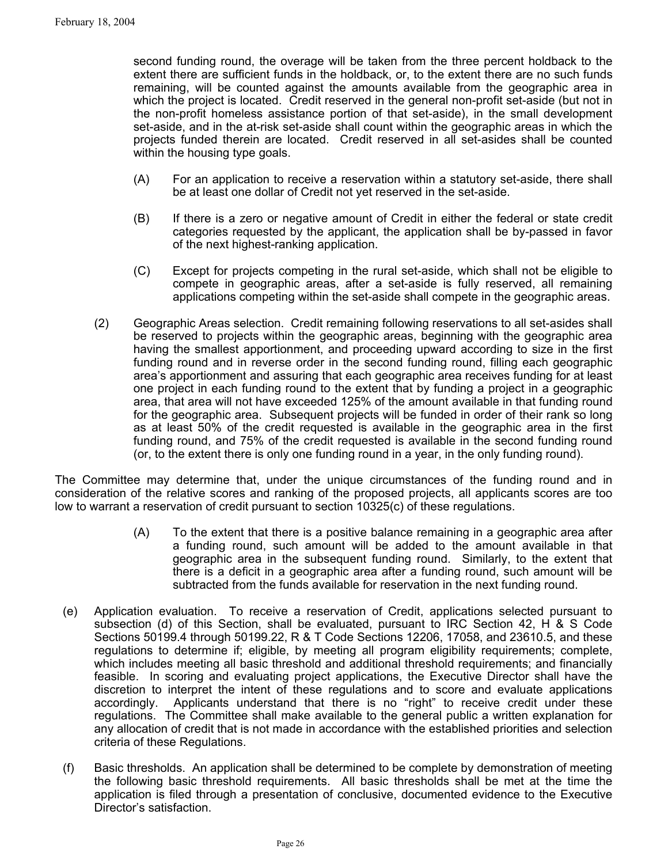second funding round, the overage will be taken from the three percent holdback to the extent there are sufficient funds in the holdback, or, to the extent there are no such funds remaining, will be counted against the amounts available from the geographic area in which the project is located. Credit reserved in the general non-profit set-aside (but not in the non-profit homeless assistance portion of that set-aside), in the small development set-aside, and in the at-risk set-aside shall count within the geographic areas in which the projects funded therein are located. Credit reserved in all set-asides shall be counted within the housing type goals.

- (A) For an application to receive a reservation within a statutory set-aside, there shall be at least one dollar of Credit not yet reserved in the set-aside.
- (B) If there is a zero or negative amount of Credit in either the federal or state credit categories requested by the applicant, the application shall be by-passed in favor of the next highest-ranking application.
- (C) Except for projects competing in the rural set-aside, which shall not be eligible to compete in geographic areas, after a set-aside is fully reserved, all remaining applications competing within the set-aside shall compete in the geographic areas.
- (2) Geographic Areas selection. Credit remaining following reservations to all set-asides shall be reserved to projects within the geographic areas, beginning with the geographic area having the smallest apportionment, and proceeding upward according to size in the first funding round and in reverse order in the second funding round, filling each geographic area's apportionment and assuring that each geographic area receives funding for at least one project in each funding round to the extent that by funding a project in a geographic area, that area will not have exceeded 125% of the amount available in that funding round for the geographic area. Subsequent projects will be funded in order of their rank so long as at least 50% of the credit requested is available in the geographic area in the first funding round, and 75% of the credit requested is available in the second funding round (or, to the extent there is only one funding round in a year, in the only funding round).

The Committee may determine that, under the unique circumstances of the funding round and in consideration of the relative scores and ranking of the proposed projects, all applicants scores are too low to warrant a reservation of credit pursuant to section 10325(c) of these regulations.

- (A) To the extent that there is a positive balance remaining in a geographic area after a funding round, such amount will be added to the amount available in that geographic area in the subsequent funding round. Similarly, to the extent that there is a deficit in a geographic area after a funding round, such amount will be subtracted from the funds available for reservation in the next funding round.
- (e) Application evaluation. To receive a reservation of Credit, applications selected pursuant to subsection (d) of this Section, shall be evaluated, pursuant to IRC Section 42, H & S Code Sections 50199.4 through 50199.22, R & T Code Sections 12206, 17058, and 23610.5, and these regulations to determine if; eligible, by meeting all program eligibility requirements; complete, which includes meeting all basic threshold and additional threshold requirements; and financially feasible. In scoring and evaluating project applications, the Executive Director shall have the discretion to interpret the intent of these regulations and to score and evaluate applications accordingly. Applicants understand that there is no "right" to receive credit under these regulations. The Committee shall make available to the general public a written explanation for any allocation of credit that is not made in accordance with the established priorities and selection criteria of these Regulations.
- (f) Basic thresholds. An application shall be determined to be complete by demonstration of meeting the following basic threshold requirements. All basic thresholds shall be met at the time the application is filed through a presentation of conclusive, documented evidence to the Executive Director's satisfaction.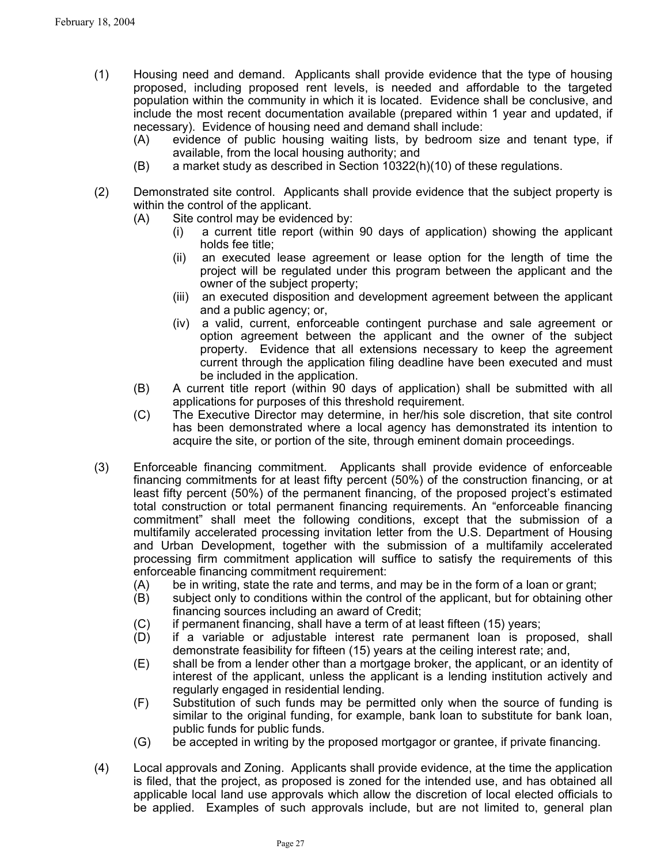- (1) Housing need and demand. Applicants shall provide evidence that the type of housing proposed, including proposed rent levels, is needed and affordable to the targeted population within the community in which it is located. Evidence shall be conclusive, and include the most recent documentation available (prepared within 1 year and updated, if necessary). Evidence of housing need and demand shall include:
	- (A) evidence of public housing waiting lists, by bedroom size and tenant type, if available, from the local housing authority; and
	- $(B)$  a market study as described in Section 10322(h)(10) of these regulations.
- (2) Demonstrated site control. Applicants shall provide evidence that the subject property is within the control of the applicant.
	- (A) Site control may be evidenced by:
		- (i) a current title report (within 90 days of application) showing the applicant holds fee title;
		- (ii) an executed lease agreement or lease option for the length of time the project will be regulated under this program between the applicant and the owner of the subject property;
		- (iii) an executed disposition and development agreement between the applicant and a public agency; or,
		- (iv) a valid, current, enforceable contingent purchase and sale agreement or option agreement between the applicant and the owner of the subject property. Evidence that all extensions necessary to keep the agreement current through the application filing deadline have been executed and must be included in the application.
	- (B) A current title report (within 90 days of application) shall be submitted with all applications for purposes of this threshold requirement.
	- (C) The Executive Director may determine, in her/his sole discretion, that site control has been demonstrated where a local agency has demonstrated its intention to acquire the site, or portion of the site, through eminent domain proceedings.
- (3) Enforceable financing commitment. Applicants shall provide evidence of enforceable financing commitments for at least fifty percent (50%) of the construction financing, or at least fifty percent (50%) of the permanent financing, of the proposed project's estimated total construction or total permanent financing requirements. An "enforceable financing commitment" shall meet the following conditions, except that the submission of a multifamily accelerated processing invitation letter from the U.S. Department of Housing and Urban Development, together with the submission of a multifamily accelerated processing firm commitment application will suffice to satisfy the requirements of this enforceable financing commitment requirement:
	- (A) be in writing, state the rate and terms, and may be in the form of a loan or grant;
	- (B) subject only to conditions within the control of the applicant, but for obtaining other financing sources including an award of Credit;
	- (C) if permanent financing, shall have a term of at least fifteen (15) years;
	- (D) if a variable or adjustable interest rate permanent loan is proposed, shall demonstrate feasibility for fifteen (15) years at the ceiling interest rate; and,
	- (E) shall be from a lender other than a mortgage broker, the applicant, or an identity of interest of the applicant, unless the applicant is a lending institution actively and regularly engaged in residential lending.
	- (F) Substitution of such funds may be permitted only when the source of funding is similar to the original funding, for example, bank loan to substitute for bank loan, public funds for public funds.
	- (G) be accepted in writing by the proposed mortgagor or grantee, if private financing.
- (4) Local approvals and Zoning. Applicants shall provide evidence, at the time the application is filed, that the project, as proposed is zoned for the intended use, and has obtained all applicable local land use approvals which allow the discretion of local elected officials to be applied. Examples of such approvals include, but are not limited to, general plan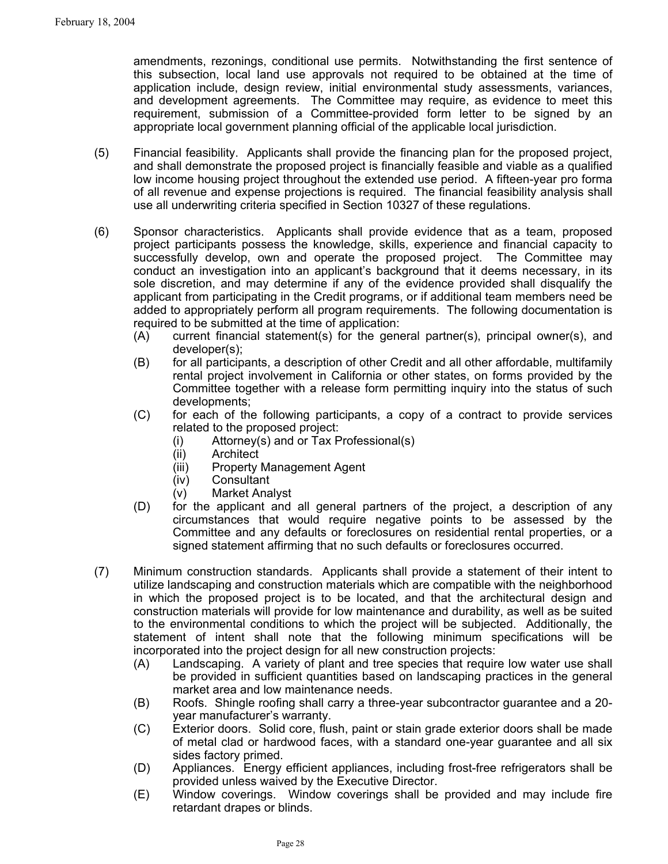amendments, rezonings, conditional use permits. Notwithstanding the first sentence of this subsection, local land use approvals not required to be obtained at the time of application include, design review, initial environmental study assessments, variances, and development agreements. The Committee may require, as evidence to meet this requirement, submission of a Committee-provided form letter to be signed by an appropriate local government planning official of the applicable local jurisdiction.

- (5) Financial feasibility. Applicants shall provide the financing plan for the proposed project, and shall demonstrate the proposed project is financially feasible and viable as a qualified low income housing project throughout the extended use period. A fifteen-year pro forma of all revenue and expense projections is required. The financial feasibility analysis shall use all underwriting criteria specified in Section 10327 of these regulations.
- (6) Sponsor characteristics. Applicants shall provide evidence that as a team, proposed project participants possess the knowledge, skills, experience and financial capacity to successfully develop, own and operate the proposed project. The Committee may conduct an investigation into an applicant's background that it deems necessary, in its sole discretion, and may determine if any of the evidence provided shall disqualify the applicant from participating in the Credit programs, or if additional team members need be added to appropriately perform all program requirements. The following documentation is required to be submitted at the time of application:
	- (A) current financial statement(s) for the general partner(s), principal owner(s), and developer(s);
	- (B) for all participants, a description of other Credit and all other affordable, multifamily rental project involvement in California or other states, on forms provided by the Committee together with a release form permitting inquiry into the status of such developments;
	- (C) for each of the following participants, a copy of a contract to provide services related to the proposed project:
		- (i) Attorney(s) and or Tax Professional(s)
		- (ii) Architect
		- (iii) Property Management Agent
		- (iv) Consultant
		- (v) Market Analyst
	- (D) for the applicant and all general partners of the project, a description of any circumstances that would require negative points to be assessed by the Committee and any defaults or foreclosures on residential rental properties, or a signed statement affirming that no such defaults or foreclosures occurred.
- (7) Minimum construction standards. Applicants shall provide a statement of their intent to utilize landscaping and construction materials which are compatible with the neighborhood in which the proposed project is to be located, and that the architectural design and construction materials will provide for low maintenance and durability, as well as be suited to the environmental conditions to which the project will be subjected. Additionally, the statement of intent shall note that the following minimum specifications will be incorporated into the project design for all new construction projects:
	- (A) Landscaping. A variety of plant and tree species that require low water use shall be provided in sufficient quantities based on landscaping practices in the general market area and low maintenance needs.
	- (B) Roofs. Shingle roofing shall carry a three-year subcontractor guarantee and a 20 year manufacturer's warranty.
	- (C) Exterior doors. Solid core, flush, paint or stain grade exterior doors shall be made of metal clad or hardwood faces, with a standard one-year guarantee and all six sides factory primed.
	- (D) Appliances. Energy efficient appliances, including frost-free refrigerators shall be provided unless waived by the Executive Director.
	- (E) Window coverings. Window coverings shall be provided and may include fire retardant drapes or blinds.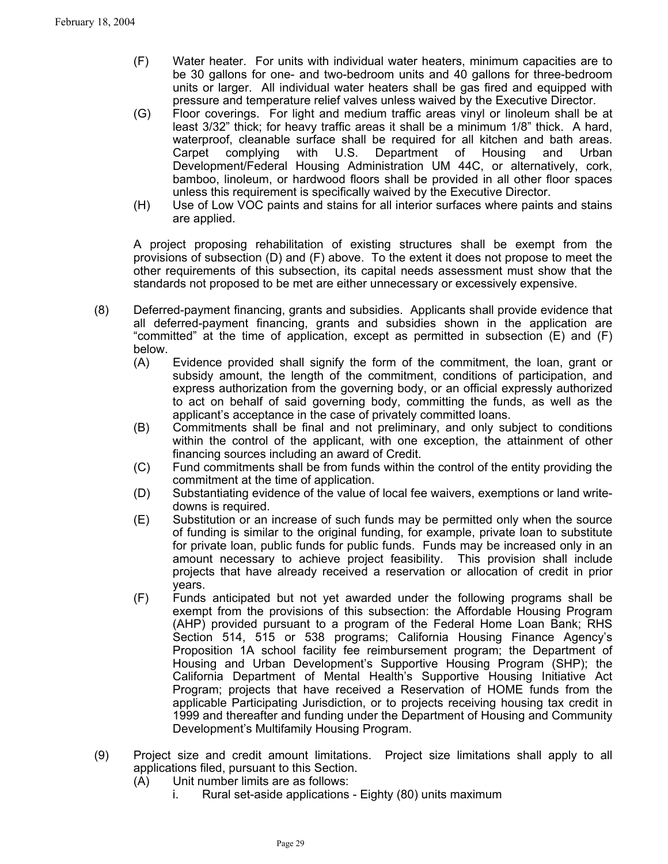- (F) Water heater. For units with individual water heaters, minimum capacities are to be 30 gallons for one- and two-bedroom units and 40 gallons for three-bedroom units or larger. All individual water heaters shall be gas fired and equipped with pressure and temperature relief valves unless waived by the Executive Director.
- (G) Floor coverings. For light and medium traffic areas vinyl or linoleum shall be at least 3/32" thick; for heavy traffic areas it shall be a minimum 1/8" thick. A hard, waterproof, cleanable surface shall be required for all kitchen and bath areas. Carpet complying with U.S. Department of Housing and Urban Development/Federal Housing Administration UM 44C, or alternatively, cork, bamboo, linoleum, or hardwood floors shall be provided in all other floor spaces unless this requirement is specifically waived by the Executive Director.
- (H) Use of Low VOC paints and stains for all interior surfaces where paints and stains are applied.

A project proposing rehabilitation of existing structures shall be exempt from the provisions of subsection (D) and (F) above. To the extent it does not propose to meet the other requirements of this subsection, its capital needs assessment must show that the standards not proposed to be met are either unnecessary or excessively expensive.

- (8) Deferred-payment financing, grants and subsidies. Applicants shall provide evidence that all deferred-payment financing, grants and subsidies shown in the application are "committed" at the time of application, except as permitted in subsection (E) and (F) below.
	- (A) Evidence provided shall signify the form of the commitment, the loan, grant or subsidy amount, the length of the commitment, conditions of participation, and express authorization from the governing body, or an official expressly authorized to act on behalf of said governing body, committing the funds, as well as the applicant's acceptance in the case of privately committed loans.
	- (B) Commitments shall be final and not preliminary, and only subject to conditions within the control of the applicant, with one exception, the attainment of other financing sources including an award of Credit.
	- (C) Fund commitments shall be from funds within the control of the entity providing the commitment at the time of application.
	- (D) Substantiating evidence of the value of local fee waivers, exemptions or land writedowns is required.
	- (E) Substitution or an increase of such funds may be permitted only when the source of funding is similar to the original funding, for example, private loan to substitute for private loan, public funds for public funds. Funds may be increased only in an amount necessary to achieve project feasibility. This provision shall include projects that have already received a reservation or allocation of credit in prior years.
	- (F) Funds anticipated but not yet awarded under the following programs shall be exempt from the provisions of this subsection: the Affordable Housing Program (AHP) provided pursuant to a program of the Federal Home Loan Bank; RHS Section 514, 515 or 538 programs; California Housing Finance Agency's Proposition 1A school facility fee reimbursement program; the Department of Housing and Urban Development's Supportive Housing Program (SHP); the California Department of Mental Health's Supportive Housing Initiative Act Program; projects that have received a Reservation of HOME funds from the applicable Participating Jurisdiction, or to projects receiving housing tax credit in 1999 and thereafter and funding under the Department of Housing and Community Development's Multifamily Housing Program.
- (9) Project size and credit amount limitations. Project size limitations shall apply to all applications filed, pursuant to this Section.
	- (A) Unit number limits are as follows:
		- i. Rural set-aside applications Eighty (80) units maximum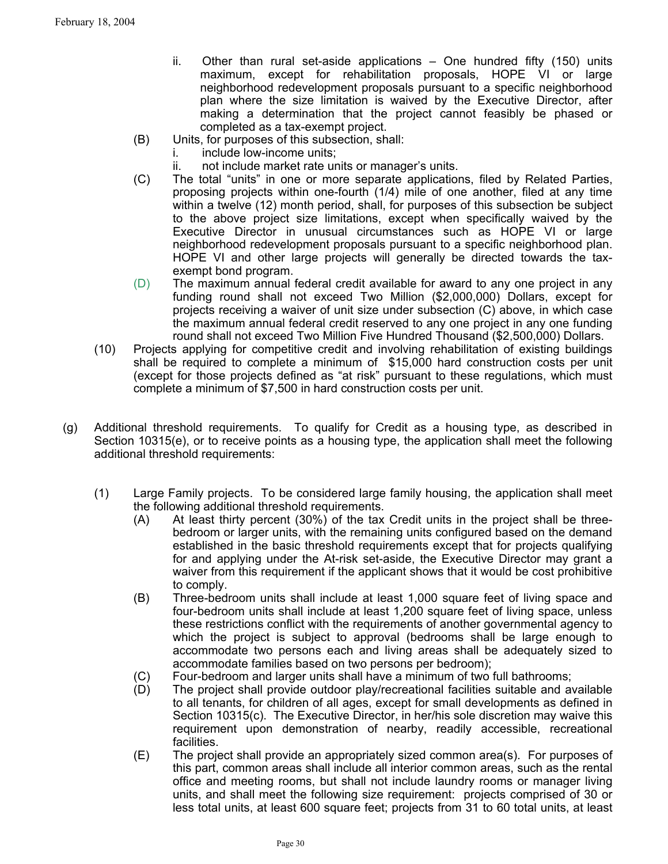- ii. Other than rural set-aside applications One hundred fifty (150) units maximum, except for rehabilitation proposals, HOPE VI or large neighborhood redevelopment proposals pursuant to a specific neighborhood plan where the size limitation is waived by the Executive Director, after making a determination that the project cannot feasibly be phased or completed as a tax-exempt project.
- (B) Units, for purposes of this subsection, shall:
	- i. include low-income units;
	- ii. not include market rate units or manager's units.
- (C) The total "units" in one or more separate applications, filed by Related Parties, proposing projects within one-fourth (1/4) mile of one another, filed at any time within a twelve (12) month period, shall, for purposes of this subsection be subject to the above project size limitations, except when specifically waived by the Executive Director in unusual circumstances such as HOPE VI or large neighborhood redevelopment proposals pursuant to a specific neighborhood plan. HOPE VI and other large projects will generally be directed towards the taxexempt bond program.
- (D) The maximum annual federal credit available for award to any one project in any funding round shall not exceed Two Million (\$2,000,000) Dollars, except for projects receiving a waiver of unit size under subsection (C) above, in which case the maximum annual federal credit reserved to any one project in any one funding round shall not exceed Two Million Five Hundred Thousand (\$2,500,000) Dollars.
- (10) Projects applying for competitive credit and involving rehabilitation of existing buildings shall be required to complete a minimum of \$15,000 hard construction costs per unit (except for those projects defined as "at risk" pursuant to these regulations, which must complete a minimum of \$7,500 in hard construction costs per unit.
- (g) Additional threshold requirements. To qualify for Credit as a housing type, as described in Section 10315(e), or to receive points as a housing type, the application shall meet the following additional threshold requirements:
	- (1) Large Family projects. To be considered large family housing, the application shall meet the following additional threshold requirements.
		- (A) At least thirty percent (30%) of the tax Credit units in the project shall be threebedroom or larger units, with the remaining units configured based on the demand established in the basic threshold requirements except that for projects qualifying for and applying under the At-risk set-aside, the Executive Director may grant a waiver from this requirement if the applicant shows that it would be cost prohibitive to comply.
		- (B) Three-bedroom units shall include at least 1,000 square feet of living space and four-bedroom units shall include at least 1,200 square feet of living space, unless these restrictions conflict with the requirements of another governmental agency to which the project is subject to approval (bedrooms shall be large enough to accommodate two persons each and living areas shall be adequately sized to accommodate families based on two persons per bedroom);
		- (C) Four-bedroom and larger units shall have a minimum of two full bathrooms;
		- (D) The project shall provide outdoor play/recreational facilities suitable and available to all tenants, for children of all ages, except for small developments as defined in Section 10315(c). The Executive Director, in her/his sole discretion may waive this requirement upon demonstration of nearby, readily accessible, recreational facilities.
		- (E) The project shall provide an appropriately sized common area(s). For purposes of this part, common areas shall include all interior common areas, such as the rental office and meeting rooms, but shall not include laundry rooms or manager living units, and shall meet the following size requirement: projects comprised of 30 or less total units, at least 600 square feet; projects from 31 to 60 total units, at least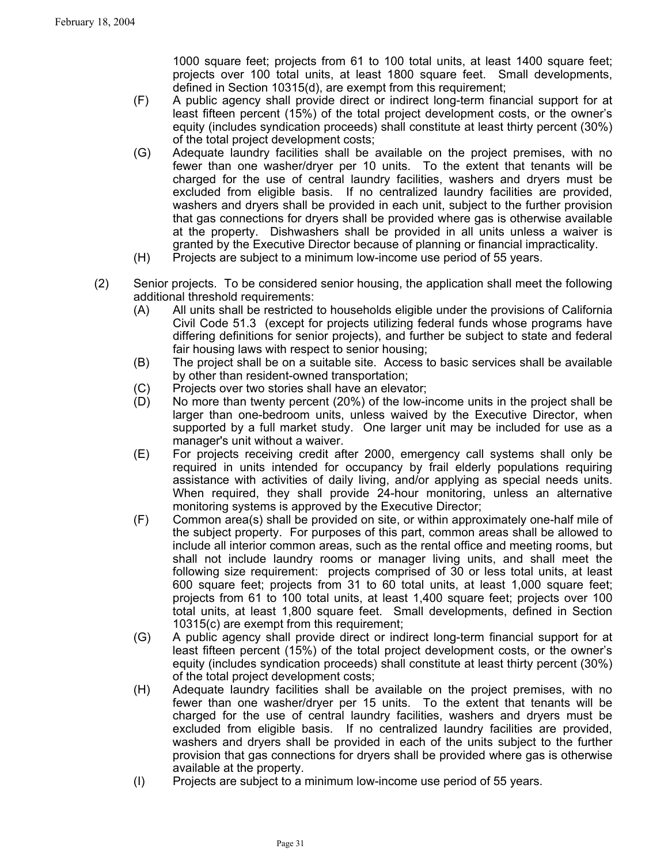1000 square feet; projects from 61 to 100 total units, at least 1400 square feet; projects over 100 total units, at least 1800 square feet. Small developments, defined in Section 10315(d), are exempt from this requirement;

- (F) A public agency shall provide direct or indirect long-term financial support for at least fifteen percent (15%) of the total project development costs, or the owner's equity (includes syndication proceeds) shall constitute at least thirty percent (30%) of the total project development costs;
- (G) Adequate laundry facilities shall be available on the project premises, with no fewer than one washer/dryer per 10 units. To the extent that tenants will be charged for the use of central laundry facilities, washers and dryers must be excluded from eligible basis. If no centralized laundry facilities are provided, washers and dryers shall be provided in each unit, subject to the further provision that gas connections for dryers shall be provided where gas is otherwise available at the property. Dishwashers shall be provided in all units unless a waiver is granted by the Executive Director because of planning or financial impracticality.
- (H) Projects are subject to a minimum low-income use period of 55 years.
- (2) Senior projects. To be considered senior housing, the application shall meet the following additional threshold requirements:
	- (A) All units shall be restricted to households eligible under the provisions of California Civil Code 51.3 (except for projects utilizing federal funds whose programs have differing definitions for senior projects), and further be subject to state and federal fair housing laws with respect to senior housing;
	- (B) The project shall be on a suitable site. Access to basic services shall be available by other than resident-owned transportation;
	- (C) Projects over two stories shall have an elevator;
	- (D) No more than twenty percent (20%) of the low-income units in the project shall be larger than one-bedroom units, unless waived by the Executive Director, when supported by a full market study. One larger unit may be included for use as a manager's unit without a waiver.
	- (E) For projects receiving credit after 2000, emergency call systems shall only be required in units intended for occupancy by frail elderly populations requiring assistance with activities of daily living, and/or applying as special needs units. When required, they shall provide 24-hour monitoring, unless an alternative monitoring systems is approved by the Executive Director;
	- (F) Common area(s) shall be provided on site, or within approximately one-half mile of the subject property. For purposes of this part, common areas shall be allowed to include all interior common areas, such as the rental office and meeting rooms, but shall not include laundry rooms or manager living units, and shall meet the following size requirement: projects comprised of 30 or less total units, at least 600 square feet; projects from 31 to 60 total units, at least 1,000 square feet; projects from 61 to 100 total units, at least 1,400 square feet; projects over 100 total units, at least 1,800 square feet. Small developments, defined in Section 10315(c) are exempt from this requirement;
	- (G) A public agency shall provide direct or indirect long-term financial support for at least fifteen percent (15%) of the total project development costs, or the owner's equity (includes syndication proceeds) shall constitute at least thirty percent (30%) of the total project development costs;
	- (H) Adequate laundry facilities shall be available on the project premises, with no fewer than one washer/dryer per 15 units. To the extent that tenants will be charged for the use of central laundry facilities, washers and dryers must be excluded from eligible basis. If no centralized laundry facilities are provided, washers and dryers shall be provided in each of the units subject to the further provision that gas connections for dryers shall be provided where gas is otherwise available at the property.
	- (I) Projects are subject to a minimum low-income use period of 55 years.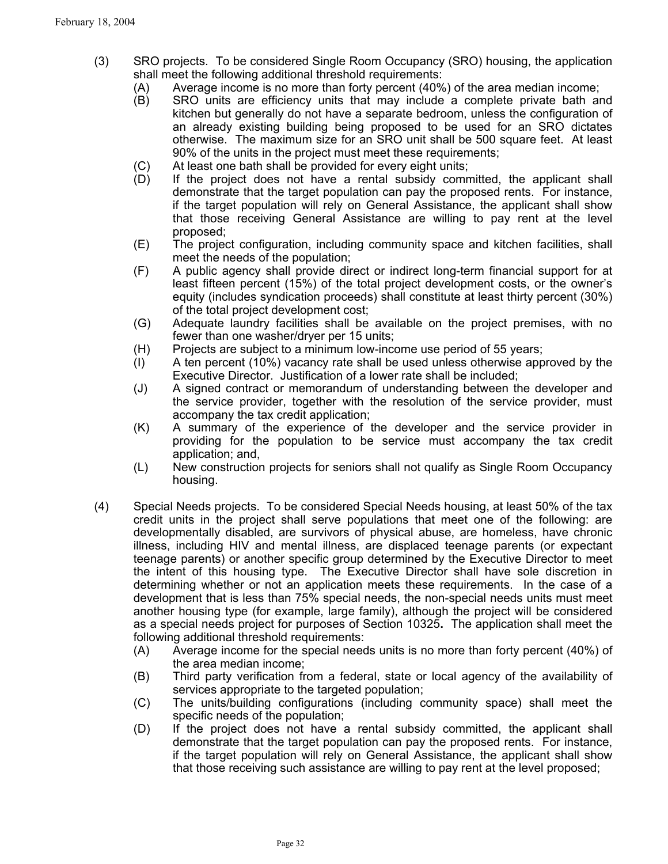- (3) SRO projects. To be considered Single Room Occupancy (SRO) housing, the application shall meet the following additional threshold requirements:
	- (A) Average income is no more than forty percent (40%) of the area median income;
	- (B) SRO units are efficiency units that may include a complete private bath and kitchen but generally do not have a separate bedroom, unless the configuration of an already existing building being proposed to be used for an SRO dictates otherwise. The maximum size for an SRO unit shall be 500 square feet. At least 90% of the units in the project must meet these requirements;
	- (C) At least one bath shall be provided for every eight units;
	- (D) If the project does not have a rental subsidy committed, the applicant shall demonstrate that the target population can pay the proposed rents. For instance, if the target population will rely on General Assistance, the applicant shall show that those receiving General Assistance are willing to pay rent at the level proposed;
	- (E) The project configuration, including community space and kitchen facilities, shall meet the needs of the population;
	- (F) A public agency shall provide direct or indirect long-term financial support for at least fifteen percent (15%) of the total project development costs, or the owner's equity (includes syndication proceeds) shall constitute at least thirty percent (30%) of the total project development cost;
	- (G) Adequate laundry facilities shall be available on the project premises, with no fewer than one washer/dryer per 15 units;
	- (H) Projects are subject to a minimum low-income use period of 55 years;
	- (I) A ten percent (10%) vacancy rate shall be used unless otherwise approved by the Executive Director. Justification of a lower rate shall be included;
	- (J) A signed contract or memorandum of understanding between the developer and the service provider, together with the resolution of the service provider, must accompany the tax credit application;
	- (K) A summary of the experience of the developer and the service provider in providing for the population to be service must accompany the tax credit application; and,
	- (L) New construction projects for seniors shall not qualify as Single Room Occupancy housing.
- (4) Special Needs projects. To be considered Special Needs housing, at least 50% of the tax credit units in the project shall serve populations that meet one of the following: are developmentally disabled, are survivors of physical abuse, are homeless, have chronic illness, including HIV and mental illness, are displaced teenage parents (or expectant teenage parents) or another specific group determined by the Executive Director to meet the intent of this housing type. The Executive Director shall have sole discretion in determining whether or not an application meets these requirements. In the case of a development that is less than 75% special needs, the non-special needs units must meet another housing type (for example, large family), although the project will be considered as a special needs project for purposes of Section 10325**.** The application shall meet the following additional threshold requirements:
	- (A) Average income for the special needs units is no more than forty percent (40%) of the area median income;
	- (B) Third party verification from a federal, state or local agency of the availability of services appropriate to the targeted population;
	- (C) The units/building configurations (including community space) shall meet the specific needs of the population;
	- (D) If the project does not have a rental subsidy committed, the applicant shall demonstrate that the target population can pay the proposed rents. For instance, if the target population will rely on General Assistance, the applicant shall show that those receiving such assistance are willing to pay rent at the level proposed;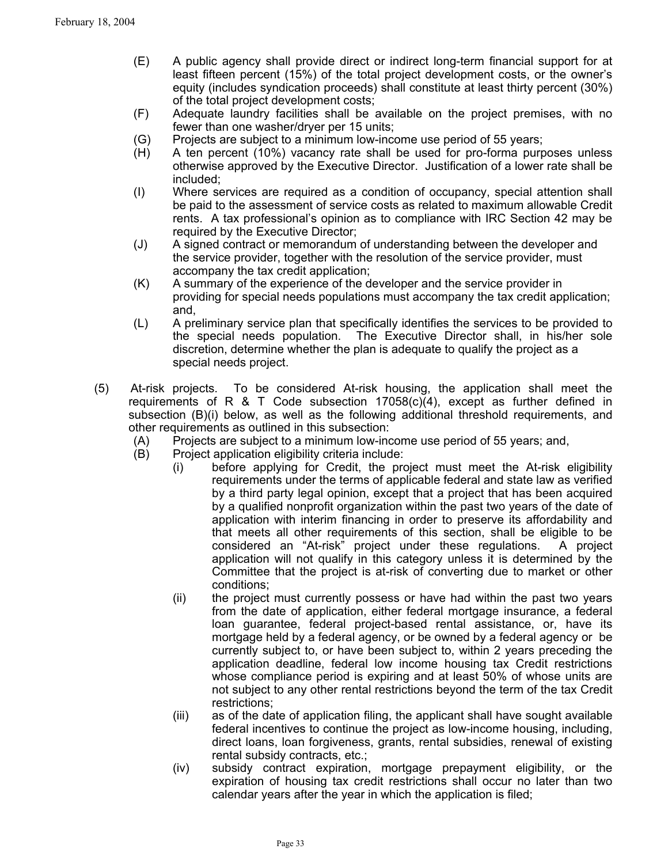- (E) A public agency shall provide direct or indirect long-term financial support for at least fifteen percent (15%) of the total project development costs, or the owner's equity (includes syndication proceeds) shall constitute at least thirty percent (30%) of the total project development costs;
- (F) Adequate laundry facilities shall be available on the project premises, with no fewer than one washer/dryer per 15 units;
- (G) Projects are subject to a minimum low-income use period of 55 years;
- (H) A ten percent (10%) vacancy rate shall be used for pro-forma purposes unless otherwise approved by the Executive Director. Justification of a lower rate shall be included;
- (I) Where services are required as a condition of occupancy, special attention shall be paid to the assessment of service costs as related to maximum allowable Credit rents. A tax professional's opinion as to compliance with IRC Section 42 may be required by the Executive Director;
- (J) A signed contract or memorandum of understanding between the developer and the service provider, together with the resolution of the service provider, must accompany the tax credit application;
- (K) A summary of the experience of the developer and the service provider in providing for special needs populations must accompany the tax credit application; and,
- (L) A preliminary service plan that specifically identifies the services to be provided to the special needs population. The Executive Director shall, in his/her sole discretion, determine whether the plan is adequate to qualify the project as a special needs project.
- (5) At-risk projects. To be considered At-risk housing, the application shall meet the requirements of R  $\&$  T Code subsection 17058(c)(4), except as further defined in subsection (B)(i) below, as well as the following additional threshold requirements, and other requirements as outlined in this subsection:
	- (A) Projects are subject to a minimum low-income use period of 55 years; and,
	- (B) Project application eligibility criteria include:
		- (i) before applying for Credit, the project must meet the At-risk eligibility requirements under the terms of applicable federal and state law as verified by a third party legal opinion, except that a project that has been acquired by a qualified nonprofit organization within the past two years of the date of application with interim financing in order to preserve its affordability and that meets all other requirements of this section, shall be eligible to be considered an "At-risk" project under these regulations. A project application will not qualify in this category unless it is determined by the Committee that the project is at-risk of converting due to market or other conditions;
		- (ii) the project must currently possess or have had within the past two years from the date of application, either federal mortgage insurance, a federal loan guarantee, federal project-based rental assistance, or, have its mortgage held by a federal agency, or be owned by a federal agency orbe currently subject to, or have been subject to, within 2 years preceding the application deadline, federal low income housing tax Credit restrictions whose compliance period is expiring and at least 50% of whose units are not subject to any other rental restrictions beyond the term of the tax Credit restrictions;
		- (iii) as of the date of application filing, the applicant shall have sought available federal incentives to continue the project as low-income housing, including, direct loans, loan forgiveness, grants, rental subsidies, renewal of existing rental subsidy contracts, etc.;
		- (iv) subsidy contract expiration, mortgage prepayment eligibility, or the expiration of housing tax credit restrictions shall occur no later than two calendar years after the year in which the application is filed;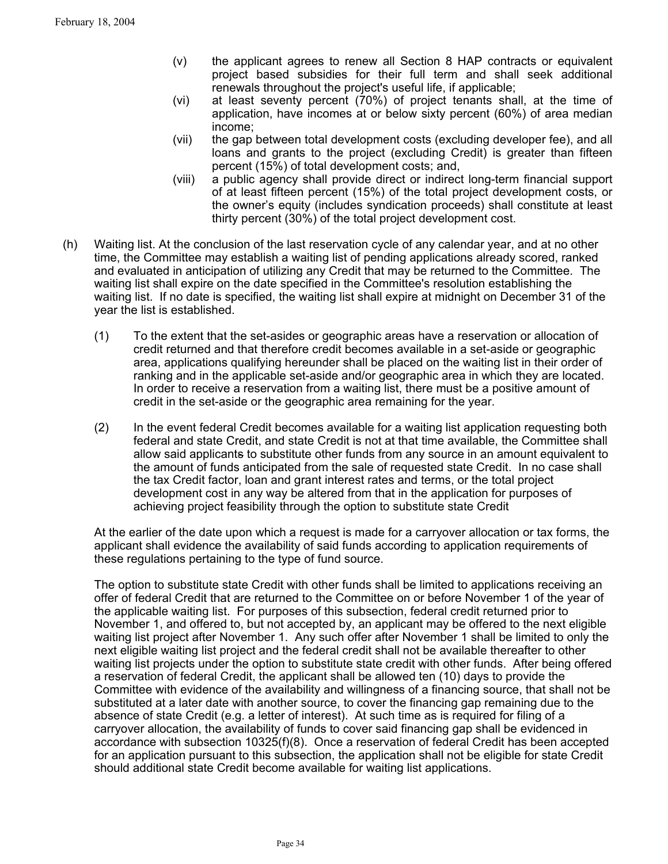- (v) the applicant agrees to renew all Section 8 HAP contracts or equivalent project based subsidies for their full term and shall seek additional renewals throughout the project's useful life, if applicable;
- (vi) at least seventy percent (70%) of project tenants shall, at the time of application, have incomes at or below sixty percent (60%) of area median income;
- (vii) the gap between total development costs (excluding developer fee), and all loans and grants to the project (excluding Credit) is greater than fifteen percent (15%) of total development costs; and,
- (viii) a public agency shall provide direct or indirect long-term financial support of at least fifteen percent (15%) of the total project development costs, or the owner's equity (includes syndication proceeds) shall constitute at least thirty percent (30%) of the total project development cost.
- (h) Waiting list. At the conclusion of the last reservation cycle of any calendar year, and at no other time, the Committee may establish a waiting list of pending applications already scored, ranked and evaluated in anticipation of utilizing any Credit that may be returned to the Committee. The waiting list shall expire on the date specified in the Committee's resolution establishing the waiting list. If no date is specified, the waiting list shall expire at midnight on December 31 of the year the list is established.
	- (1) To the extent that the set-asides or geographic areas have a reservation or allocation of credit returned and that therefore credit becomes available in a set-aside or geographic area, applications qualifying hereunder shall be placed on the waiting list in their order of ranking and in the applicable set-aside and/or geographic area in which they are located. In order to receive a reservation from a waiting list, there must be a positive amount of credit in the set-aside or the geographic area remaining for the year.
	- (2) In the event federal Credit becomes available for a waiting list application requesting both federal and state Credit, and state Credit is not at that time available, the Committee shall allow said applicants to substitute other funds from any source in an amount equivalent to the amount of funds anticipated from the sale of requested state Credit. In no case shall the tax Credit factor, loan and grant interest rates and terms, or the total project development cost in any way be altered from that in the application for purposes of achieving project feasibility through the option to substitute state Credit

At the earlier of the date upon which a request is made for a carryover allocation or tax forms, the applicant shall evidence the availability of said funds according to application requirements of these regulations pertaining to the type of fund source.

The option to substitute state Credit with other funds shall be limited to applications receiving an offer of federal Credit that are returned to the Committee on or before November 1 of the year of the applicable waiting list. For purposes of this subsection, federal credit returned prior to November 1, and offered to, but not accepted by, an applicant may be offered to the next eligible waiting list project after November 1. Any such offer after November 1 shall be limited to only the next eligible waiting list project and the federal credit shall not be available thereafter to other waiting list projects under the option to substitute state credit with other funds. After being offered a reservation of federal Credit, the applicant shall be allowed ten (10) days to provide the Committee with evidence of the availability and willingness of a financing source, that shall not be substituted at a later date with another source, to cover the financing gap remaining due to the absence of state Credit (e.g. a letter of interest). At such time as is required for filing of a carryover allocation, the availability of funds to cover said financing gap shall be evidenced in accordance with subsection 10325(f)(8). Once a reservation of federal Credit has been accepted for an application pursuant to this subsection, the application shall not be eligible for state Credit should additional state Credit become available for waiting list applications.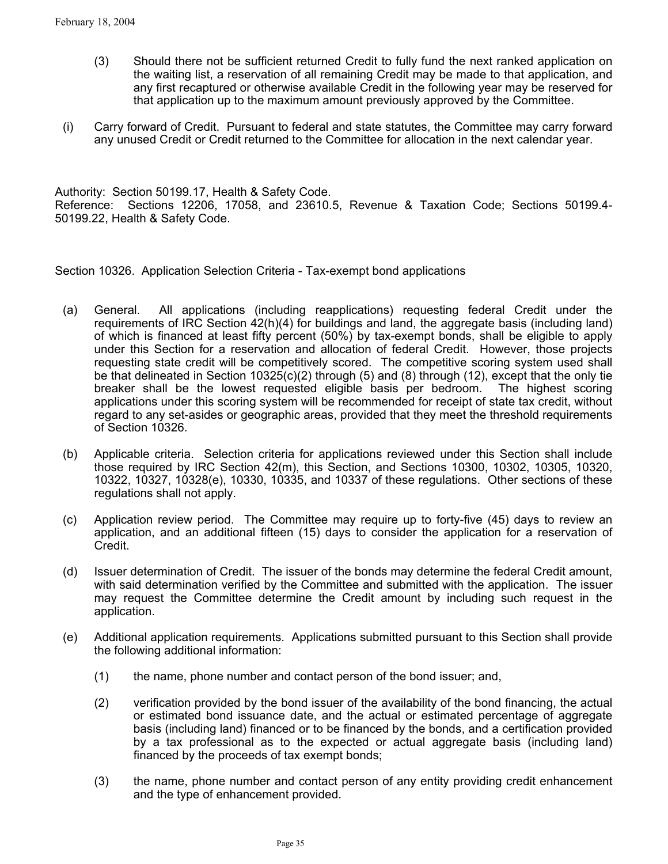- (3) Should there not be sufficient returned Credit to fully fund the next ranked application on the waiting list, a reservation of all remaining Credit may be made to that application, and any first recaptured or otherwise available Credit in the following year may be reserved for that application up to the maximum amount previously approved by the Committee.
- (i) Carry forward of Credit. Pursuant to federal and state statutes, the Committee may carry forward any unused Credit or Credit returned to the Committee for allocation in the next calendar year.

Authority: Section 50199.17, Health & Safety Code. Reference: Sections 12206, 17058, and 23610.5, Revenue & Taxation Code; Sections 50199.4- 50199.22, Health & Safety Code.

Section 10326. Application Selection Criteria - Tax-exempt bond applications

- (a) General. All applications (including reapplications) requesting federal Credit under the requirements of IRC Section 42(h)(4) for buildings and land, the aggregate basis (including land) of which is financed at least fifty percent (50%) by tax-exempt bonds, shall be eligible to apply under this Section for a reservation and allocation of federal Credit. However, those projects requesting state credit will be competitively scored. The competitive scoring system used shall be that delineated in Section 10325(c)(2) through (5) and (8) through (12), except that the only tie breaker shall be the lowest requested eligible basis per bedroom. The highest scoring applications under this scoring system will be recommended for receipt of state tax credit, without regard to any set-asides or geographic areas, provided that they meet the threshold requirements of Section 10326.
- (b) Applicable criteria. Selection criteria for applications reviewed under this Section shall include those required by IRC Section 42(m), this Section, and Sections 10300, 10302, 10305, 10320, 10322, 10327, 10328(e), 10330, 10335, and 10337 of these regulations. Other sections of these regulations shall not apply.
- (c) Application review period. The Committee may require up to forty-five (45) days to review an application, and an additional fifteen (15) days to consider the application for a reservation of Credit.
- (d) Issuer determination of Credit. The issuer of the bonds may determine the federal Credit amount, with said determination verified by the Committee and submitted with the application. The issuer may request the Committee determine the Credit amount by including such request in the application.
- (e) Additional application requirements. Applications submitted pursuant to this Section shall provide the following additional information:
	- (1) the name, phone number and contact person of the bond issuer; and,
	- (2) verification provided by the bond issuer of the availability of the bond financing, the actual or estimated bond issuance date, and the actual or estimated percentage of aggregate basis (including land) financed or to be financed by the bonds, and a certification provided by a tax professional as to the expected or actual aggregate basis (including land) financed by the proceeds of tax exempt bonds;
	- (3) the name, phone number and contact person of any entity providing credit enhancement and the type of enhancement provided.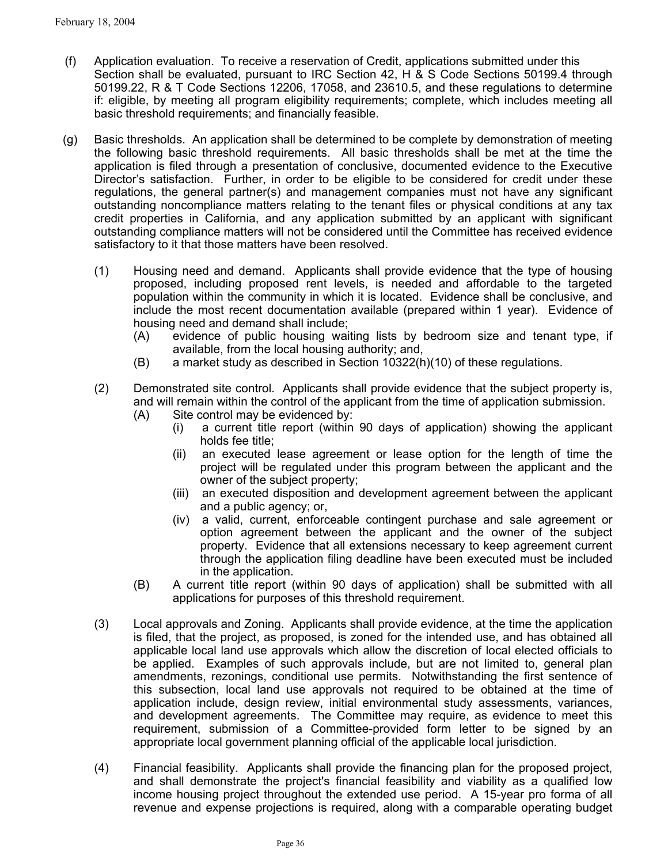- (f) Application evaluation. To receive a reservation of Credit, applications submitted under this Section shall be evaluated, pursuant to IRC Section 42, H & S Code Sections 50199.4 through 50199.22, R & T Code Sections 12206, 17058, and 23610.5, and these regulations to determine if: eligible, by meeting all program eligibility requirements; complete, which includes meeting all basic threshold requirements; and financially feasible.
- (g) Basic thresholds. An application shall be determined to be complete by demonstration of meeting the following basic threshold requirements. All basic thresholds shall be met at the time the application is filed through a presentation of conclusive, documented evidence to the Executive Director's satisfaction. Further, in order to be eligible to be considered for credit under these regulations, the general partner(s) and management companies must not have any significant outstanding noncompliance matters relating to the tenant files or physical conditions at any tax credit properties in California, and any application submitted by an applicant with significant outstanding compliance matters will not be considered until the Committee has received evidence satisfactory to it that those matters have been resolved.
	- (1) Housing need and demand. Applicants shall provide evidence that the type of housing proposed, including proposed rent levels, is needed and affordable to the targeted population within the community in which it is located. Evidence shall be conclusive, and include the most recent documentation available (prepared within 1 year). Evidence of housing need and demand shall include;
		- (A) evidence of public housing waiting lists by bedroom size and tenant type, if available, from the local housing authority; and,
		- $(B)$  a market study as described in Section 10322(h)(10) of these regulations.
	- (2) Demonstrated site control. Applicants shall provide evidence that the subject property is, and will remain within the control of the applicant from the time of application submission. (A) Site control may be evidenced by:
		- (i) a current title report (within 90 days of application) showing the applicant holds fee title;
		- (ii) an executed lease agreement or lease option for the length of time the project will be regulated under this program between the applicant and the owner of the subject property;
		- (iii) an executed disposition and development agreement between the applicant and a public agency; or,
		- (iv) a valid, current, enforceable contingent purchase and sale agreement or option agreement between the applicant and the owner of the subject property. Evidence that all extensions necessary to keep agreement current through the application filing deadline have been executed must be included in the application.
		- (B) A current title report (within 90 days of application) shall be submitted with all applications for purposes of this threshold requirement.
	- (3) Local approvals and Zoning. Applicants shall provide evidence, at the time the application is filed, that the project, as proposed, is zoned for the intended use, and has obtained all applicable local land use approvals which allow the discretion of local elected officials to be applied. Examples of such approvals include, but are not limited to, general plan amendments, rezonings, conditional use permits. Notwithstanding the first sentence of this subsection, local land use approvals not required to be obtained at the time of application include, design review, initial environmental study assessments, variances, and development agreements. The Committee may require, as evidence to meet this requirement, submission of a Committee-provided form letter to be signed by an appropriate local government planning official of the applicable local jurisdiction.
	- (4) Financial feasibility. Applicants shall provide the financing plan for the proposed project, and shall demonstrate the project's financial feasibility and viability as a qualified low income housing project throughout the extended use period. A 15-year pro forma of all revenue and expense projections is required, along with a comparable operating budget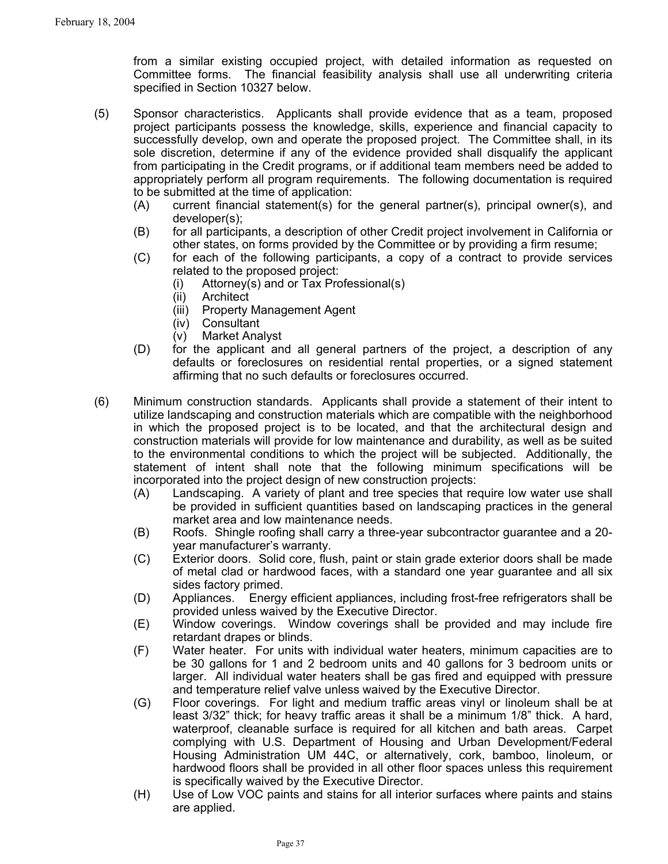from a similar existing occupied project, with detailed information as requested on Committee forms. The financial feasibility analysis shall use all underwriting criteria specified in Section 10327 below.

- (5) Sponsor characteristics. Applicants shall provide evidence that as a team, proposed project participants possess the knowledge, skills, experience and financial capacity to successfully develop, own and operate the proposed project. The Committee shall, in its sole discretion, determine if any of the evidence provided shall disqualify the applicant from participating in the Credit programs, or if additional team members need be added to appropriately perform all program requirements. The following documentation is required to be submitted at the time of application:
	- (A) current financial statement(s) for the general partner(s), principal owner(s), and developer(s);
	- (B) for all participants, a description of other Credit project involvement in California or other states, on forms provided by the Committee or by providing a firm resume;
	- (C) for each of the following participants, a copy of a contract to provide services related to the proposed project:
		- (i) Attorney(s) and or Tax Professional(s)
		- (ii) Architect
		- (iii) Property Management Agent
		- (iv) Consultant
		- (v) Market Analyst
	- (D) for the applicant and all general partners of the project, a description of any defaults or foreclosures on residential rental properties, or a signed statement affirming that no such defaults or foreclosures occurred.
- (6) Minimum construction standards. Applicants shall provide a statement of their intent to utilize landscaping and construction materials which are compatible with the neighborhood in which the proposed project is to be located, and that the architectural design and construction materials will provide for low maintenance and durability, as well as be suited to the environmental conditions to which the project will be subjected. Additionally, the statement of intent shall note that the following minimum specifications will be incorporated into the project design of new construction projects:
	- (A) Landscaping. A variety of plant and tree species that require low water use shall be provided in sufficient quantities based on landscaping practices in the general market area and low maintenance needs.
	- (B) Roofs. Shingle roofing shall carry a three-year subcontractor guarantee and a 20 year manufacturer's warranty.
	- (C) Exterior doors. Solid core, flush, paint or stain grade exterior doors shall be made of metal clad or hardwood faces, with a standard one year guarantee and all six sides factory primed.
	- (D) Appliances. Energy efficient appliances, including frost-free refrigerators shall be provided unless waived by the Executive Director.
	- (E) Window coverings. Window coverings shall be provided and may include fire retardant drapes or blinds.
	- (F) Water heater. For units with individual water heaters, minimum capacities are to be 30 gallons for 1 and 2 bedroom units and 40 gallons for 3 bedroom units or larger. All individual water heaters shall be gas fired and equipped with pressure and temperature relief valve unless waived by the Executive Director.
	- (G) Floor coverings. For light and medium traffic areas vinyl or linoleum shall be at least 3/32" thick; for heavy traffic areas it shall be a minimum 1/8" thick. A hard, waterproof, cleanable surface is required for all kitchen and bath areas. Carpet complying with U.S. Department of Housing and Urban Development/Federal Housing Administration UM 44C, or alternatively, cork, bamboo, linoleum, or hardwood floors shall be provided in all other floor spaces unless this requirement is specifically waived by the Executive Director.
	- (H) Use of Low VOC paints and stains for all interior surfaces where paints and stains are applied.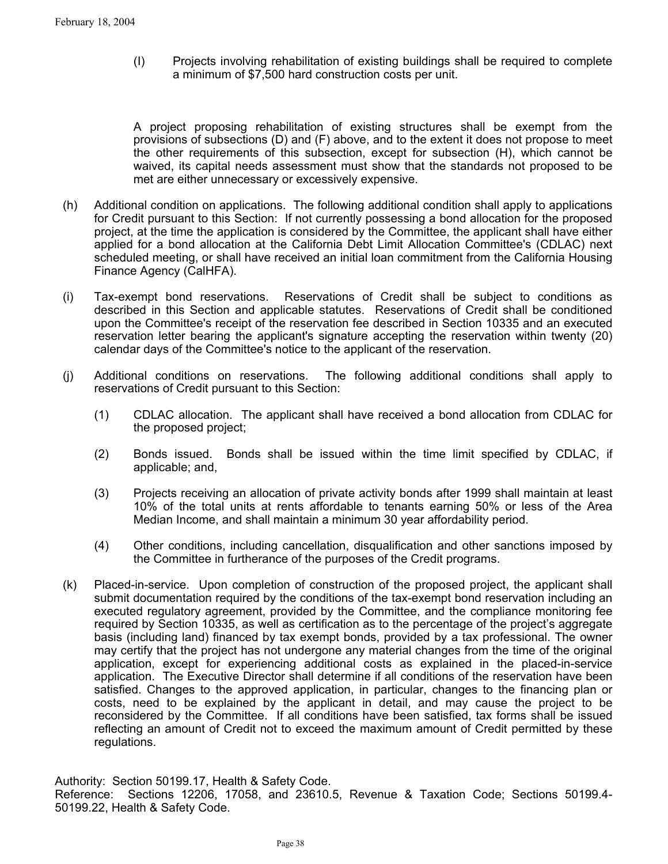(I) Projects involving rehabilitation of existing buildings shall be required to complete a minimum of \$7,500 hard construction costs per unit.

A project proposing rehabilitation of existing structures shall be exempt from the provisions of subsections (D) and (F) above, and to the extent it does not propose to meet the other requirements of this subsection, except for subsection (H), which cannot be waived, its capital needs assessment must show that the standards not proposed to be met are either unnecessary or excessively expensive.

- (h) Additional condition on applications. The following additional condition shall apply to applications for Credit pursuant to this Section: If not currently possessing a bond allocation for the proposed project, at the time the application is considered by the Committee, the applicant shall have either applied for a bond allocation at the California Debt Limit Allocation Committee's (CDLAC) next scheduled meeting, or shall have received an initial loan commitment from the California Housing Finance Agency (CalHFA).
- (i) Tax-exempt bond reservations. Reservations of Credit shall be subject to conditions as described in this Section and applicable statutes. Reservations of Credit shall be conditioned upon the Committee's receipt of the reservation fee described in Section 10335 and an executed reservation letter bearing the applicant's signature accepting the reservation within twenty (20) calendar days of the Committee's notice to the applicant of the reservation.
- (j) Additional conditions on reservations. The following additional conditions shall apply to reservations of Credit pursuant to this Section:
	- (1) CDLAC allocation. The applicant shall have received a bond allocation from CDLAC for the proposed project;
	- (2) Bonds issued. Bonds shall be issued within the time limit specified by CDLAC, if applicable; and,
	- (3) Projects receiving an allocation of private activity bonds after 1999 shall maintain at least 10% of the total units at rents affordable to tenants earning 50% or less of the Area Median Income, and shall maintain a minimum 30 year affordability period.
	- (4) Other conditions, including cancellation, disqualification and other sanctions imposed by the Committee in furtherance of the purposes of the Credit programs.
- (k) Placed-in-service. Upon completion of construction of the proposed project, the applicant shall submit documentation required by the conditions of the tax-exempt bond reservation including an executed regulatory agreement, provided by the Committee, and the compliance monitoring fee required by Section 10335, as well as certification as to the percentage of the project's aggregate basis (including land) financed by tax exempt bonds, provided by a tax professional. The owner may certify that the project has not undergone any material changes from the time of the original application, except for experiencing additional costs as explained in the placed-in-service application.The Executive Director shall determine if all conditions of the reservation have been satisfied. Changes to the approved application, in particular, changes to the financing plan or costs, need to be explained by the applicant in detail, and may cause the project to be reconsidered by the Committee. If all conditions have been satisfied, tax forms shall be issued reflecting an amount of Credit not to exceed the maximum amount of Credit permitted by these regulations.

Authority: Section 50199.17, Health & Safety Code. Reference: Sections 12206, 17058, and 23610.5, Revenue & Taxation Code; Sections 50199.4- 50199.22, Health & Safety Code.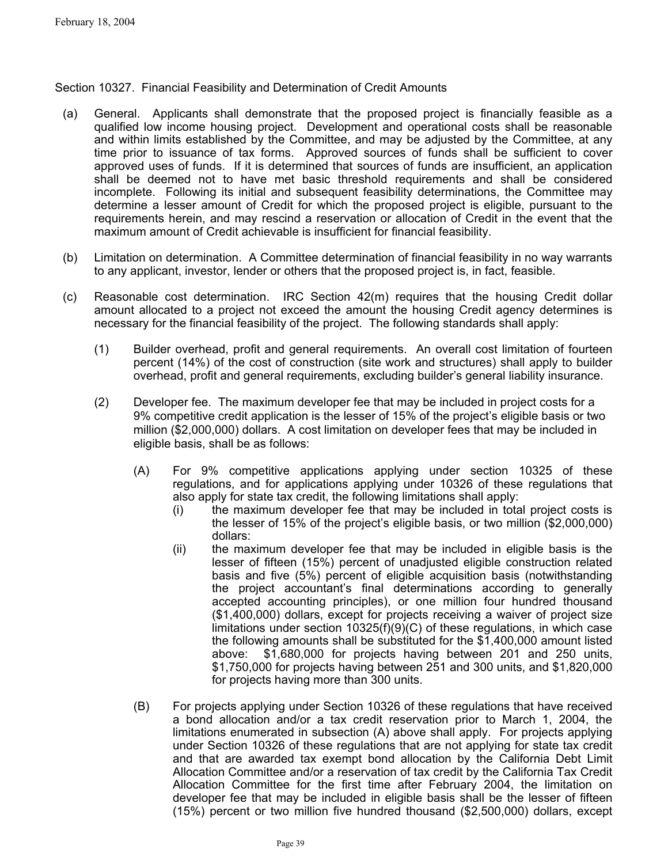Section 10327. Financial Feasibility and Determination of Credit Amounts

- (a) General. Applicants shall demonstrate that the proposed project is financially feasible as a qualified low income housing project. Development and operational costs shall be reasonable and within limits established by the Committee, and may be adjusted by the Committee, at any time prior to issuance of tax forms. Approved sources of funds shall be sufficient to cover approved uses of funds. If it is determined that sources of funds are insufficient, an application shall be deemed not to have met basic threshold requirements and shall be considered incomplete. Following its initial and subsequent feasibility determinations, the Committee may determine a lesser amount of Credit for which the proposed project is eligible, pursuant to the requirements herein, and may rescind a reservation or allocation of Credit in the event that the maximum amount of Credit achievable is insufficient for financial feasibility.
- (b) Limitation on determination. A Committee determination of financial feasibility in no way warrants to any applicant, investor, lender or others that the proposed project is, in fact, feasible.
- (c) Reasonable cost determination. IRC Section 42(m) requires that the housing Credit dollar amount allocated to a project not exceed the amount the housing Credit agency determines is necessary for the financial feasibility of the project. The following standards shall apply:
	- (1) Builder overhead, profit and general requirements. An overall cost limitation of fourteen percent (14%) of the cost of construction (site work and structures) shall apply to builder overhead, profit and general requirements, excluding builder's general liability insurance.
	- (2) Developer fee. The maximum developer fee that may be included in project costs for a 9% competitive credit application is the lesser of 15% of the project's eligible basis or two million (\$2,000,000) dollars. A cost limitation on developer fees that may be included in eligible basis, shall be as follows:
		- (A) For 9% competitive applications applying under section 10325 of these regulations, and for applications applying under 10326 of these regulations that also apply for state tax credit, the following limitations shall apply:
			- (i) the maximum developer fee that may be included in total project costs is the lesser of 15% of the project's eligible basis, or two million (\$2,000,000) dollars:
			- (ii) the maximum developer fee that may be included in eligible basis is the lesser of fifteen (15%) percent of unadjusted eligible construction related basis and five (5%) percent of eligible acquisition basis (notwithstanding the project accountant's final determinations according to generally accepted accounting principles), or one million four hundred thousand (\$1,400,000) dollars, except for projects receiving a waiver of project size limitations under section 10325(f)(9)(C) of these regulations, in which case the following amounts shall be substituted for the \$1,400,000 amount listed above: \$1,680,000 for projects having between 201 and 250 units, \$1,750,000 for projects having between 251 and 300 units, and \$1,820,000 for projects having more than 300 units.
		- (B) For projects applying under Section 10326 of these regulations that have received a bond allocation and/or a tax credit reservation prior to March 1, 2004, the limitations enumerated in subsection (A) above shall apply. For projects applying under Section 10326 of these regulations that are not applying for state tax credit and that are awarded tax exempt bond allocation by the California Debt Limit Allocation Committee and/or a reservation of tax credit by the California Tax Credit Allocation Committee for the first time after February 2004, the limitation on developer fee that may be included in eligible basis shall be the lesser of fifteen (15%) percent or two million five hundred thousand (\$2,500,000) dollars, except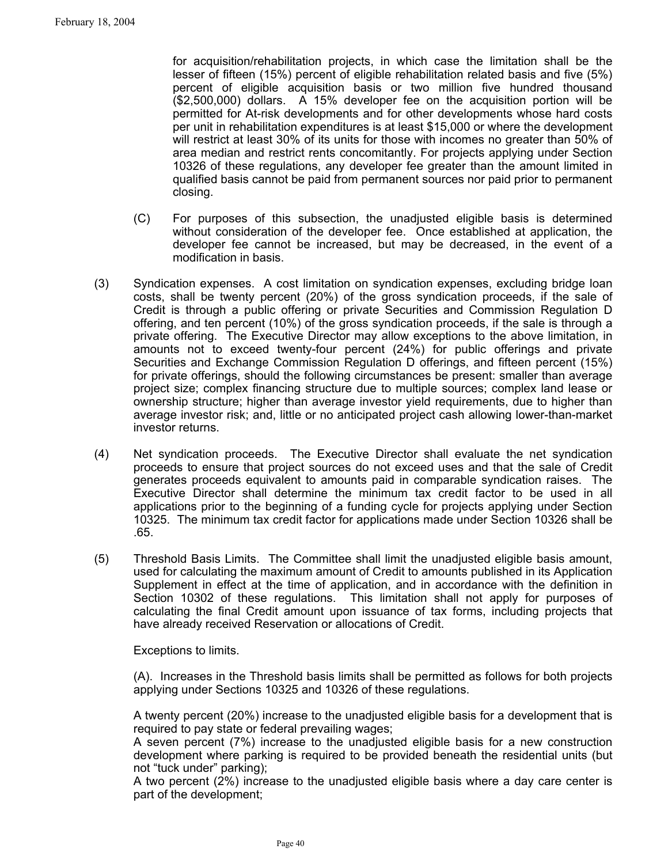for acquisition/rehabilitation projects, in which case the limitation shall be the lesser of fifteen (15%) percent of eligible rehabilitation related basis and five (5%) percent of eligible acquisition basis or two million five hundred thousand (\$2,500,000) dollars. A 15% developer fee on the acquisition portion will be permitted for At-risk developments and for other developments whose hard costs per unit in rehabilitation expenditures is at least \$15,000 or where the development will restrict at least 30% of its units for those with incomes no greater than 50% of area median and restrict rents concomitantly. For projects applying under Section 10326 of these regulations, any developer fee greater than the amount limited in qualified basis cannot be paid from permanent sources nor paid prior to permanent closing.

- (C) For purposes of this subsection, the unadjusted eligible basis is determined without consideration of the developer fee. Once established at application, the developer fee cannot be increased, but may be decreased, in the event of a modification in basis.
- (3) Syndication expenses. A cost limitation on syndication expenses, excluding bridge loan costs, shall be twenty percent (20%) of the gross syndication proceeds, if the sale of Credit is through a public offering or private Securities and Commission Regulation D offering, and ten percent (10%) of the gross syndication proceeds, if the sale is through a private offering. The Executive Director may allow exceptions to the above limitation, in amounts not to exceed twenty-four percent (24%) for public offerings and private Securities and Exchange Commission Regulation D offerings, and fifteen percent (15%) for private offerings, should the following circumstances be present: smaller than average project size; complex financing structure due to multiple sources; complex land lease or ownership structure; higher than average investor yield requirements, due to higher than average investor risk; and, little or no anticipated project cash allowing lower-than-market investor returns.
- (4) Net syndication proceeds. The Executive Director shall evaluate the net syndication proceeds to ensure that project sources do not exceed uses and that the sale of Credit generates proceeds equivalent to amounts paid in comparable syndication raises. The Executive Director shall determine the minimum tax credit factor to be used in all applications prior to the beginning of a funding cycle for projects applying under Section 10325. The minimum tax credit factor for applications made under Section 10326 shall be .65.
- (5) Threshold Basis Limits. The Committee shall limit the unadjusted eligible basis amount, used for calculating the maximum amount of Credit to amounts published in its Application Supplement in effect at the time of application, and in accordance with the definition in Section 10302 of these regulations. This limitation shall not apply for purposes of calculating the final Credit amount upon issuance of tax forms, including projects that have already received Reservation or allocations of Credit.

Exceptions to limits.

(A). Increases in the Threshold basis limits shall be permitted as follows for both projects applying under Sections 10325 and 10326 of these regulations.

A twenty percent (20%) increase to the unadjusted eligible basis for a development that is required to pay state or federal prevailing wages;

A seven percent (7%) increase to the unadjusted eligible basis for a new construction development where parking is required to be provided beneath the residential units (but not "tuck under" parking);

A two percent (2%) increase to the unadjusted eligible basis where a day care center is part of the development;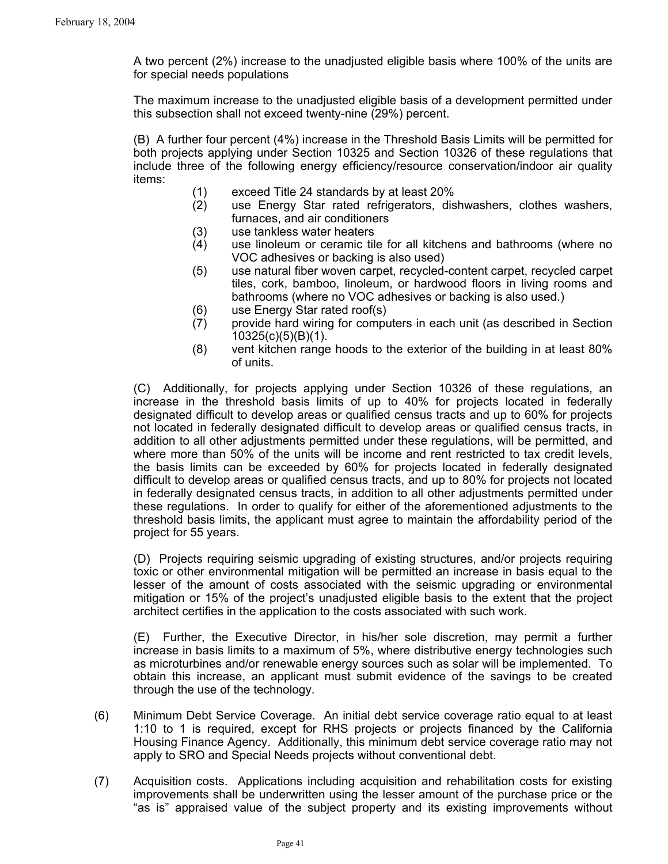A two percent (2%) increase to the unadjusted eligible basis where 100% of the units are for special needs populations

The maximum increase to the unadjusted eligible basis of a development permitted under this subsection shall not exceed twenty-nine (29%) percent.

(B) A further four percent (4%) increase in the Threshold Basis Limits will be permitted for both projects applying under Section 10325 and Section 10326 of these regulations that include three of the following energy efficiency/resource conservation/indoor air quality items:

- (1) exceed Title 24 standards by at least 20%
- (2) use Energy Star rated refrigerators, dishwashers, clothes washers, furnaces, and air conditioners
- (3) use tankless water heaters
- (4) use linoleum or ceramic tile for all kitchens and bathrooms (where no VOC adhesives or backing is also used)
- (5) use natural fiber woven carpet, recycled-content carpet, recycled carpet tiles, cork, bamboo, linoleum, or hardwood floors in living rooms and bathrooms (where no VOC adhesives or backing is also used.)
- (6) use Energy Star rated roof(s)
- (7) provide hard wiring for computers in each unit (as described in Section 10325(c)(5)(B)(1).
- (8) vent kitchen range hoods to the exterior of the building in at least 80% of units.

(C) Additionally, for projects applying under Section 10326 of these regulations, an increase in the threshold basis limits of up to 40% for projects located in federally designated difficult to develop areas or qualified census tracts and up to 60% for projects not located in federally designated difficult to develop areas or qualified census tracts, in addition to all other adjustments permitted under these regulations, will be permitted, and where more than 50% of the units will be income and rent restricted to tax credit levels, the basis limits can be exceeded by 60% for projects located in federally designated difficult to develop areas or qualified census tracts, and up to 80% for projects not located in federally designated census tracts, in addition to all other adjustments permitted under these regulations. In order to qualify for either of the aforementioned adjustments to the threshold basis limits, the applicant must agree to maintain the affordability period of the project for 55 years.

(D) Projects requiring seismic upgrading of existing structures, and/or projects requiring toxic or other environmental mitigation will be permitted an increase in basis equal to the lesser of the amount of costs associated with the seismic upgrading or environmental mitigation or 15% of the project's unadjusted eligible basis to the extent that the project architect certifies in the application to the costs associated with such work.

(E) Further, the Executive Director, in his/her sole discretion, may permit a further increase in basis limits to a maximum of 5%, where distributive energy technologies such as microturbines and/or renewable energy sources such as solar will be implemented. To obtain this increase, an applicant must submit evidence of the savings to be created through the use of the technology.

- (6) Minimum Debt Service Coverage. An initial debt service coverage ratio equal to at least 1:10 to 1 is required, except for RHS projects or projects financed by the California Housing Finance Agency. Additionally, this minimum debt service coverage ratio may not apply to SRO and Special Needs projects without conventional debt.
- (7) Acquisition costs. Applications including acquisition and rehabilitation costs for existing improvements shall be underwritten using the lesser amount of the purchase price or the "as is" appraised value of the subject property and its existing improvements without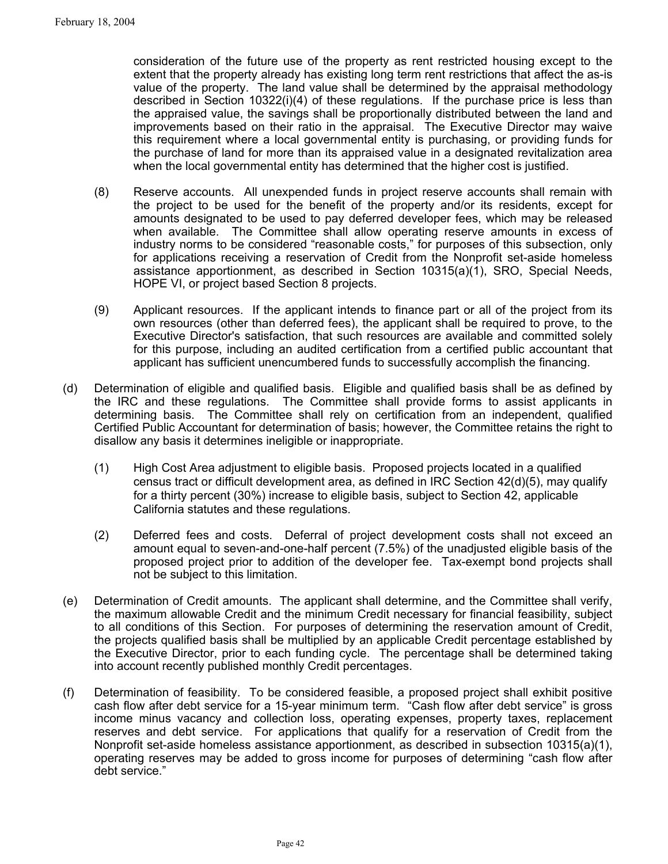consideration of the future use of the property as rent restricted housing except to the extent that the property already has existing long term rent restrictions that affect the as-is value of the property. The land value shall be determined by the appraisal methodology described in Section 10322(i)(4) of these regulations. If the purchase price is less than the appraised value, the savings shall be proportionally distributed between the land and improvements based on their ratio in the appraisal. The Executive Director may waive this requirement where a local governmental entity is purchasing, or providing funds for the purchase of land for more than its appraised value in a designated revitalization area when the local governmental entity has determined that the higher cost is justified.

- (8) Reserve accounts. All unexpended funds in project reserve accounts shall remain with the project to be used for the benefit of the property and/or its residents, except for amounts designated to be used to pay deferred developer fees, which may be released when available. The Committee shall allow operating reserve amounts in excess of industry norms to be considered "reasonable costs," for purposes of this subsection, only for applications receiving a reservation of Credit from the Nonprofit set-aside homeless assistance apportionment, as described in Section 10315(a)(1), SRO, Special Needs, HOPE VI, or project based Section 8 projects.
- (9) Applicant resources. If the applicant intends to finance part or all of the project from its own resources (other than deferred fees), the applicant shall be required to prove, to the Executive Director's satisfaction, that such resources are available and committed solely for this purpose, including an audited certification from a certified public accountant that applicant has sufficient unencumbered funds to successfully accomplish the financing.
- (d) Determination of eligible and qualified basis. Eligible and qualified basis shall be as defined by the IRC and these regulations. The Committee shall provide forms to assist applicants in determining basis. The Committee shall rely on certification from an independent, qualified Certified Public Accountant for determination of basis; however, the Committee retains the right to disallow any basis it determines ineligible or inappropriate.
	- (1) High Cost Area adjustment to eligible basis. Proposed projects located in a qualified census tract or difficult development area, as defined in IRC Section 42(d)(5), may qualify for a thirty percent (30%) increase to eligible basis, subject to Section 42, applicable California statutes and these regulations.
	- (2) Deferred fees and costs. Deferral of project development costs shall not exceed an amount equal to seven-and-one-half percent (7.5%) of the unadjusted eligible basis of the proposed project prior to addition of the developer fee. Tax-exempt bond projects shall not be subject to this limitation.
- (e) Determination of Credit amounts. The applicant shall determine, and the Committee shall verify, the maximum allowable Credit and the minimum Credit necessary for financial feasibility, subject to all conditions of this Section. For purposes of determining the reservation amount of Credit, the projects qualified basis shall be multiplied by an applicable Credit percentage established by the Executive Director, prior to each funding cycle. The percentage shall be determined taking into account recently published monthly Credit percentages.
- (f) Determination of feasibility. To be considered feasible, a proposed project shall exhibit positive cash flow after debt service for a 15-year minimum term. "Cash flow after debt service" is gross income minus vacancy and collection loss, operating expenses, property taxes, replacement reserves and debt service. For applications that qualify for a reservation of Credit from the Nonprofit set-aside homeless assistance apportionment, as described in subsection 10315(a)(1), operating reserves may be added to gross income for purposes of determining "cash flow after debt service."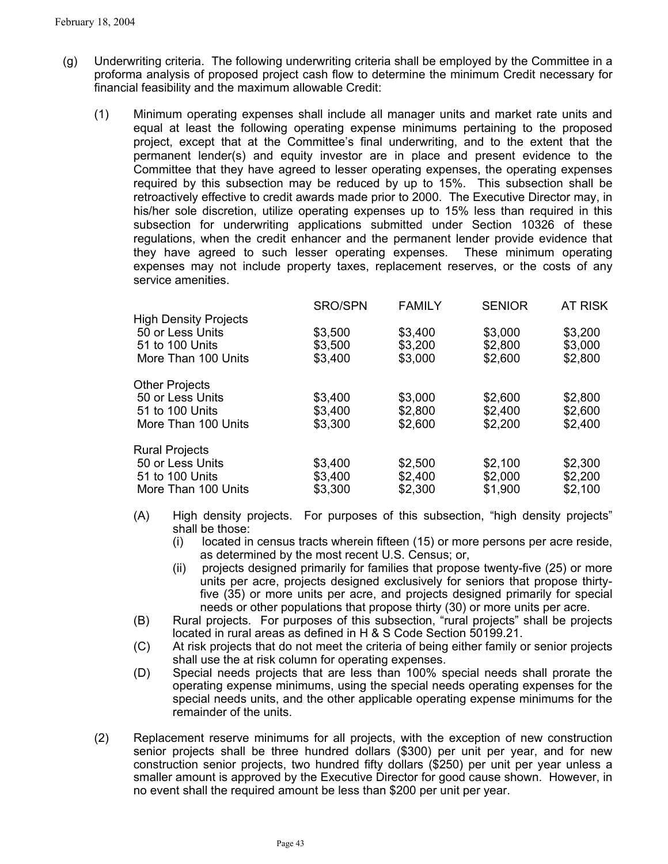- (g) Underwriting criteria. The following underwriting criteria shall be employed by the Committee in a proforma analysis of proposed project cash flow to determine the minimum Credit necessary for financial feasibility and the maximum allowable Credit:
	- (1) Minimum operating expenses shall include all manager units and market rate units and equal at least the following operating expense minimums pertaining to the proposed project, except that at the Committee's final underwriting, and to the extent that the permanent lender(s) and equity investor are in place and present evidence to the Committee that they have agreed to lesser operating expenses, the operating expenses required by this subsection may be reduced by up to 15%. This subsection shall be retroactively effective to credit awards made prior to 2000. The Executive Director may, in his/her sole discretion, utilize operating expenses up to 15% less than required in this subsection for underwriting applications submitted under Section 10326 of these regulations, when the credit enhancer and the permanent lender provide evidence that they have agreed to such lesser operating expenses. These minimum operating expenses may not include property taxes, replacement reserves, or the costs of any service amenities.

|                              | <b>SRO/SPN</b> | <b>FAMILY</b> | <b>SENIOR</b> | <b>AT RISK</b> |
|------------------------------|----------------|---------------|---------------|----------------|
| <b>High Density Projects</b> |                |               |               |                |
| 50 or Less Units             | \$3,500        | \$3,400       | \$3,000       | \$3,200        |
| 51 to 100 Units              | \$3,500        | \$3,200       | \$2,800       | \$3,000        |
| More Than 100 Units          | \$3,400        | \$3,000       | \$2,600       | \$2,800        |
| <b>Other Projects</b>        |                |               |               |                |
| 50 or Less Units             | \$3,400        | \$3,000       | \$2,600       | \$2,800        |
| 51 to 100 Units              | \$3,400        | \$2,800       | \$2,400       | \$2,600        |
| More Than 100 Units          | \$3,300        | \$2,600       | \$2,200       | \$2,400        |
| <b>Rural Projects</b>        |                |               |               |                |
| 50 or Less Units             | \$3,400        | \$2,500       | \$2,100       | \$2,300        |
| 51 to 100 Units              | \$3,400        | \$2,400       | \$2,000       | \$2,200        |
| More Than 100 Units          | \$3,300        | \$2,300       | \$1,900       | \$2,100        |
|                              |                |               |               |                |

- (A) High density projects. For purposes of this subsection, "high density projects" shall be those:
	- (i) located in census tracts wherein fifteen (15) or more persons per acre reside, as determined by the most recent U.S. Census; or,
	- (ii) projects designed primarily for families that propose twenty-five (25) or more units per acre, projects designed exclusively for seniors that propose thirtyfive (35) or more units per acre, and projects designed primarily for special needs or other populations that propose thirty (30) or more units per acre.
- (B) Rural projects. For purposes of this subsection, "rural projects" shall be projects located in rural areas as defined in H & S Code Section 50199.21.
- (C) At risk projects that do not meet the criteria of being either family or senior projects shall use the at risk column for operating expenses.
- (D) Special needs projects that are less than 100% special needs shall prorate the operating expense minimums, using the special needs operating expenses for the special needs units, and the other applicable operating expense minimums for the remainder of the units.
- Replacement reserve minimums for all projects, with the exception of new construction senior projects shall be three hundred dollars (\$300) per unit per year, and for new construction senior projects, two hundred fifty dollars (\$250) per unit per year unless a smaller amount is approved by the Executive Director for good cause shown. However, in no event shall the required amount be less than \$200 per unit per year. (2)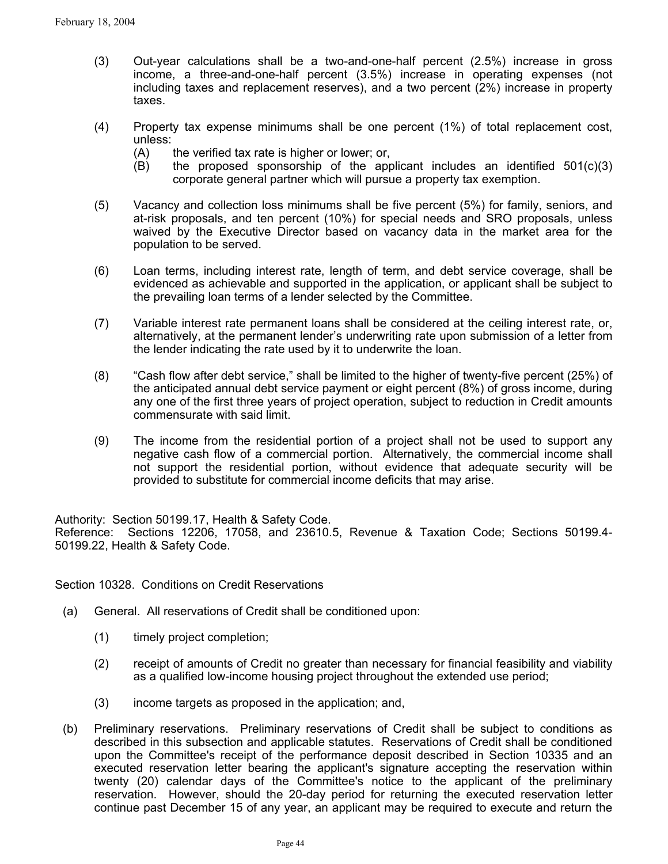- (3) Out-year calculations shall be a two-and-one-half percent (2.5%) increase in gross income, a three-and-one-half percent (3.5%) increase in operating expenses (not including taxes and replacement reserves), and a two percent (2%) increase in property taxes.
- (4) Property tax expense minimums shall be one percent (1%) of total replacement cost, unless:
	- (A) the verified tax rate is higher or lower; or,
	- $(B)$  the proposed sponsorship of the applicant includes an identified  $501(c)(3)$ corporate general partner which will pursue a property tax exemption.
- (5) Vacancy and collection loss minimums shall be five percent (5%) for family, seniors, and at-risk proposals, and ten percent (10%) for special needs and SRO proposals, unless waived by the Executive Director based on vacancy data in the market area for the population to be served.
- (6) Loan terms, including interest rate, length of term, and debt service coverage, shall be evidenced as achievable and supported in the application, or applicant shall be subject to the prevailing loan terms of a lender selected by the Committee.
- (7) Variable interest rate permanent loans shall be considered at the ceiling interest rate, or, alternatively, at the permanent lender's underwriting rate upon submission of a letter from the lender indicating the rate used by it to underwrite the loan.
- (8) "Cash flow after debt service," shall be limited to the higher of twenty-five percent (25%) of the anticipated annual debt service payment or eight percent (8%) of gross income, during any one of the first three years of project operation, subject to reduction in Credit amounts commensurate with said limit.
- (9) The income from the residential portion of a project shall not be used to support any negative cash flow of a commercial portion. Alternatively, the commercial income shall not support the residential portion, without evidence that adequate security will be provided to substitute for commercial income deficits that may arise.

Authority: Section 50199.17, Health & Safety Code.

Reference: Sections 12206, 17058, and 23610.5, Revenue & Taxation Code; Sections 50199.4- 50199.22, Health & Safety Code.

Section 10328. Conditions on Credit Reservations

- (a) General. All reservations of Credit shall be conditioned upon:
	- (1) timely project completion;
	- (2) receipt of amounts of Credit no greater than necessary for financial feasibility and viability as a qualified low-income housing project throughout the extended use period;
	- (3) income targets as proposed in the application; and,
- (b) Preliminary reservations. Preliminary reservations of Credit shall be subject to conditions as described in this subsection and applicable statutes. Reservations of Credit shall be conditioned upon the Committee's receipt of the performance deposit described in Section 10335 and an executed reservation letter bearing the applicant's signature accepting the reservation within twenty (20) calendar days of the Committee's notice to the applicant of the preliminary reservation. However, should the 20-day period for returning the executed reservation letter continue past December 15 of any year, an applicant may be required to execute and return the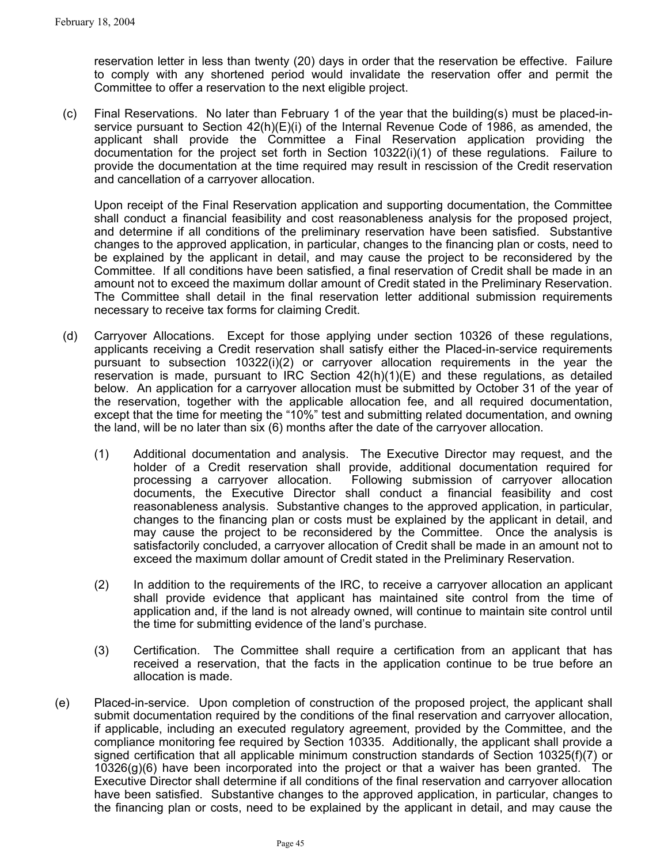reservation letter in less than twenty (20) days in order that the reservation be effective. Failure to comply with any shortened period would invalidate the reservation offer and permit the Committee to offer a reservation to the next eligible project.

(c) Final Reservations. No later than February 1 of the year that the building(s) must be placed-inservice pursuant to Section 42(h)(E)(i) of the Internal Revenue Code of 1986, as amended, the applicant shall provide the Committee a Final Reservation application providing the documentation for the project set forth in Section 10322(i)(1) of these regulations. Failure to provide the documentation at the time required may result in rescission of the Credit reservation and cancellation of a carryover allocation.

Upon receipt of the Final Reservation application and supporting documentation, the Committee shall conduct a financial feasibility and cost reasonableness analysis for the proposed project, and determine if all conditions of the preliminary reservation have been satisfied. Substantive changes to the approved application, in particular, changes to the financing plan or costs, need to be explained by the applicant in detail, and may cause the project to be reconsidered by the Committee. If all conditions have been satisfied, a final reservation of Credit shall be made in an amount not to exceed the maximum dollar amount of Credit stated in the Preliminary Reservation. The Committee shall detail in the final reservation letter additional submission requirements necessary to receive tax forms for claiming Credit.

- (d) Carryover Allocations. Except for those applying under section 10326 of these regulations, applicants receiving a Credit reservation shall satisfy either the Placed-in-service requirements pursuant to subsection 10322(i)(2) or carryover allocation requirements in the year the reservation is made, pursuant to IRC Section  $42(h)(1)(E)$  and these regulations, as detailed below. An application for a carryover allocation must be submitted by October 31 of the year of the reservation, together with the applicable allocation fee, and all required documentation, except that the time for meeting the "10%" test and submitting related documentation, and owning the land, will be no later than six (6) months after the date of the carryover allocation.
	- (1) Additional documentation and analysis. The Executive Director may request, and the holder of a Credit reservation shall provide, additional documentation required for processing a carryover allocation. Following submission of carryover allocation documents, the Executive Director shall conduct a financial feasibility and cost reasonableness analysis. Substantive changes to the approved application, in particular, changes to the financing plan or costs must be explained by the applicant in detail, and may cause the project to be reconsidered by the Committee. Once the analysis is satisfactorily concluded, a carryover allocation of Credit shall be made in an amount not to exceed the maximum dollar amount of Credit stated in the Preliminary Reservation.
	- (2) In addition to the requirements of the IRC, to receive a carryover allocation an applicant shall provide evidence that applicant has maintained site control from the time of application and, if the land is not already owned, will continue to maintain site control until the time for submitting evidence of the land's purchase.
	- (3) Certification. The Committee shall require a certification from an applicant that has received a reservation, that the facts in the application continue to be true before an allocation is made.
- (e) Placed-in-service. Upon completion of construction of the proposed project, the applicant shall submit documentation required by the conditions of the final reservation and carryover allocation, if applicable, including an executed regulatory agreement, provided by the Committee, and the compliance monitoring fee required by Section 10335. Additionally, the applicant shall provide a signed certification that all applicable minimum construction standards of Section 10325(f)(7) or 10326(g)(6) have been incorporated into the project or that a waiver has been granted. The Executive Director shall determine if all conditions of the final reservation and carryover allocation have been satisfied. Substantive changes to the approved application, in particular, changes to the financing plan or costs, need to be explained by the applicant in detail, and may cause the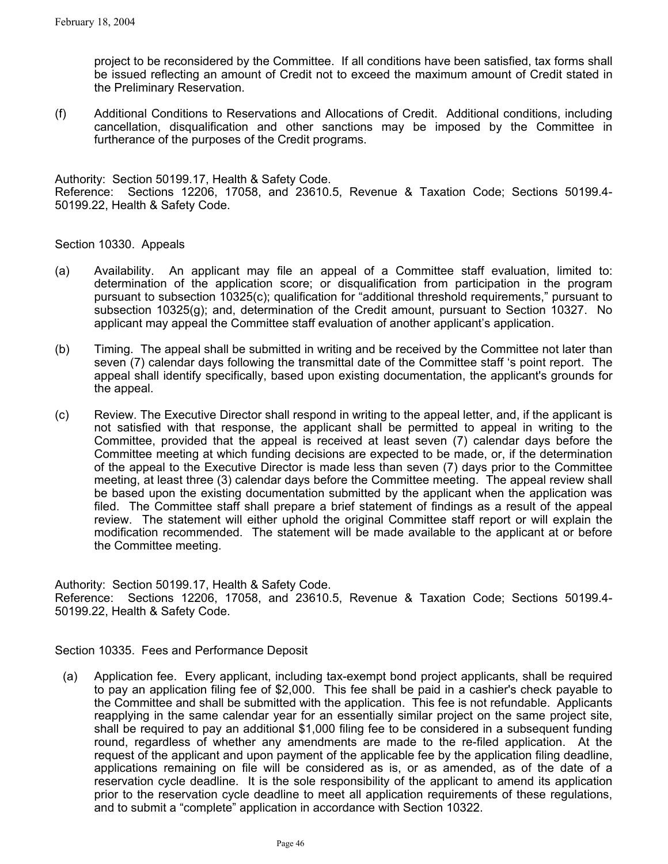project to be reconsidered by the Committee. If all conditions have been satisfied, tax forms shall be issued reflecting an amount of Credit not to exceed the maximum amount of Credit stated in the Preliminary Reservation.

(f) Additional Conditions to Reservations and Allocations of Credit. Additional conditions, including cancellation, disqualification and other sanctions may be imposed by the Committee in furtherance of the purposes of the Credit programs.

Authority: Section 50199.17, Health & Safety Code. Reference: Sections 12206, 17058, and 23610.5, Revenue & Taxation Code; Sections 50199.4- 50199.22, Health & Safety Code.

Section 10330. Appeals

- (a) Availability. An applicant may file an appeal of a Committee staff evaluation, limited to: determination of the application score; or disqualification from participation in the program pursuant to subsection 10325(c); qualification for "additional threshold requirements," pursuant to subsection 10325(g); and, determination of the Credit amount, pursuant to Section 10327. No applicant may appeal the Committee staff evaluation of another applicant's application.
- (b) Timing. The appeal shall be submitted in writing and be received by the Committee not later than seven (7) calendar days following the transmittal date of the Committee staff 's point report. The appeal shall identify specifically, based upon existing documentation, the applicant's grounds for the appeal.
- (c) Review. The Executive Director shall respond in writing to the appeal letter, and, if the applicant is not satisfied with that response, the applicant shall be permitted to appeal in writing to the Committee, provided that the appeal is received at least seven (7) calendar days before the Committee meeting at which funding decisions are expected to be made, or, if the determination of the appeal to the Executive Director is made less than seven (7) days prior to the Committee meeting, at least three (3) calendar days before the Committee meeting. The appeal review shall be based upon the existing documentation submitted by the applicant when the application was filed. The Committee staff shall prepare a brief statement of findings as a result of the appeal review. The statement will either uphold the original Committee staff report or will explain the modification recommended. The statement will be made available to the applicant at or before the Committee meeting.

Authority: Section 50199.17, Health & Safety Code. Reference: Sections 12206, 17058, and 23610.5, Revenue & Taxation Code; Sections 50199.4- 50199.22, Health & Safety Code.

Section 10335. Fees and Performance Deposit

(a) Application fee. Every applicant, including tax-exempt bond project applicants, shall be required to pay an application filing fee of \$2,000. This fee shall be paid in a cashier's check payable to the Committee and shall be submitted with the application. This fee is not refundable. Applicants reapplying in the same calendar year for an essentially similar project on the same project site, shall be required to pay an additional \$1,000 filing fee to be considered in a subsequent funding round, regardless of whether any amendments are made to the re-filed application. At the request of the applicant and upon payment of the applicable fee by the application filing deadline, applications remaining on file will be considered as is, or as amended, as of the date of a reservation cycle deadline. It is the sole responsibility of the applicant to amend its application prior to the reservation cycle deadline to meet all application requirements of these regulations, and to submit a "complete" application in accordance with Section 10322.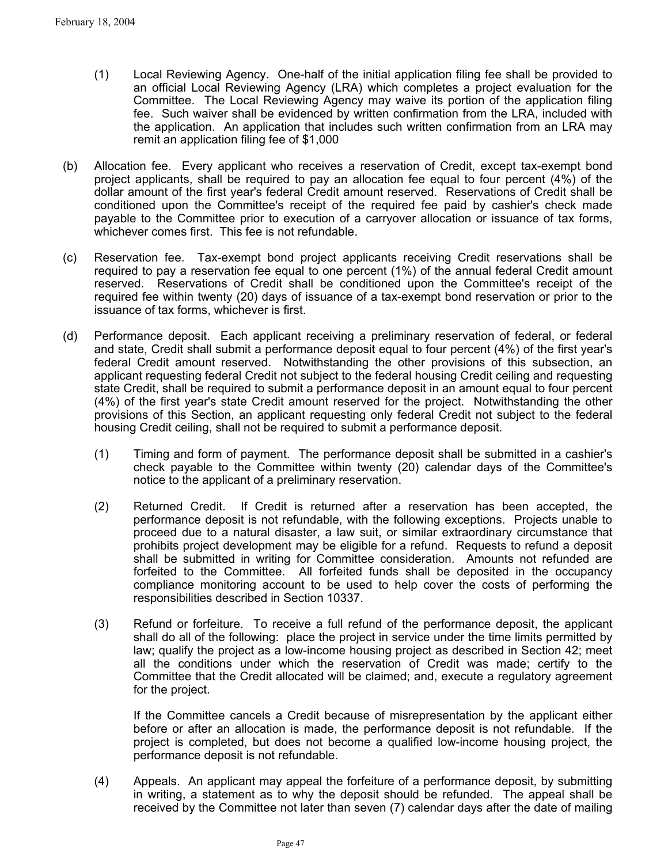- (1) Local Reviewing Agency. One-half of the initial application filing fee shall be provided to an official Local Reviewing Agency (LRA) which completes a project evaluation for the Committee. The Local Reviewing Agency may waive its portion of the application filing fee. Such waiver shall be evidenced by written confirmation from the LRA, included with the application. An application that includes such written confirmation from an LRA may remit an application filing fee of \$1,000
- (b) Allocation fee. Every applicant who receives a reservation of Credit, except tax-exempt bond project applicants, shall be required to pay an allocation fee equal to four percent (4%) of the dollar amount of the first year's federal Credit amount reserved. Reservations of Credit shall be conditioned upon the Committee's receipt of the required fee paid by cashier's check made payable to the Committee prior to execution of a carryover allocation or issuance of tax forms, whichever comes first. This fee is not refundable.
- (c) Reservation fee. Tax-exempt bond project applicants receiving Credit reservations shall be required to pay a reservation fee equal to one percent (1%) of the annual federal Credit amount reserved. Reservations of Credit shall be conditioned upon the Committee's receipt of the required fee within twenty (20) days of issuance of a tax-exempt bond reservation or prior to the issuance of tax forms, whichever is first.
- (d) Performance deposit. Each applicant receiving a preliminary reservation of federal, or federal and state, Credit shall submit a performance deposit equal to four percent (4%) of the first year's federal Credit amount reserved. Notwithstanding the other provisions of this subsection, an applicant requesting federal Credit not subject to the federal housing Credit ceiling and requesting state Credit, shall be required to submit a performance deposit in an amount equal to four percent (4%) of the first year's state Credit amount reserved for the project. Notwithstanding the other provisions of this Section, an applicant requesting only federal Credit not subject to the federal housing Credit ceiling, shall not be required to submit a performance deposit.
	- (1) Timing and form of payment. The performance deposit shall be submitted in a cashier's check payable to the Committee within twenty (20) calendar days of the Committee's notice to the applicant of a preliminary reservation.
	- (2) Returned Credit. If Credit is returned after a reservation has been accepted, the performance deposit is not refundable, with the following exceptions. Projects unable to proceed due to a natural disaster, a law suit, or similar extraordinary circumstance that prohibits project development may be eligible for a refund. Requests to refund a deposit shall be submitted in writing for Committee consideration. Amounts not refunded are forfeited to the Committee. All forfeited funds shall be deposited in the occupancy compliance monitoring account to be used to help cover the costs of performing the responsibilities described in Section 10337.
	- (3) Refund or forfeiture. To receive a full refund of the performance deposit, the applicant shall do all of the following: place the project in service under the time limits permitted by law; qualify the project as a low-income housing project as described in Section 42; meet all the conditions under which the reservation of Credit was made; certify to the Committee that the Credit allocated will be claimed; and, execute a regulatory agreement for the project.

If the Committee cancels a Credit because of misrepresentation by the applicant either before or after an allocation is made, the performance deposit is not refundable. If the project is completed, but does not become a qualified low-income housing project, the performance deposit is not refundable.

(4) Appeals. An applicant may appeal the forfeiture of a performance deposit, by submitting in writing, a statement as to why the deposit should be refunded. The appeal shall be received by the Committee not later than seven (7) calendar days after the date of mailing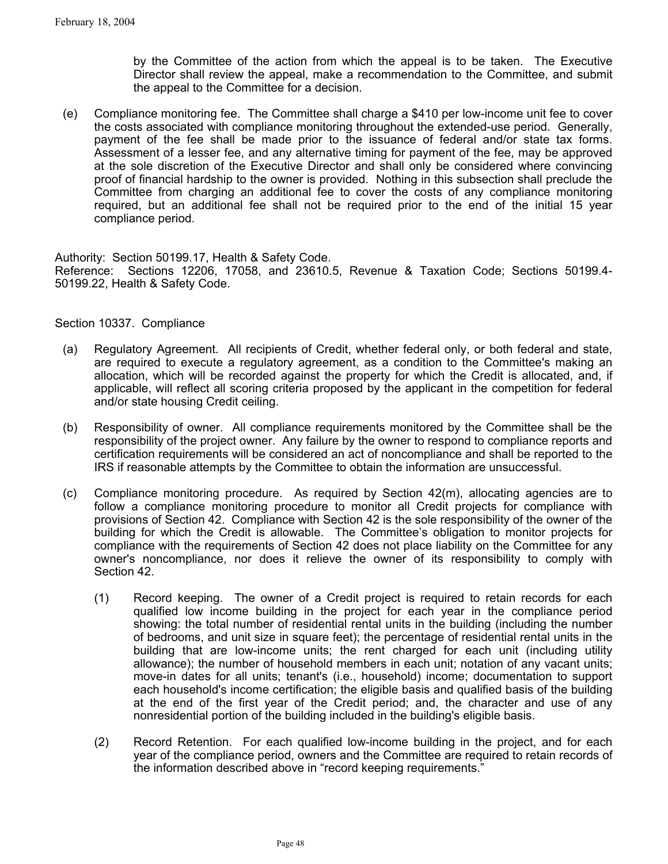by the Committee of the action from which the appeal is to be taken. The Executive Director shall review the appeal, make a recommendation to the Committee, and submit the appeal to the Committee for a decision.

(e) Compliance monitoring fee. The Committee shall charge a \$410 per low-income unit fee to cover the costs associated with compliance monitoring throughout the extended-use period. Generally, payment of the fee shall be made prior to the issuance of federal and/or state tax forms. Assessment of a lesser fee, and any alternative timing for payment of the fee, may be approved at the sole discretion of the Executive Director and shall only be considered where convincing proof of financial hardship to the owner is provided. Nothing in this subsection shall preclude the Committee from charging an additional fee to cover the costs of any compliance monitoring required, but an additional fee shall not be required prior to the end of the initial 15 year compliance period.

Authority: Section 50199.17, Health & Safety Code.

Reference: Sections 12206, 17058, and 23610.5, Revenue & Taxation Code; Sections 50199.4- 50199.22, Health & Safety Code.

Section 10337. Compliance

- (a) Regulatory Agreement. All recipients of Credit, whether federal only, or both federal and state, are required to execute a regulatory agreement, as a condition to the Committee's making an allocation, which will be recorded against the property for which the Credit is allocated, and, if applicable, will reflect all scoring criteria proposed by the applicant in the competition for federal and/or state housing Credit ceiling.
- (b) Responsibility of owner. All compliance requirements monitored by the Committee shall be the responsibility of the project owner. Any failure by the owner to respond to compliance reports and certification requirements will be considered an act of noncompliance and shall be reported to the IRS if reasonable attempts by the Committee to obtain the information are unsuccessful.
- (c) Compliance monitoring procedure. As required by Section 42(m), allocating agencies are to follow a compliance monitoring procedure to monitor all Credit projects for compliance with provisions of Section 42. Compliance with Section 42 is the sole responsibility of the owner of the building for which the Credit is allowable. The Committee's obligation to monitor projects for compliance with the requirements of Section 42 does not place liability on the Committee for any owner's noncompliance, nor does it relieve the owner of its responsibility to comply with Section 42.
	- (1) Record keeping. The owner of a Credit project is required to retain records for each qualified low income building in the project for each year in the compliance period showing: the total number of residential rental units in the building (including the number of bedrooms, and unit size in square feet); the percentage of residential rental units in the building that are low-income units; the rent charged for each unit (including utility allowance); the number of household members in each unit; notation of any vacant units; move-in dates for all units; tenant's (i.e., household) income; documentation to support each household's income certification; the eligible basis and qualified basis of the building at the end of the first year of the Credit period; and, the character and use of any nonresidential portion of the building included in the building's eligible basis.
	- (2) Record Retention. For each qualified low-income building in the project, and for each year of the compliance period, owners and the Committee are required to retain records of the information described above in "record keeping requirements."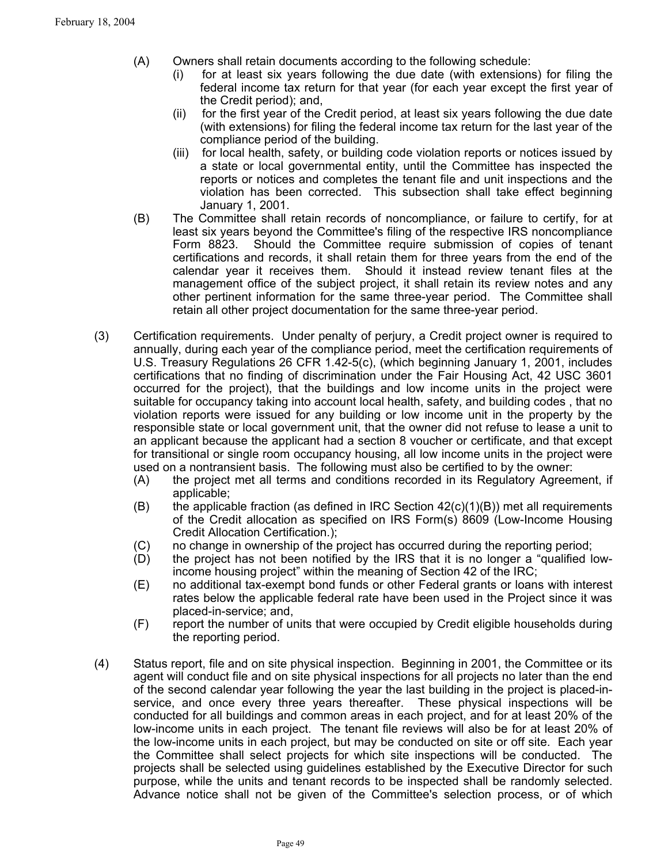- (A) Owners shall retain documents according to the following schedule:
	- (i) for at least six years following the due date (with extensions) for filing the federal income tax return for that year (for each year except the first year of the Credit period); and,
	- (ii) for the first year of the Credit period, at least six years following the due date (with extensions) for filing the federal income tax return for the last year of the compliance period of the building.
	- (iii) for local health, safety, or building code violation reports or notices issued by a state or local governmental entity, until the Committee has inspected the reports or notices and completes the tenant file and unit inspections and the violation has been corrected. This subsection shall take effect beginning January 1, 2001.
- (B) The Committee shall retain records of noncompliance, or failure to certify, for at least six years beyond the Committee's filing of the respective IRS noncompliance Form 8823. Should the Committee require submission of copies of tenant certifications and records, it shall retain them for three years from the end of the calendar year it receives them. Should it instead review tenant files at the management office of the subject project, it shall retain its review notes and any other pertinent information for the same three-year period. The Committee shall retain all other project documentation for the same three-year period.
- (3) Certification requirements. Under penalty of perjury, a Credit project owner is required to annually, during each year of the compliance period, meet the certification requirements of U.S. Treasury Regulations 26 CFR 1.42-5(c), (which beginning January 1, 2001, includes certifications that no finding of discrimination under the Fair Housing Act, 42 USC 3601 occurred for the project), that the buildings and low income units in the project were suitable for occupancy taking into account local health, safety, and building codes , that no violation reports were issued for any building or low income unit in the property by the responsible state or local government unit, that the owner did not refuse to lease a unit to an applicant because the applicant had a section 8 voucher or certificate, and that except for transitional or single room occupancy housing, all low income units in the project were used on a nontransient basis. The following must also be certified to by the owner:
	- (A) the project met all terms and conditions recorded in its Regulatory Agreement, if applicable;
	- $(B)$  the applicable fraction (as defined in IRC Section 42(c)(1)(B)) met all requirements of the Credit allocation as specified on IRS Form(s) 8609 (Low-Income Housing Credit Allocation Certification.);
	- (C) no change in ownership of the project has occurred during the reporting period;
	- (D) the project has not been notified by the IRS that it is no longer a "qualified lowincome housing project" within the meaning of Section 42 of the IRC;
	- (E) no additional tax-exempt bond funds or other Federal grants or loans with interest rates below the applicable federal rate have been used in the Project since it was placed-in-service; and,
	- (F) report the number of units that were occupied by Credit eligible households during the reporting period.
- (4) Status report, file and on site physical inspection. Beginning in 2001, the Committee or its agent will conduct file and on site physical inspections for all projects no later than the end of the second calendar year following the year the last building in the project is placed-inservice, and once every three years thereafter. These physical inspections will be conducted for all buildings and common areas in each project, and for at least 20% of the low-income units in each project. The tenant file reviews will also be for at least 20% of the low-income units in each project, but may be conducted on site or off site. Each year the Committee shall select projects for which site inspections will be conducted. The projects shall be selected using guidelines established by the Executive Director for such purpose, while the units and tenant records to be inspected shall be randomly selected. Advance notice shall not be given of the Committee's selection process, or of which